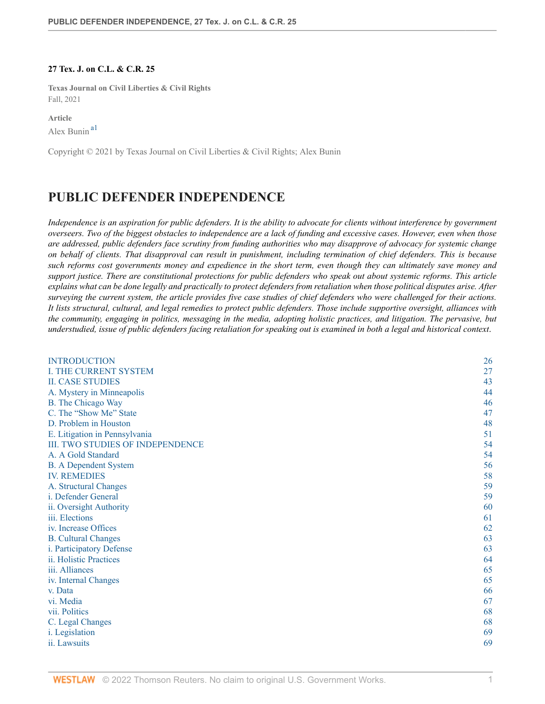#### **27 Tex. J. on C.L. & C.R. 25**

**Texas Journal on Civil Liberties & Civil Rights** Fall, 2021

<span id="page-0-0"></span>**Article** Alex Bunin [a1](#page-21-0)

Copyright © 2021 by Texas Journal on Civil Liberties & Civil Rights; Alex Bunin

# **PUBLIC DEFENDER INDEPENDENCE**

*Independence is an aspiration for public defenders. It is the ability to advocate for clients without interference by government overseers. Two of the biggest obstacles to independence are a lack of funding and excessive cases. However, even when those are addressed, public defenders face scrutiny from funding authorities who may disapprove of advocacy for systemic change on behalf of clients. That disapproval can result in punishment, including termination of chief defenders. This is because such reforms cost governments money and expedience in the short term, even though they can ultimately save money and support justice. There are constitutional protections for public defenders who speak out about systemic reforms. This article explains what can be done legally and practically to protect defenders from retaliation when those political disputes arise. After surveying the current system, the article provides five case studies of chief defenders who were challenged for their actions. It lists structural, cultural, and legal remedies to protect public defenders. Those include supportive oversight, alliances with the community, engaging in politics, messaging in the media, adopting holistic practices, and litigation. The pervasive, but understudied, issue of public defenders facing retaliation for speaking out is examined in both a legal and historical context*.

| <b>INTRODUCTION</b>                     | 26 |
|-----------------------------------------|----|
| <b>I. THE CURRENT SYSTEM</b>            | 27 |
| <b>II. CASE STUDIES</b>                 | 43 |
| A. Mystery in Minneapolis               | 44 |
| <b>B.</b> The Chicago Way               | 46 |
| C. The "Show Me" State                  | 47 |
| D. Problem in Houston                   | 48 |
| E. Litigation in Pennsylvania           | 51 |
| <b>III. TWO STUDIES OF INDEPENDENCE</b> | 54 |
| A. A Gold Standard                      | 54 |
| <b>B.</b> A Dependent System            | 56 |
| <b>IV. REMEDIES</b>                     | 58 |
| A. Structural Changes                   | 59 |
| i. Defender General                     | 59 |
| ii. Oversight Authority                 | 60 |
| iii. Elections                          | 61 |
| iv. Increase Offices                    | 62 |
| <b>B.</b> Cultural Changes              | 63 |
| i. Participatory Defense                | 63 |
| ii. Holistic Practices                  | 64 |
| iii. Alliances                          | 65 |
| iv. Internal Changes                    | 65 |
| v. Data                                 | 66 |
| vi. Media                               | 67 |
| vii. Politics                           | 68 |
| C. Legal Changes                        | 68 |
| i. Legislation                          | 69 |
| ii. Lawsuits                            | 69 |
|                                         |    |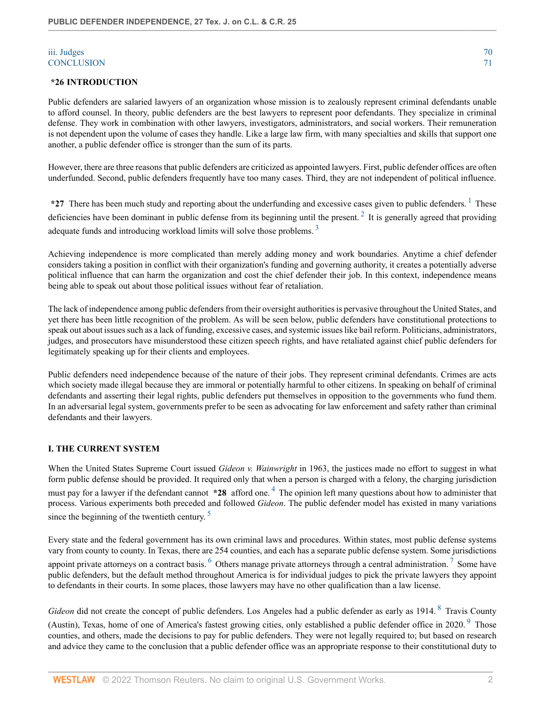#### [iii. Judges](#page-21-1) [70](#page-21-1) [CONCLUSION](#page-21-2) [71](#page-21-2)

#### <span id="page-1-0"></span>**\*26 INTRODUCTION**

Public defenders are salaried lawyers of an organization whose mission is to zealously represent criminal defendants unable to afford counsel. In theory, public defenders are the best lawyers to represent poor defendants. They specialize in criminal defense. They work in combination with other lawyers, investigators, administrators, and social workers. Their remuneration is not dependent upon the volume of cases they handle. Like a large law firm, with many specialties and skills that support one another, a public defender office is stronger than the sum of its parts.

However, there are three reasons that public defenders are criticized as appointed lawyers. First, public defender offices are often underfunded. Second, public defenders frequently have too many cases. Third, they are not independent of political influence.

<span id="page-1-4"></span><span id="page-1-3"></span><span id="page-1-2"></span>\*27 There has been much study and reporting about the underfunding and excessive cases given to public defenders. <sup>[1](#page-21-3)</sup> These deficiencies have been dominant in public defense from its beginning until the present.<sup>[2](#page-21-4)</sup> It is generally agreed that providing adequate funds and introducing workload limits will solve those problems.<sup>[3](#page-21-5)</sup>

Achieving independence is more complicated than merely adding money and work boundaries. Anytime a chief defender considers taking a position in conflict with their organization's funding and governing authority, it creates a potentially adverse political influence that can harm the organization and cost the chief defender their job. In this context, independence means being able to speak out about those political issues without fear of retaliation.

The lack of independence among public defenders from their oversight authorities is pervasive throughout the United States, and yet there has been little recognition of the problem. As will be seen below, public defenders have constitutional protections to speak out about issues such as a lack of funding, excessive cases, and systemic issues like bail reform. Politicians, administrators, judges, and prosecutors have misunderstood these citizen speech rights, and have retaliated against chief public defenders for legitimately speaking up for their clients and employees.

Public defenders need independence because of the nature of their jobs. They represent criminal defendants. Crimes are acts which society made illegal because they are immoral or potentially harmful to other citizens. In speaking on behalf of criminal defendants and asserting their legal rights, public defenders put themselves in opposition to the governments who fund them. In an adversarial legal system, governments prefer to be seen as advocating for law enforcement and safety rather than criminal defendants and their lawyers.

#### <span id="page-1-1"></span>**I. THE CURRENT SYSTEM**

<span id="page-1-5"></span>When the United States Supreme Court issued *Gideon v. Wainwright* in 1963, the justices made no effort to suggest in what form public defense should be provided. It required only that when a person is charged with a felony, the charging jurisdiction must pay for a lawyer if the defendant cannot  $*28$  afford one. <sup>[4](#page-22-0)</sup> The opinion left many questions about how to administer that process. Various experiments both preceded and followed *Gideon*. The public defender model has existed in many variations since the beginning of the twentieth century.  $5$ 

<span id="page-1-8"></span><span id="page-1-7"></span><span id="page-1-6"></span>Every state and the federal government has its own criminal laws and procedures. Within states, most public defense systems vary from county to county. In Texas, there are 254 counties, and each has a separate public defense system. Some jurisdictions appoint private attorneys on a contract basis.  $^6$  $^6$  Others manage private attorneys through a central administration.  $^7$  $^7$  Some have public defenders, but the default method throughout America is for individual judges to pick the private lawyers they appoint to defendants in their courts. In some places, those lawyers may have no other qualification than a law license.

<span id="page-1-10"></span><span id="page-1-9"></span>Gideon did not create the concept of public defenders. Los Angeles had a public defender as early as 1914. <sup>[8](#page-22-4)</sup> Travis County

(Austin), Texas, home of one of America's fastest growing cities, only established a public defender office in 2020.  $9$  Those counties, and others, made the decisions to pay for public defenders. They were not legally required to; but based on research and advice they came to the conclusion that a public defender office was an appropriate response to their constitutional duty to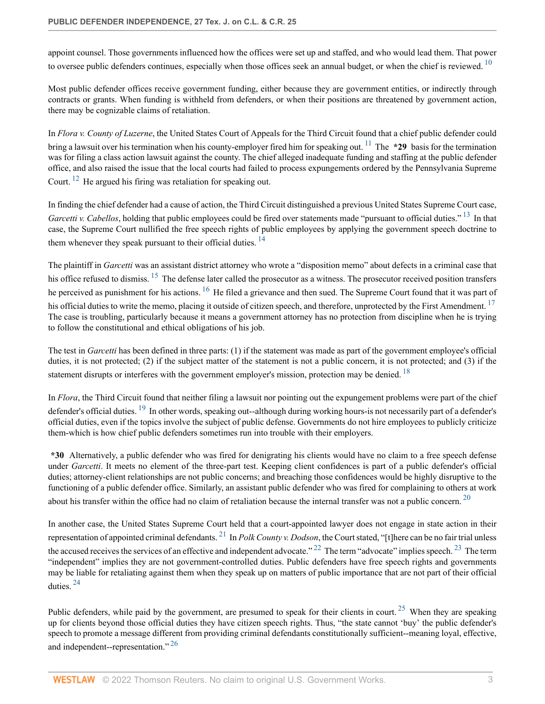<span id="page-2-0"></span>appoint counsel. Those governments influenced how the offices were set up and staffed, and who would lead them. That power to oversee public defenders continues, especially when those offices seek an annual budget, or when the chief is reviewed.  $10$ 

Most public defender offices receive government funding, either because they are government entities, or indirectly through contracts or grants. When funding is withheld from defenders, or when their positions are threatened by government action, there may be cognizable claims of retaliation.

<span id="page-2-1"></span>In *Flora v. County of Luzerne*, the United States Court of Appeals for the Third Circuit found that a chief public defender could bring a lawsuit over his termination when his county-employer fired him for speaking out. <sup>[11](#page-22-7)</sup> The **\*29** basis for the termination was for filing a class action lawsuit against the county. The chief alleged inadequate funding and staffing at the public defender office, and also raised the issue that the local courts had failed to process expungements ordered by the Pennsylvania Supreme Court. [12](#page-22-8) He argued his firing was retaliation for speaking out.

<span id="page-2-3"></span><span id="page-2-2"></span>In finding the chief defender had a cause of action, the Third Circuit distinguished a previous United States Supreme Court case, *Garcetti v. Cabellos*, holding that public employees could be fired over statements made "pursuant to official duties." <sup>[13](#page-22-9)</sup> In that case, the Supreme Court nullified the free speech rights of public employees by applying the government speech doctrine to them whenever they speak pursuant to their official duties.  $14$ 

<span id="page-2-7"></span><span id="page-2-6"></span><span id="page-2-5"></span><span id="page-2-4"></span>The plaintiff in *Garcetti* was an assistant district attorney who wrote a "disposition memo" about defects in a criminal case that his office refused to dismiss. <sup>[15](#page-22-11)</sup> The defense later called the prosecutor as a witness. The prosecutor received position transfers he perceived as punishment for his actions. <sup>[16](#page-22-12)</sup> He filed a grievance and then sued. The Supreme Court found that it was part of his official duties to write the memo, placing it outside of citizen speech, and therefore, unprotected by the First Amendment.<sup>[17](#page-22-13)</sup> The case is troubling, particularly because it means a government attorney has no protection from discipline when he is trying to follow the constitutional and ethical obligations of his job.

<span id="page-2-8"></span>The test in *Garcetti* has been defined in three parts: (1) if the statement was made as part of the government employee's official duties, it is not protected; (2) if the subject matter of the statement is not a public concern, it is not protected; and (3) if the statement disrupts or interferes with the government employer's mission, protection may be denied. <sup>[18](#page-22-14)</sup>

<span id="page-2-9"></span>In *Flora*, the Third Circuit found that neither filing a lawsuit nor pointing out the expungement problems were part of the chief defender's official duties. <sup>[19](#page-22-15)</sup> In other words, speaking out--although during working hours-is not necessarily part of a defender's official duties, even if the topics involve the subject of public defense. Governments do not hire employees to publicly criticize them-which is how chief public defenders sometimes run into trouble with their employers.

**\*30** Alternatively, a public defender who was fired for denigrating his clients would have no claim to a free speech defense under *Garcetti*. It meets no element of the three-part test. Keeping client confidences is part of a public defender's official duties; attorney-client relationships are not public concerns; and breaching those confidences would be highly disruptive to the functioning of a public defender office. Similarly, an assistant public defender who was fired for complaining to others at work about his transfer within the office had no claim of retaliation because the internal transfer was not a public concern.  $20$ 

<span id="page-2-13"></span><span id="page-2-12"></span><span id="page-2-11"></span><span id="page-2-10"></span>In another case, the United States Supreme Court held that a court-appointed lawyer does not engage in state action in their representation of appointed criminal defendants. [21](#page-22-17) In *Polk County v. Dodson*, the Court stated, "[t]here can be no fair trial unless the accused receives the services of an effective and independent advocate." <sup>[22](#page-22-18)</sup> The term "advocate" implies speech. <sup>[23](#page-22-19)</sup> The term "independent" implies they are not government-controlled duties. Public defenders have free speech rights and governments may be liable for retaliating against them when they speak up on matters of public importance that are not part of their official duties. [24](#page-22-20)

<span id="page-2-16"></span><span id="page-2-15"></span><span id="page-2-14"></span>Public defenders, while paid by the government, are presumed to speak for their clients in court.<sup>[25](#page-23-0)</sup> When they are speaking up for clients beyond those official duties they have citizen speech rights. Thus, "the state cannot 'buy' the public defender's speech to promote a message different from providing criminal defendants constitutionally sufficient--meaning loyal, effective, and independent--representation."<sup>[26](#page-23-1)</sup>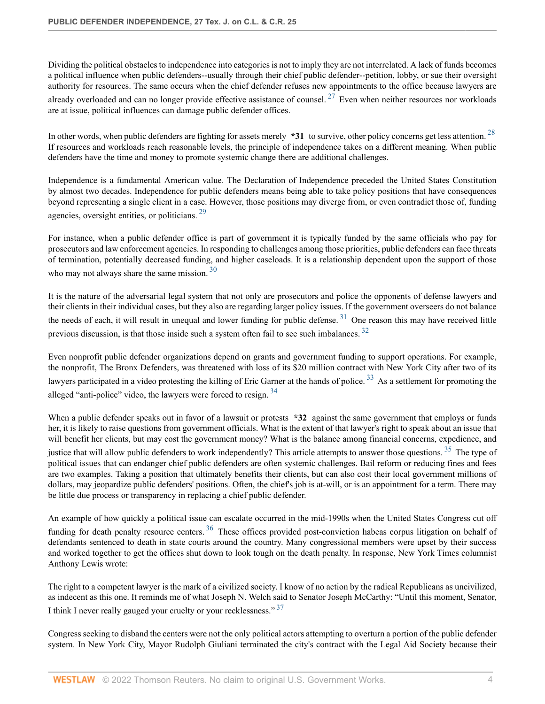<span id="page-3-0"></span>Dividing the political obstacles to independence into categories is not to imply they are not interrelated. A lack of funds becomes a political influence when public defenders--usually through their chief public defender--petition, lobby, or sue their oversight authority for resources. The same occurs when the chief defender refuses new appointments to the office because lawyers are already overloaded and can no longer provide effective assistance of counsel.  $27$  Even when neither resources nor workloads are at issue, political influences can damage public defender offices.

<span id="page-3-1"></span>In other words, when public defenders are fighting for assets merely **\*31** to survive, other policy concerns get less attention. [28](#page-23-3) If resources and workloads reach reasonable levels, the principle of independence takes on a different meaning. When public defenders have the time and money to promote systemic change there are additional challenges.

<span id="page-3-2"></span>Independence is a fundamental American value. The Declaration of Independence preceded the United States Constitution by almost two decades. Independence for public defenders means being able to take policy positions that have consequences beyond representing a single client in a case. However, those positions may diverge from, or even contradict those of, funding agencies, oversight entities, or politicians. [29](#page-23-4)

<span id="page-3-3"></span>For instance, when a public defender office is part of government it is typically funded by the same officials who pay for prosecutors and law enforcement agencies. In responding to challenges among those priorities, public defenders can face threats of termination, potentially decreased funding, and higher caseloads. It is a relationship dependent upon the support of those who may not always share the same mission.<sup>[30](#page-23-5)</sup>

<span id="page-3-4"></span>It is the nature of the adversarial legal system that not only are prosecutors and police the opponents of defense lawyers and their clients in their individual cases, but they also are regarding larger policy issues. If the government overseers do not balance the needs of each, it will result in unequal and lower funding for public defense.<sup>[31](#page-23-6)</sup> One reason this may have received little previous discussion, is that those inside such a system often fail to see such imbalances.  $32$ 

<span id="page-3-6"></span><span id="page-3-5"></span>Even nonprofit public defender organizations depend on grants and government funding to support operations. For example, the nonprofit, The Bronx Defenders, was threatened with loss of its \$20 million contract with New York City after two of its lawyers participated in a video protesting the killing of Eric Garner at the hands of police.<sup>[33](#page-23-8)</sup> As a settlement for promoting the alleged "anti-police" video, the lawyers were forced to resign. <sup>[34](#page-23-9)</sup>

<span id="page-3-8"></span><span id="page-3-7"></span>When a public defender speaks out in favor of a lawsuit or protests **\*32** against the same government that employs or funds her, it is likely to raise questions from government officials. What is the extent of that lawyer's right to speak about an issue that will benefit her clients, but may cost the government money? What is the balance among financial concerns, expedience, and justice that will allow public defenders to work independently? This article attempts to answer those questions. <sup>[35](#page-23-10)</sup> The type of political issues that can endanger chief public defenders are often systemic challenges. Bail reform or reducing fines and fees are two examples. Taking a position that ultimately benefits their clients, but can also cost their local government millions of dollars, may jeopardize public defenders' positions. Often, the chief's job is at-will, or is an appointment for a term. There may be little due process or transparency in replacing a chief public defender.

<span id="page-3-9"></span>An example of how quickly a political issue can escalate occurred in the mid-1990s when the United States Congress cut off funding for death penalty resource centers.  $36$  These offices provided post-conviction habeas corpus litigation on behalf of defendants sentenced to death in state courts around the country. Many congressional members were upset by their success and worked together to get the offices shut down to look tough on the death penalty. In response, New York Times columnist Anthony Lewis wrote:

<span id="page-3-10"></span>The right to a competent lawyer is the mark of a civilized society. I know of no action by the radical Republicans as uncivilized, as indecent as this one. It reminds me of what Joseph N. Welch said to Senator Joseph McCarthy: "Until this moment, Senator, I think I never really gauged your cruelty or your recklessness." [37](#page-23-12)

Congress seeking to disband the centers were not the only political actors attempting to overturn a portion of the public defender system. In New York City, Mayor Rudolph Giuliani terminated the city's contract with the Legal Aid Society because their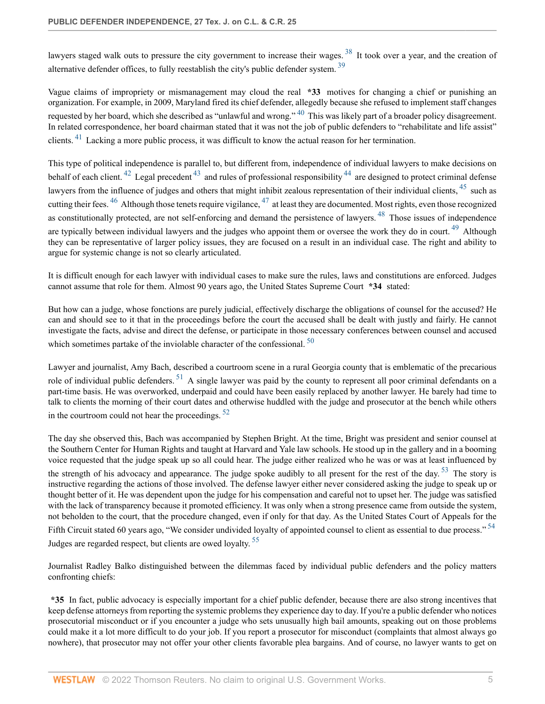<span id="page-4-1"></span><span id="page-4-0"></span>lawyers staged walk outs to pressure the city government to increase their wages.<sup>[38](#page-23-13)</sup> It took over a year, and the creation of alternative defender offices, to fully reestablish the city's public defender system. [39](#page-23-14)

<span id="page-4-2"></span>Vague claims of impropriety or mismanagement may cloud the real **\*33** motives for changing a chief or punishing an organization. For example, in 2009, Maryland fired its chief defender, allegedly because she refused to implement staff changes requested by her board, which she described as "unlawful and wrong." <sup>[40](#page-23-15)</sup> This was likely part of a broader policy disagreement. In related correspondence, her board chairman stated that it was not the job of public defenders to "rehabilitate and life assist" clients. <sup>[41](#page-23-16)</sup> Lacking a more public process, it was difficult to know the actual reason for her termination.

<span id="page-4-10"></span><span id="page-4-9"></span><span id="page-4-8"></span><span id="page-4-7"></span><span id="page-4-6"></span><span id="page-4-5"></span><span id="page-4-4"></span><span id="page-4-3"></span>This type of political independence is parallel to, but different from, independence of individual lawyers to make decisions on behalf of each client. <sup>[42](#page-24-0)</sup> Legal precedent <sup>[43](#page-24-1)</sup> and rules of professional responsibility <sup>[44](#page-24-2)</sup> are designed to protect criminal defense lawyers from the influence of judges and others that might inhibit zealous representation of their individual clients, <sup>[45](#page-24-3)</sup> such as cutting their fees.  $^{46}$  $^{46}$  $^{46}$  Although those tenets require vigilance,  $^{47}$  $^{47}$  $^{47}$  at least they are documented. Most rights, even those recognized as constitutionally protected, are not self-enforcing and demand the persistence of lawyers. <sup>[48](#page-24-6)</sup> Those issues of independence are typically between individual lawyers and the judges who appoint them or oversee the work they do in court.<sup>[49](#page-24-7)</sup> Although they can be representative of larger policy issues, they are focused on a result in an individual case. The right and ability to argue for systemic change is not so clearly articulated.

<span id="page-4-11"></span>It is difficult enough for each lawyer with individual cases to make sure the rules, laws and constitutions are enforced. Judges cannot assume that role for them. Almost 90 years ago, the United States Supreme Court **\*34** stated:

<span id="page-4-12"></span>But how can a judge, whose fonctions are purely judicial, effectively discharge the obligations of counsel for the accused? He can and should see to it that in the proceedings before the court the accused shall be dealt with justly and fairly. He cannot investigate the facts, advise and direct the defense, or participate in those necessary conferences between counsel and accused which sometimes partake of the inviolable character of the confessional.  $50$ 

<span id="page-4-13"></span>Lawyer and journalist, Amy Bach, described a courtroom scene in a rural Georgia county that is emblematic of the precarious role of individual public defenders.  $51$  A single lawyer was paid by the county to represent all poor criminal defendants on a part-time basis. He was overworked, underpaid and could have been easily replaced by another lawyer. He barely had time to talk to clients the morning of their court dates and otherwise huddled with the judge and prosecutor at the bench while others in the courtroom could not hear the proceedings.  $52$ 

<span id="page-4-15"></span><span id="page-4-14"></span>The day she observed this, Bach was accompanied by Stephen Bright. At the time, Bright was president and senior counsel at the Southern Center for Human Rights and taught at Harvard and Yale law schools. He stood up in the gallery and in a booming voice requested that the judge speak up so all could hear. The judge either realized who he was or was at least influenced by the strength of his advocacy and appearance. The judge spoke audibly to all present for the rest of the day.  $53$  The story is instructive regarding the actions of those involved. The defense lawyer either never considered asking the judge to speak up or thought better of it. He was dependent upon the judge for his compensation and careful not to upset her. The judge was satisfied with the lack of transparency because it promoted efficiency. It was only when a strong presence came from outside the system, not beholden to the court, that the procedure changed, even if only for that day. As the United States Court of Appeals for the Fifth Circuit stated 60 years ago, "We consider undivided loyalty of appointed counsel to client as essential to due process."<sup>[54](#page-24-12)</sup> Judges are regarded respect, but clients are owed loyalty. [55](#page-24-13)

<span id="page-4-17"></span><span id="page-4-16"></span>Journalist Radley Balko distinguished between the dilemmas faced by individual public defenders and the policy matters confronting chiefs:

**\*35** In fact, public advocacy is especially important for a chief public defender, because there are also strong incentives that keep defense attorneys from reporting the systemic problems they experience day to day. If you're a public defender who notices prosecutorial misconduct or if you encounter a judge who sets unusually high bail amounts, speaking out on those problems could make it a lot more difficult to do your job. If you report a prosecutor for misconduct (complaints that almost always go nowhere), that prosecutor may not offer your other clients favorable plea bargains. And of course, no lawyer wants to get on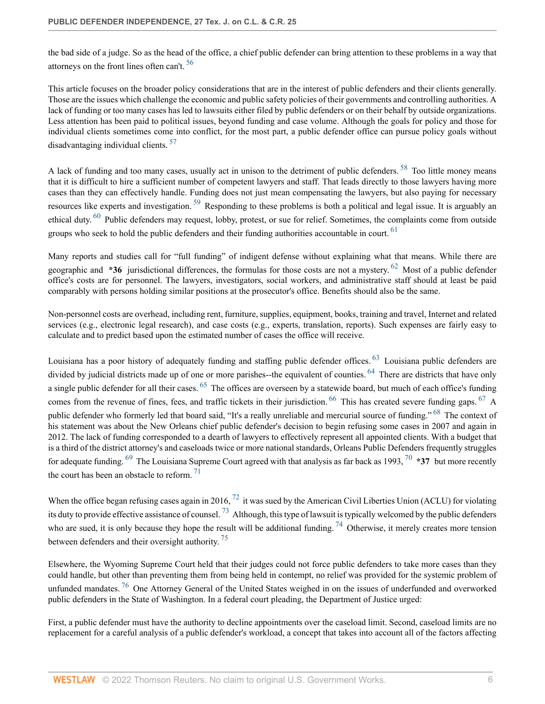<span id="page-5-0"></span>the bad side of a judge. So as the head of the office, a chief public defender can bring attention to these problems in a way that attorneys on the front lines often can't.<sup>[56](#page-24-14)</sup>

This article focuses on the broader policy considerations that are in the interest of public defenders and their clients generally. Those are the issues which challenge the economic and public safety policies of their governments and controlling authorities. A lack of funding or too many cases has led to lawsuits either filed by public defenders or on their behalf by outside organizations. Less attention has been paid to political issues, beyond funding and case volume. Although the goals for policy and those for individual clients sometimes come into conflict, for the most part, a public defender office can pursue policy goals without disadvantaging individual clients. [57](#page-24-15)

<span id="page-5-3"></span><span id="page-5-2"></span><span id="page-5-1"></span>A lack of funding and too many cases, usually act in unison to the detriment of public defenders. <sup>[58](#page-24-16)</sup> Too little money means that it is difficult to hire a sufficient number of competent lawyers and staff. That leads directly to those lawyers having more cases than they can effectively handle. Funding does not just mean compensating the lawyers, but also paying for necessary resources like experts and investigation.<sup>[59](#page-25-0)</sup> Responding to these problems is both a political and legal issue. It is arguably an ethical duty. [60](#page-25-1) Public defenders may request, lobby, protest, or sue for relief. Sometimes, the complaints come from outside groups who seek to hold the public defenders and their funding authorities accountable in court.  $61$ 

<span id="page-5-6"></span><span id="page-5-5"></span><span id="page-5-4"></span>Many reports and studies call for "full funding" of indigent defense without explaining what that means. While there are geographic and **\*36** jurisdictional differences, the formulas for those costs are not a mystery. [62](#page-25-3) Most of a public defender office's costs are for personnel. The lawyers, investigators, social workers, and administrative staff should at least be paid comparably with persons holding similar positions at the prosecutor's office. Benefits should also be the same.

Non-personnel costs are overhead, including rent, furniture, supplies, equipment, books, training and travel, Internet and related services (e.g., electronic legal research), and case costs (e.g., experts, translation, reports). Such expenses are fairly easy to calculate and to predict based upon the estimated number of cases the office will receive.

<span id="page-5-12"></span><span id="page-5-11"></span><span id="page-5-10"></span><span id="page-5-9"></span><span id="page-5-8"></span><span id="page-5-7"></span>Louisiana has a poor history of adequately funding and staffing public defender offices. <sup>[63](#page-25-4)</sup> Louisiana public defenders are divided by judicial districts made up of one or more parishes--the equivalent of counties. <sup>[64](#page-25-5)</sup> There are districts that have only a single public defender for all their cases. <sup>[65](#page-25-6)</sup> The offices are overseen by a statewide board, but much of each office's funding comes from the revenue of fines, fees, and traffic tickets in their jurisdiction.  $^{66}$  $^{66}$  $^{66}$  This has created severe funding gaps.  $^{67}$  $^{67}$  $^{67}$  A public defender who formerly led that board said, "It's a really unreliable and mercurial source of funding." <sup>[68](#page-25-9)</sup> The context of his statement was about the New Orleans chief public defender's decision to begin refusing some cases in 2007 and again in 2012. The lack of funding corresponded to a dearth of lawyers to effectively represent all appointed clients. With a budget that is a third of the district attorney's and caseloads twice or more national standards, Orleans Public Defenders frequently struggles for adequate funding. [69](#page-25-10) The Louisiana Supreme Court agreed with that analysis as far back as 1993, [70](#page-25-11) **\*37** but more recently the court has been an obstacle to reform.  $71$ 

<span id="page-5-18"></span><span id="page-5-17"></span><span id="page-5-16"></span><span id="page-5-15"></span><span id="page-5-14"></span><span id="page-5-13"></span>When the office began refusing cases again in 2016,  $^{72}$  $^{72}$  $^{72}$  it was sued by the American Civil Liberties Union (ACLU) for violating its duty to provide effective assistance of counsel.<sup>[73](#page-25-14)</sup> Although, this type of lawsuit is typically welcomed by the public defenders who are sued, it is only because they hope the result will be additional funding.  $^{74}$  $^{74}$  $^{74}$  Otherwise, it merely creates more tension between defenders and their oversight authority.<sup>[75](#page-26-0)</sup>

<span id="page-5-20"></span><span id="page-5-19"></span>Elsewhere, the Wyoming Supreme Court held that their judges could not force public defenders to take more cases than they could handle, but other than preventing them from being held in contempt, no relief was provided for the systemic problem of unfunded mandates.<sup>[76](#page-26-1)</sup> One Attorney General of the United States weighed in on the issues of underfunded and overworked public defenders in the State of Washington. In a federal court pleading, the Department of Justice urged:

First, a public defender must have the authority to decline appointments over the caseload limit. Second, caseload limits are no replacement for a careful analysis of a public defender's workload, a concept that takes into account all of the factors affecting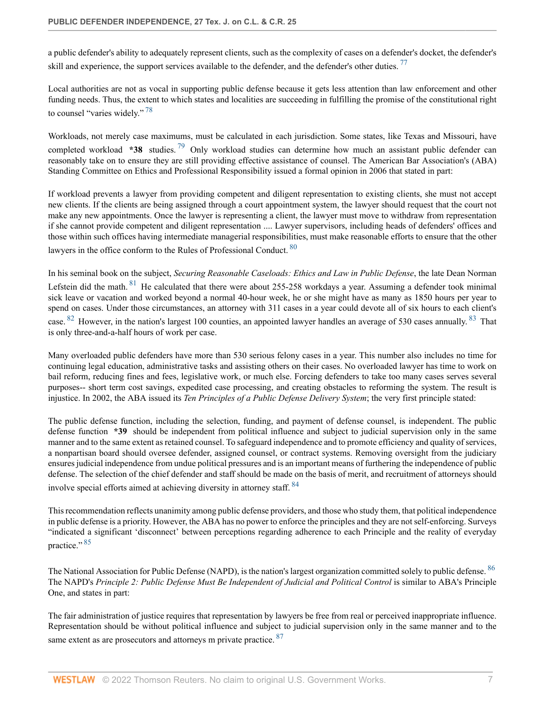<span id="page-6-0"></span>a public defender's ability to adequately represent clients, such as the complexity of cases on a defender's docket, the defender's skill and experience, the support services available to the defender, and the defender's other duties.<sup>[77](#page-26-2)</sup>

<span id="page-6-1"></span>Local authorities are not as vocal in supporting public defense because it gets less attention than law enforcement and other funding needs. Thus, the extent to which states and localities are succeeding in fulfilling the promise of the constitutional right to counsel "varies widely." [78](#page-26-3)

<span id="page-6-2"></span>Workloads, not merely case maximums, must be calculated in each jurisdiction. Some states, like Texas and Missouri, have completed workload **\*38** studies.<sup>[79](#page-26-4)</sup> Only workload studies can determine how much an assistant public defender can reasonably take on to ensure they are still providing effective assistance of counsel. The American Bar Association's (ABA) Standing Committee on Ethics and Professional Responsibility issued a formal opinion in 2006 that stated in part:

If workload prevents a lawyer from providing competent and diligent representation to existing clients, she must not accept new clients. If the clients are being assigned through a court appointment system, the lawyer should request that the court not make any new appointments. Once the lawyer is representing a client, the lawyer must move to withdraw from representation if she cannot provide competent and diligent representation .... Lawyer supervisors, including heads of defenders' offices and those within such offices having intermediate managerial responsibilities, must make reasonable efforts to ensure that the other

<span id="page-6-3"></span>lawyers in the office conform to the Rules of Professional Conduct. <sup>[80](#page-26-5)</sup>

<span id="page-6-4"></span>In his seminal book on the subject, *Securing Reasonable Caseloads: Ethics and Law in Public Defense*, the late Dean Norman

<span id="page-6-6"></span><span id="page-6-5"></span>Lefstein did the math. <sup>[81](#page-26-6)</sup> He calculated that there were about 255-258 workdays a year. Assuming a defender took minimal sick leave or vacation and worked beyond a normal 40-hour week, he or she might have as many as 1850 hours per year to spend on cases. Under those circumstances, an attorney with 311 cases in a year could devote all of six hours to each client's case. <sup>[82](#page-26-7)</sup> However, in the nation's largest 100 counties, an appointed lawyer handles an average of 530 cases annually. <sup>[83](#page-26-8)</sup> That is only three-and-a-half hours of work per case.

Many overloaded public defenders have more than 530 serious felony cases in a year. This number also includes no time for continuing legal education, administrative tasks and assisting others on their cases. No overloaded lawyer has time to work on bail reform, reducing fines and fees, legislative work, or much else. Forcing defenders to take too many cases serves several purposes-- short term cost savings, expedited case processing, and creating obstacles to reforming the system. The result is injustice. In 2002, the ABA issued its *Ten Principles of a Public Defense Delivery System*; the very first principle stated:

The public defense function, including the selection, funding, and payment of defense counsel, is independent. The public defense function **\*39** should be independent from political influence and subject to judicial supervision only in the same manner and to the same extent as retained counsel. To safeguard independence and to promote efficiency and quality of services, a nonpartisan board should oversee defender, assigned counsel, or contract systems. Removing oversight from the judiciary ensures judicial independence from undue political pressures and is an important means of furthering the independence of public defense. The selection of the chief defender and staff should be made on the basis of merit, and recruitment of attorneys should involve special efforts aimed at achieving diversity in attorney staff. [84](#page-26-9)

<span id="page-6-8"></span><span id="page-6-7"></span>This recommendation reflects unanimity among public defense providers, and those who study them, that political independence in public defense is a priority. However, the ABA has no power to enforce the principles and they are not self-enforcing. Surveys "indicated a significant 'disconnect' between perceptions regarding adherence to each Principle and the reality of everyday practice."<sup>[85](#page-26-10)</sup>

<span id="page-6-9"></span>The National Association for Public Defense (NAPD), is the nation's largest organization committed solely to public defense. <sup>[86](#page-26-11)</sup> The NAPD's *Principle 2: Public Defense Must Be Independent of Judicial and Political Control* is similar to ABA's Principle One, and states in part:

<span id="page-6-10"></span>The fair administration of justice requires that representation by lawyers be free from real or perceived inappropriate influence. Representation should be without political influence and subject to judicial supervision only in the same manner and to the same extent as are prosecutors and attorneys m private practice. <sup>[87](#page-26-12)</sup>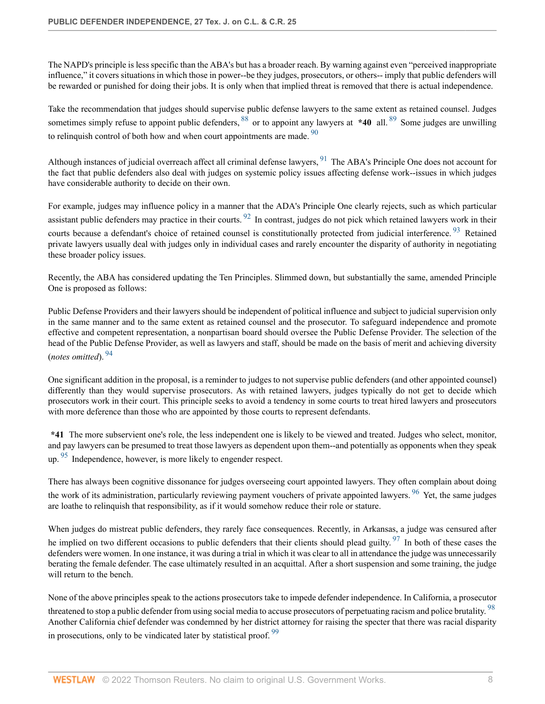The NAPD's principle is less specific than the ABA's but has a broader reach. By warning against even "perceived inappropriate influence," it covers situations in which those in power--be they judges, prosecutors, or others-- imply that public defenders will be rewarded or punished for doing their jobs. It is only when that implied threat is removed that there is actual independence.

<span id="page-7-2"></span><span id="page-7-1"></span><span id="page-7-0"></span>Take the recommendation that judges should supervise public defense lawyers to the same extent as retained counsel. Judges sometimes simply refuse to appoint public defenders, <sup>[88](#page-26-13)</sup> or to appoint any lawyers at **\*40** all. <sup>[89](#page-26-14)</sup> Some judges are unwilling to relinquish control of both how and when court appointments are made.  $90$ 

<span id="page-7-3"></span>Although instances of judicial overreach affect all criminal defense lawyers,  $91$  The ABA's Principle One does not account for the fact that public defenders also deal with judges on systemic policy issues affecting defense work--issues in which judges have considerable authority to decide on their own.

<span id="page-7-5"></span><span id="page-7-4"></span>For example, judges may influence policy in a manner that the ADA's Principle One clearly rejects, such as which particular assistant public defenders may practice in their courts.  $92$  In contrast, judges do not pick which retained lawyers work in their courts because a defendant's choice of retained counsel is constitutionally protected from judicial interference. <sup>[93](#page-27-1)</sup> Retained private lawyers usually deal with judges only in individual cases and rarely encounter the disparity of authority in negotiating these broader policy issues.

Recently, the ABA has considered updating the Ten Principles. Slimmed down, but substantially the same, amended Principle One is proposed as follows:

Public Defense Providers and their lawyers should be independent of political influence and subject to judicial supervision only in the same manner and to the same extent as retained counsel and the prosecutor. To safeguard independence and promote effective and competent representation, a nonpartisan board should oversee the Public Defense Provider. The selection of the head of the Public Defense Provider, as well as lawyers and staff, should be made on the basis of merit and achieving diversity (*notes omitted*). [94](#page-27-2)

<span id="page-7-6"></span>One significant addition in the proposal, is a reminder to judges to not supervise public defenders (and other appointed counsel) differently than they would supervise prosecutors. As with retained lawyers, judges typically do not get to decide which prosecutors work in their court. This principle seeks to avoid a tendency in some courts to treat hired lawyers and prosecutors with more deference than those who are appointed by those courts to represent defendants.

<span id="page-7-7"></span>**\*41** The more subservient one's role, the less independent one is likely to be viewed and treated. Judges who select, monitor, and pay lawyers can be presumed to treat those lawyers as dependent upon them--and potentially as opponents when they speak up. [95](#page-27-3) Independence, however, is more likely to engender respect.

<span id="page-7-8"></span>There has always been cognitive dissonance for judges overseeing court appointed lawyers. They often complain about doing the work of its administration, particularly reviewing payment vouchers of private appointed lawyers. <sup>[96](#page-27-4)</sup> Yet, the same judges are loathe to relinquish that responsibility, as if it would somehow reduce their role or stature.

<span id="page-7-9"></span>When judges do mistreat public defenders, they rarely face consequences. Recently, in Arkansas, a judge was censured after he implied on two different occasions to public defenders that their clients should plead guilty.  $97$  In both of these cases the defenders were women. In one instance, it was during a trial in which it was clear to all in attendance the judge was unnecessarily berating the female defender. The case ultimately resulted in an acquittal. After a short suspension and some training, the judge will return to the bench.

<span id="page-7-11"></span><span id="page-7-10"></span>None of the above principles speak to the actions prosecutors take to impede defender independence. In California, a prosecutor threatened to stop a public defender from using social media to accuse prosecutors of perpetuating racism and police brutality.<sup>[98](#page-27-6)</sup> Another California chief defender was condemned by her district attorney for raising the specter that there was racial disparity in prosecutions, only to be vindicated later by statistical proof.<sup>[99](#page-27-7)</sup>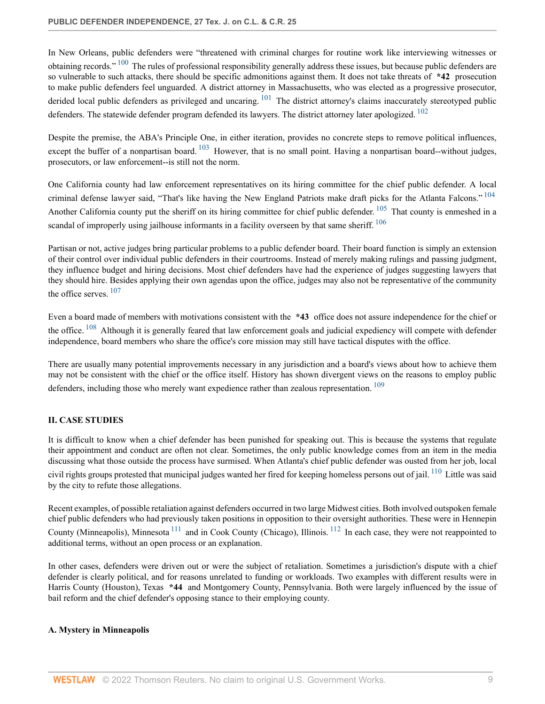<span id="page-8-2"></span>In New Orleans, public defenders were "threatened with criminal charges for routine work like interviewing witnesses or obtaining records." <sup>[100](#page-27-8)</sup> The rules of professional responsibility generally address these issues, but because public defenders are so vulnerable to such attacks, there should be specific admonitions against them. It does not take threats of **\*42** prosecution to make public defenders feel unguarded. A district attorney in Massachusetts, who was elected as a progressive prosecutor, derided local public defenders as privileged and uncaring.  $101$  The district attorney's claims inaccurately stereotyped public defenders. The statewide defender program defended its lawyers. The district attorney later apologized. <sup>[102](#page-27-10)</sup>

<span id="page-8-5"></span><span id="page-8-4"></span><span id="page-8-3"></span>Despite the premise, the ABA's Principle One, in either iteration, provides no concrete steps to remove political influences, except the buffer of a nonpartisan board. <sup>[103](#page-27-11)</sup> However, that is no small point. Having a nonpartisan board--without judges, prosecutors, or law enforcement--is still not the norm.

<span id="page-8-7"></span><span id="page-8-6"></span>One California county had law enforcement representatives on its hiring committee for the chief public defender. A local criminal defense lawyer said, "That's like having the New England Patriots make draft picks for the Atlanta Falcons." <sup>[104](#page-27-12)</sup> Another California county put the sheriff on its hiring committee for chief public defender. <sup>[105](#page-27-13)</sup> That county is enmeshed in a scandal of improperly using jailhouse informants in a facility overseen by that same sheriff. <sup>[106](#page-27-14)</sup>

<span id="page-8-8"></span>Partisan or not, active judges bring particular problems to a public defender board. Their board function is simply an extension of their control over individual public defenders in their courtrooms. Instead of merely making rulings and passing judgment, they influence budget and hiring decisions. Most chief defenders have had the experience of judges suggesting lawyers that they should hire. Besides applying their own agendas upon the office, judges may also not be representative of the community the office serves.  $107$ 

<span id="page-8-10"></span><span id="page-8-9"></span>Even a board made of members with motivations consistent with the **\*43** office does not assure independence for the chief or the office.  $108$  Although it is generally feared that law enforcement goals and judicial expediency will compete with defender independence, board members who share the office's core mission may still have tactical disputes with the office.

<span id="page-8-11"></span>There are usually many potential improvements necessary in any jurisdiction and a board's views about how to achieve them may not be consistent with the chief or the office itself. History has shown divergent views on the reasons to employ public defenders, including those who merely want expedience rather than zealous representation. <sup>[109](#page-28-2)</sup>

# <span id="page-8-0"></span>**II. CASE STUDIES**

<span id="page-8-12"></span>It is difficult to know when a chief defender has been punished for speaking out. This is because the systems that regulate their appointment and conduct are often not clear. Sometimes, the only public knowledge comes from an item in the media discussing what those outside the process have surmised. When Atlanta's chief public defender was ousted from her job, local civil rights groups protested that municipal judges wanted her fired for keeping homeless persons out of jail. [110](#page-28-3) Little was said by the city to refute those allegations.

<span id="page-8-14"></span><span id="page-8-13"></span>Recent examples, of possible retaliation against defenders occurred in two large Midwest cities. Both involved outspoken female chief public defenders who had previously taken positions in opposition to their oversight authorities. These were in Hennepin County (Minneapolis), Minnesota [111](#page-28-4) and in Cook County (Chicago), Illinois. [112](#page-28-5) In each case, they were not reappointed to additional terms, without an open process or an explanation.

In other cases, defenders were driven out or were the subject of retaliation. Sometimes a jurisdiction's dispute with a chief defender is clearly political, and for reasons unrelated to funding or workloads. Two examples with different results were in Harris County (Houston), Texas **\*44** and Montgomery County, Pennsylvania. Both were largely influenced by the issue of bail reform and the chief defender's opposing stance to their employing county.

#### <span id="page-8-1"></span>**A. Mystery in Minneapolis**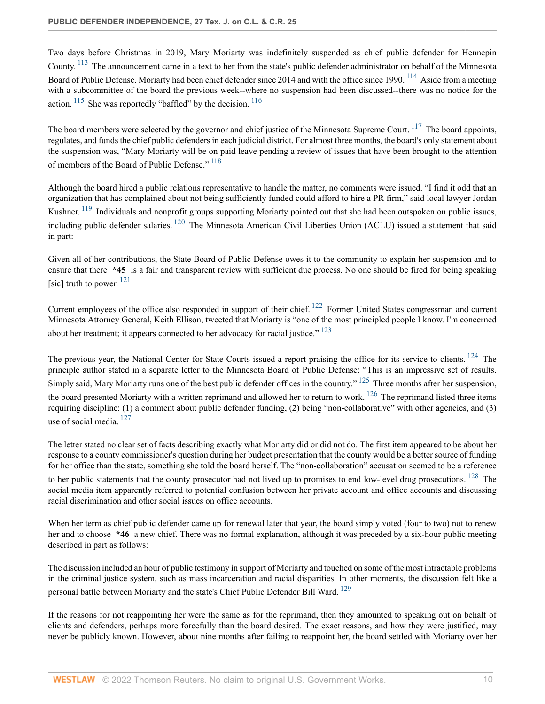<span id="page-9-1"></span><span id="page-9-0"></span>Two days before Christmas in 2019, Mary Moriarty was indefinitely suspended as chief public defender for Hennepin County. <sup>[113](#page-28-6)</sup> The announcement came in a text to her from the state's public defender administrator on behalf of the Minnesota Board of Public Defense. Moriarty had been chief defender since 2014 and with the office since 1990. <sup>[114](#page-28-7)</sup> Aside from a meeting with a subcommittee of the board the previous week--where no suspension had been discussed--there was no notice for the action.  $115$  She was reportedly "baffled" by the decision.  $116$ 

<span id="page-9-4"></span><span id="page-9-3"></span><span id="page-9-2"></span>The board members were selected by the governor and chief justice of the Minnesota Supreme Court.<sup>[117](#page-28-10)</sup> The board appoints, regulates, and funds the chief public defenders in each judicial district. For almost three months, the board's only statement about the suspension was, "Mary Moriarty will be on paid leave pending a review of issues that have been brought to the attention of members of the Board of Public Defense."<sup>[118](#page-28-11)</sup>

<span id="page-9-7"></span><span id="page-9-6"></span><span id="page-9-5"></span>Although the board hired a public relations representative to handle the matter, no comments were issued. "I find it odd that an organization that has complained about not being sufficiently funded could afford to hire a PR firm," said local lawyer Jordan Kushner. <sup>[119](#page-28-12)</sup> Individuals and nonprofit groups supporting Moriarty pointed out that she had been outspoken on public issues, including public defender salaries. [120](#page-28-13) The Minnesota American Civil Liberties Union (ACLU) issued a statement that said in part:

<span id="page-9-8"></span>Given all of her contributions, the State Board of Public Defense owes it to the community to explain her suspension and to ensure that there **\*45** is a fair and transparent review with sufficient due process. No one should be fired for being speaking [sic] truth to power.  $^{121}$  $^{121}$  $^{121}$ 

<span id="page-9-10"></span><span id="page-9-9"></span>Current employees of the office also responded in support of their chief. [122](#page-28-15) Former United States congressman and current Minnesota Attorney General, Keith Ellison, tweeted that Moriarty is "one of the most principled people I know. I'm concerned about her treatment; it appears connected to her advocacy for racial justice."<sup>[123](#page-28-16)</sup>

<span id="page-9-13"></span><span id="page-9-12"></span><span id="page-9-11"></span>The previous year, the National Center for State Courts issued a report praising the office for its service to clients. <sup>[124](#page-29-0)</sup> The principle author stated in a separate letter to the Minnesota Board of Public Defense: "This is an impressive set of results. Simply said, Mary Moriarty runs one of the best public defender offices in the country."  $^{125}$  $^{125}$  $^{125}$  Three months after her suspension, the board presented Moriarty with a written reprimand and allowed her to return to work.  $^{126}$  $^{126}$  $^{126}$  The reprimand listed three items requiring discipline: (1) a comment about public defender funding, (2) being "non-collaborative" with other agencies, and (3) use of social media. [127](#page-29-3)

<span id="page-9-14"></span>The letter stated no clear set of facts describing exactly what Moriarty did or did not do. The first item appeared to be about her response to a county commissioner's question during her budget presentation that the county would be a better source of funding for her office than the state, something she told the board herself. The "non-collaboration" accusation seemed to be a reference

<span id="page-9-15"></span>to her public statements that the county prosecutor had not lived up to promises to end low-level drug prosecutions. <sup>[128](#page-29-4)</sup> The social media item apparently referred to potential confusion between her private account and office accounts and discussing racial discrimination and other social issues on office accounts.

When her term as chief public defender came up for renewal later that year, the board simply voted (four to two) not to renew her and to choose **\*46** a new chief. There was no formal explanation, although it was preceded by a six-hour public meeting described in part as follows:

<span id="page-9-16"></span>The discussion included an hour of public testimony in support of Moriarty and touched on some of the most intractable problems in the criminal justice system, such as mass incarceration and racial disparities. In other moments, the discussion felt like a personal battle between Moriarty and the state's Chief Public Defender Bill Ward. <sup>[129](#page-29-5)</sup>

If the reasons for not reappointing her were the same as for the reprimand, then they amounted to speaking out on behalf of clients and defenders, perhaps more forcefully than the board desired. The exact reasons, and how they were justified, may never be publicly known. However, about nine months after failing to reappoint her, the board settled with Moriarty over her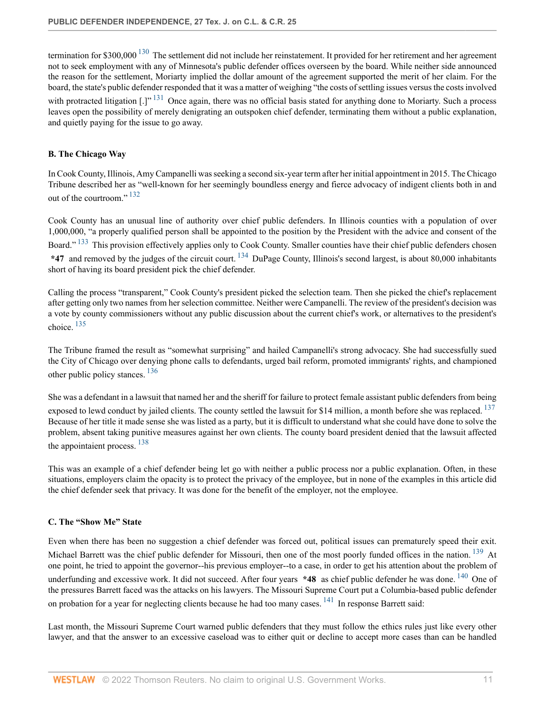<span id="page-10-3"></span><span id="page-10-2"></span>termination for \$300,000<sup>[130](#page-29-6)</sup> The settlement did not include her reinstatement. It provided for her retirement and her agreement not to seek employment with any of Minnesota's public defender offices overseen by the board. While neither side announced the reason for the settlement, Moriarty implied the dollar amount of the agreement supported the merit of her claim. For the board, the state's public defender responded that it was a matter of weighing "the costs of settling issues versus the costs involved with protracted litigation  $[.]^{131}$  $[.]^{131}$  $[.]^{131}$  Once again, there was no official basis stated for anything done to Moriarty. Such a process leaves open the possibility of merely denigrating an outspoken chief defender, terminating them without a public explanation, and quietly paying for the issue to go away.

# <span id="page-10-0"></span>**B. The Chicago Way**

<span id="page-10-4"></span>In Cook County, Illinois, Amy Campanelli was seeking a second six-year term after her initial appointment in 2015. The Chicago Tribune described her as "well-known for her seemingly boundless energy and fierce advocacy of indigent clients both in and out of the courtroom."  $132$ 

<span id="page-10-6"></span><span id="page-10-5"></span>Cook County has an unusual line of authority over chief public defenders. In Illinois counties with a population of over 1,000,000, "a properly qualified person shall be appointed to the position by the President with the advice and consent of the Board."<sup>[133](#page-29-9)</sup> This provision effectively applies only to Cook County. Smaller counties have their chief public defenders chosen **\*47** and removed by the judges of the circuit court. [134](#page-29-10) DuPage County, Illinois's second largest, is about 80,000 inhabitants short of having its board president pick the chief defender.

<span id="page-10-7"></span>Calling the process "transparent," Cook County's president picked the selection team. Then she picked the chief's replacement after getting only two names from her selection committee. Neither were Campanelli. The review of the president's decision was a vote by county commissioners without any public discussion about the current chief's work, or alternatives to the president's choice. [135](#page-29-11)

<span id="page-10-8"></span>The Tribune framed the result as "somewhat surprising" and hailed Campanelli's strong advocacy. She had successfully sued the City of Chicago over denying phone calls to defendants, urged bail reform, promoted immigrants' rights, and championed other public policy stances. [136](#page-29-12)

<span id="page-10-9"></span>She was a defendant in a lawsuit that named her and the sheriff for failure to protect female assistant public defenders from being exposed to lewd conduct by jailed clients. The county settled the lawsuit for \$14 million, a month before she was replaced. <sup>[137](#page-29-13)</sup> Because of her title it made sense she was listed as a party, but it is difficult to understand what she could have done to solve the problem, absent taking punitive measures against her own clients. The county board president denied that the lawsuit affected the appointaient process. <sup>[138](#page-29-14)</sup>

<span id="page-10-10"></span>This was an example of a chief defender being let go with neither a public process nor a public explanation. Often, in these situations, employers claim the opacity is to protect the privacy of the employee, but in none of the examples in this article did the chief defender seek that privacy. It was done for the benefit of the employer, not the employee.

#### <span id="page-10-1"></span>**C. The "Show Me" State**

<span id="page-10-12"></span><span id="page-10-11"></span>Even when there has been no suggestion a chief defender was forced out, political issues can prematurely speed their exit. Michael Barrett was the chief public defender for Missouri, then one of the most poorly funded offices in the nation.<sup>[139](#page-29-15)</sup> At one point, he tried to appoint the governor--his previous employer--to a case, in order to get his attention about the problem of underfunding and excessive work. It did not succeed. After four years **\*48** as chief public defender he was done. <sup>[140](#page-29-16)</sup> One of the pressures Barrett faced was the attacks on his lawyers. The Missouri Supreme Court put a Columbia-based public defender on probation for a year for neglecting clients because he had too many cases. <sup>[141](#page-29-17)</sup> In response Barrett said:

<span id="page-10-13"></span>Last month, the Missouri Supreme Court warned public defenders that they must follow the ethics rules just like every other lawyer, and that the answer to an excessive caseload was to either quit or decline to accept more cases than can be handled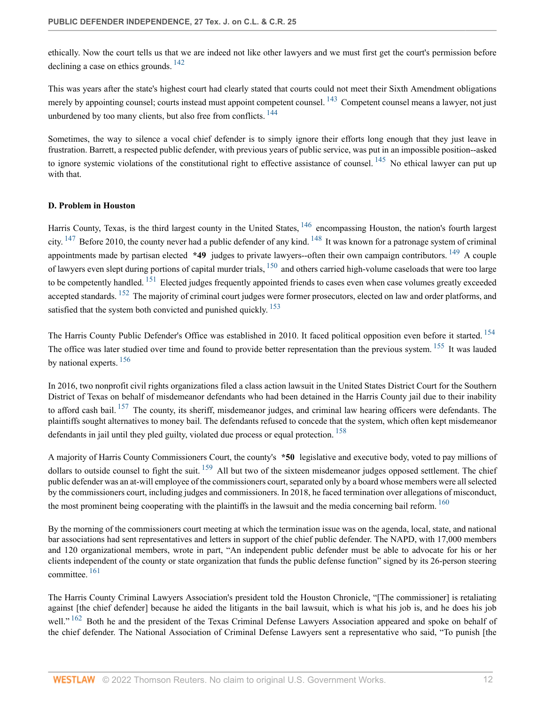<span id="page-11-1"></span>ethically. Now the court tells us that we are indeed not like other lawyers and we must first get the court's permission before declining a case on ethics grounds. [142](#page-30-0)

<span id="page-11-3"></span><span id="page-11-2"></span>This was years after the state's highest court had clearly stated that courts could not meet their Sixth Amendment obligations merely by appointing counsel; courts instead must appoint competent counsel. <sup>[143](#page-30-1)</sup> Competent counsel means a lawyer, not just unburdened by too many clients, but also free from conflicts.  $144$ 

<span id="page-11-4"></span>Sometimes, the way to silence a vocal chief defender is to simply ignore their efforts long enough that they just leave in frustration. Barrett, a respected public defender, with previous years of public service, was put in an impossible position--asked to ignore systemic violations of the constitutional right to effective assistance of counsel.  $^{145}$  $^{145}$  $^{145}$  No ethical lawyer can put up with that.

# <span id="page-11-5"></span><span id="page-11-0"></span>**D. Problem in Houston**

<span id="page-11-10"></span><span id="page-11-9"></span><span id="page-11-8"></span><span id="page-11-7"></span><span id="page-11-6"></span>Harris County, Texas, is the third largest county in the United States, <sup>[146](#page-30-4)</sup> encompassing Houston, the nation's fourth largest city.  $147$  Before 2010, the county never had a public defender of any kind.  $148$  It was known for a patronage system of criminal appointments made by partisan elected **\*49** judges to private lawyers--often their own campaign contributors. [149](#page-30-7) A couple of lawyers even slept during portions of capital murder trials,  $150$  and others carried high-volume caseloads that were too large to be competently handled. <sup>[151](#page-30-9)</sup> Elected judges frequently appointed friends to cases even when case volumes greatly exceeded accepted standards. <sup>[152](#page-30-10)</sup> The majority of criminal court judges were former prosecutors, elected on law and order platforms, and satisfied that the system both convicted and punished quickly. <sup>[153](#page-30-11)</sup>

<span id="page-11-15"></span><span id="page-11-14"></span><span id="page-11-13"></span><span id="page-11-12"></span><span id="page-11-11"></span>The Harris County Public Defender's Office was established in 2010. It faced political opposition even before it started. <sup>[154](#page-30-12)</sup> The office was later studied over time and found to provide better representation than the previous system. <sup>[155](#page-30-13)</sup> It was lauded by national experts. [156](#page-30-14)

<span id="page-11-16"></span>In 2016, two nonprofit civil rights organizations filed a class action lawsuit in the United States District Court for the Southern District of Texas on behalf of misdemeanor defendants who had been detained in the Harris County jail due to their inability to afford cash bail.  $157$  The county, its sheriff, misdemeanor judges, and criminal law hearing officers were defendants. The plaintiffs sought alternatives to money bail. The defendants refused to concede that the system, which often kept misdemeanor defendants in jail until they pled guilty, violated due process or equal protection. <sup>[158](#page-30-16)</sup>

<span id="page-11-18"></span><span id="page-11-17"></span>A majority of Harris County Commissioners Court, the county's **\*50** legislative and executive body, voted to pay millions of dollars to outside counsel to fight the suit. <sup>[159](#page-31-0)</sup> All but two of the sixteen misdemeanor judges opposed settlement. The chief public defender was an at-will employee of the commissioners court, separated only by a board whose members were all selected by the commissioners court, including judges and commissioners. In 2018, he faced termination over allegations of misconduct, the most prominent being cooperating with the plaintiffs in the lawsuit and the media concerning bail reform. <sup>[160](#page-31-1)</sup>

<span id="page-11-19"></span>By the morning of the commissioners court meeting at which the termination issue was on the agenda, local, state, and national bar associations had sent representatives and letters in support of the chief public defender. The NAPD, with 17,000 members and 120 organizational members, wrote in part, "An independent public defender must be able to advocate for his or her clients independent of the county or state organization that funds the public defense function" signed by its 26-person steering committee. [161](#page-31-2)

<span id="page-11-21"></span><span id="page-11-20"></span>The Harris County Criminal Lawyers Association's president told the Houston Chronicle, "[The commissioner] is retaliating against [the chief defender] because he aided the litigants in the bail lawsuit, which is what his job is, and he does his job well." <sup>[162](#page-31-3)</sup> Both he and the president of the Texas Criminal Defense Lawyers Association appeared and spoke on behalf of the chief defender. The National Association of Criminal Defense Lawyers sent a representative who said, "To punish [the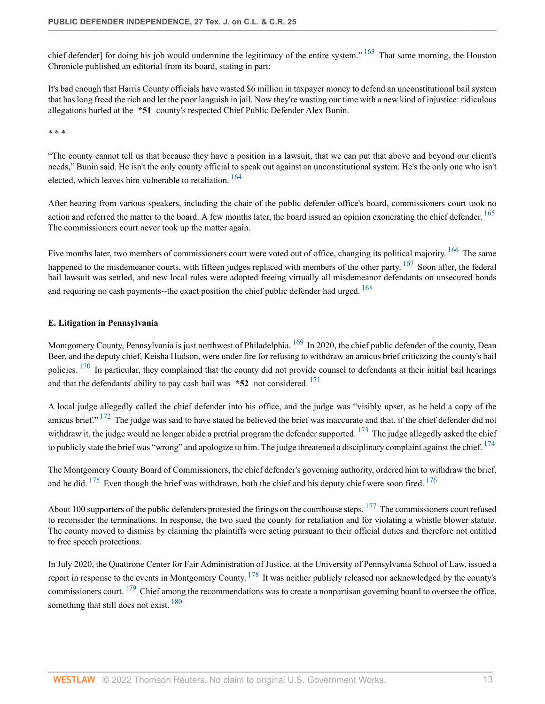<span id="page-12-1"></span>chief defender] for doing his job would undermine the legitimacy of the entire system." <sup>[163](#page-31-4)</sup> That same morning, the Houston Chronicle published an editorial from its board, stating in part:

It's bad enough that Harris County officials have wasted \$6 million in taxpayer money to defend an unconstitutional bail system that has long freed the rich and let the poor languish in jail. Now they're wasting our time with a new kind of injustice: ridiculous allegations hurled at the **\*51** county's respected Chief Public Defender Alex Bunin.

\* \* \*

<span id="page-12-2"></span>"The county cannot tell us that because they have a position in a lawsuit, that we can put that above and beyond our client's needs," Bunin said. He isn't the only county official to speak out against an unconstitutional system. He's the only one who isn't elected, which leaves him vulnerable to retaliation.<sup>[164](#page-31-5)</sup>

<span id="page-12-3"></span>After hearing from various speakers, including the chair of the public defender office's board, commissioners court took no action and referred the matter to the board. A few months later, the board issued an opinion exonerating the chief defender. <sup>[165](#page-31-6)</sup> The commissioners court never took up the matter again.

<span id="page-12-6"></span><span id="page-12-5"></span><span id="page-12-4"></span>Five months later, two members of commissioners court were voted out of office, changing its political majority. <sup>[166](#page-31-7)</sup> The same happened to the misdemeanor courts, with fifteen judges replaced with members of the other party. <sup>[167](#page-31-8)</sup> Soon after, the federal bail lawsuit was settled, and new local rules were adopted freeing virtually all misdemeanor defendants on unsecured bonds and requiring no cash payments--the exact position the chief public defender had urged.  $168$ 

### <span id="page-12-7"></span><span id="page-12-0"></span>**E. Litigation in Pennsylvania**

<span id="page-12-8"></span>Montgomery County, Pennsylvania is just northwest of Philadelphia. <sup>[169](#page-31-10)</sup> In 2020, the chief public defender of the county, Dean Beer, and the deputy chief, Keisha Hudson, were under fire for refusing to withdraw an amicus brief criticizing the county's bail policies. <sup>[170](#page-31-11)</sup> In particular, they complained that the county did not provide counsel to defendants at their initial bail hearings and that the defendants' ability to pay cash bail was **\*52** not considered. [171](#page-31-12)

<span id="page-12-11"></span><span id="page-12-10"></span><span id="page-12-9"></span>A local judge allegedly called the chief defender into his office, and the judge was "visibly upset, as he held a copy of the amicus brief." <sup>[172](#page-31-13)</sup> The judge was said to have stated he believed the brief was inaccurate and that, if the chief defender did not withdraw it, the judge would no longer abide a pretrial program the defender supported.  $^{173}$  $^{173}$  $^{173}$  The judge allegedly asked the chief to publicly state the brief was "wrong" and apologize to him. The judge threatened a disciplinary complaint against the chief. <sup>[174](#page-31-15)</sup>

<span id="page-12-14"></span><span id="page-12-13"></span><span id="page-12-12"></span>The Montgomery County Board of Commissioners, the chief defender's governing authority, ordered him to withdraw the brief, and he did.  $175$  Even though the brief was withdrawn, both the chief and his deputy chief were soon fired.  $176$ 

<span id="page-12-15"></span>About 100 supporters of the public defenders protested the firings on the courthouse steps.  $177$  The commissioners court refused to reconsider the terminations. In response, the two sued the county for retaliation and for violating a whistle blower statute. The county moved to dismiss by claiming the plaintiffs were acting pursuant to their official duties and therefore not entitled to free speech protections.

<span id="page-12-18"></span><span id="page-12-17"></span><span id="page-12-16"></span>In July 2020, the Quattrone Center for Fair Administration of Justice, at the University of Pennsylvania School of Law, issued a report in response to the events in Montgomery County.  $^{178}$  $^{178}$  $^{178}$  It was neither publicly released nor acknowledged by the county's commissioners court.  $179$  Chief among the recommendations was to create a nonpartisan governing board to oversee the office, something that still does not exist. <sup>[180](#page-32-5)</sup>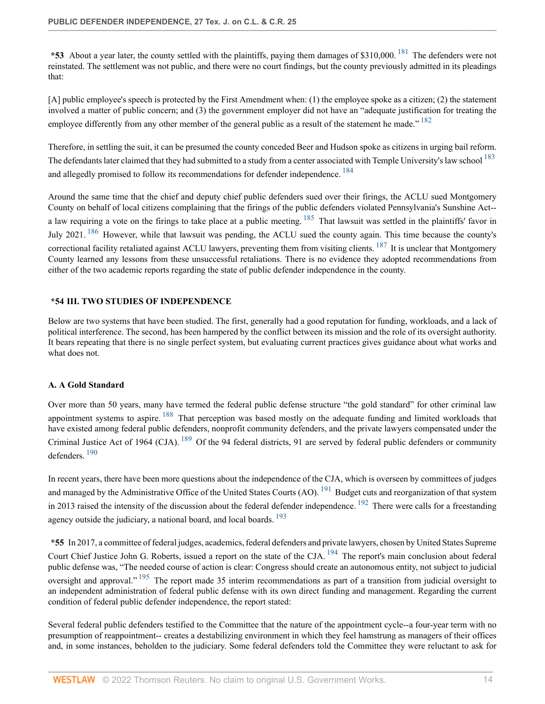<span id="page-13-2"></span>**\*53** About a year later, the county settled with the plaintiffs, paying them damages of \$310,000. [181](#page-32-6) The defenders were not reinstated. The settlement was not public, and there were no court findings, but the county previously admitted in its pleadings that:

<span id="page-13-3"></span>[A] public employee's speech is protected by the First Amendment when: (1) the employee spoke as a citizen; (2) the statement involved a matter of public concern; and (3) the government employer did not have an "adequate justification for treating the employee differently from any other member of the general public as a result of the statement he made."  $182$ 

<span id="page-13-5"></span><span id="page-13-4"></span>Therefore, in settling the suit, it can be presumed the county conceded Beer and Hudson spoke as citizens in urging bail reform. The defendants later claimed that they had submitted to a study from a center associated with Temple University's law school <sup>[183](#page-32-8)</sup> and allegedly promised to follow its recommendations for defender independence.<sup>[184](#page-32-9)</sup>

<span id="page-13-7"></span><span id="page-13-6"></span>Around the same time that the chief and deputy chief public defenders sued over their firings, the ACLU sued Montgomery County on behalf of local citizens complaining that the firings of the public defenders violated Pennsylvania's Sunshine Act- a law requiring a vote on the firings to take place at a public meeting.  $185$  That lawsuit was settled in the plaintiffs' favor in July 2021. <sup>[186](#page-32-11)</sup> However, while that lawsuit was pending, the ACLU sued the county again. This time because the county's correctional facility retaliated against ACLU lawyers, preventing them from visiting clients.  $^{187}$  $^{187}$  $^{187}$  It is unclear that Montgomery County learned any lessons from these unsuccessful retaliations. There is no evidence they adopted recommendations from either of the two academic reports regarding the state of public defender independence in the county.

#### <span id="page-13-8"></span><span id="page-13-0"></span>**\*54 III. TWO STUDIES OF INDEPENDENCE**

Below are two systems that have been studied. The first, generally had a good reputation for funding, workloads, and a lack of political interference. The second, has been hampered by the conflict between its mission and the role of its oversight authority. It bears repeating that there is no single perfect system, but evaluating current practices gives guidance about what works and what does not.

#### <span id="page-13-1"></span>**A. A Gold Standard**

<span id="page-13-10"></span><span id="page-13-9"></span>Over more than 50 years, many have termed the federal public defense structure "the gold standard" for other criminal law appointment systems to aspire. <sup>[188](#page-32-13)</sup> That perception was based mostly on the adequate funding and limited workloads that have existed among federal public defenders, nonprofit community defenders, and the private lawyers compensated under the Criminal Justice Act of 1964 (CJA). <sup>[189](#page-32-14)</sup> Of the 94 federal districts, 91 are served by federal public defenders or community defenders. [190](#page-32-15)

<span id="page-13-13"></span><span id="page-13-12"></span><span id="page-13-11"></span>In recent years, there have been more questions about the independence of the CJA, which is overseen by committees of judges and managed by the Administrative Office of the United States Courts (AO). <sup>[191](#page-33-0)</sup> Budget cuts and reorganization of that system in 2013 raised the intensity of the discussion about the federal defender independence. <sup>[192](#page-33-1)</sup> There were calls for a freestanding agency outside the judiciary, a national board, and local boards.  $193$ 

<span id="page-13-16"></span><span id="page-13-15"></span><span id="page-13-14"></span>**\*55** In 2017, a committee of federal judges, academics, federal defenders and private lawyers, chosen by United States Supreme Court Chief Justice John G. Roberts, issued a report on the state of the CJA. <sup>[194](#page-33-3)</sup> The report's main conclusion about federal public defense was, "The needed course of action is clear: Congress should create an autonomous entity, not subject to judicial oversight and approval." <sup>[195](#page-33-4)</sup> The report made 35 interim recommendations as part of a transition from judicial oversight to an independent administration of federal public defense with its own direct funding and management. Regarding the current condition of federal public defender independence, the report stated:

Several federal public defenders testified to the Committee that the nature of the appointment cycle--a four-year term with no presumption of reappointment-- creates a destabilizing environment in which they feel hamstrung as managers of their offices and, in some instances, beholden to the judiciary. Some federal defenders told the Committee they were reluctant to ask for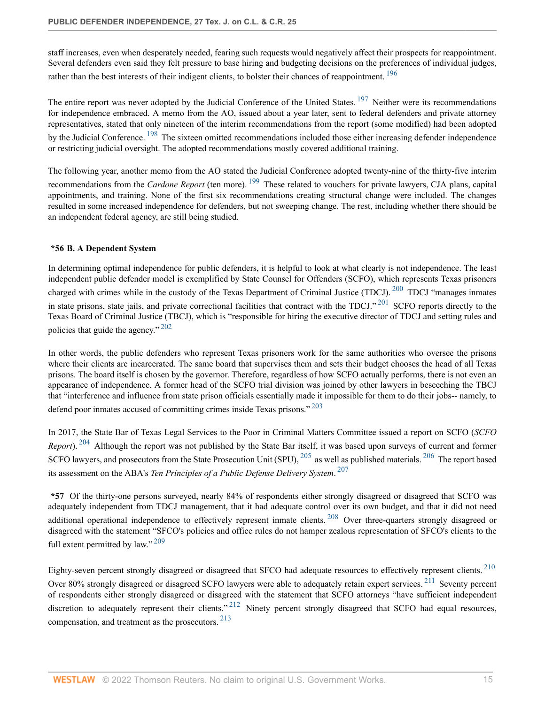<span id="page-14-1"></span>staff increases, even when desperately needed, fearing such requests would negatively affect their prospects for reappointment. Several defenders even said they felt pressure to base hiring and budgeting decisions on the preferences of individual judges, rather than the best interests of their indigent clients, to bolster their chances of reappointment. <sup>[196](#page-33-5)</sup>

<span id="page-14-3"></span><span id="page-14-2"></span>The entire report was never adopted by the Judicial Conference of the United States. <sup>[197](#page-33-6)</sup> Neither were its recommendations for independence embraced. A memo from the AO, issued about a year later, sent to federal defenders and private attorney representatives, stated that only nineteen of the interim recommendations from the report (some modified) had been adopted by the Judicial Conference. <sup>[198](#page-33-7)</sup> The sixteen omitted recommendations included those either increasing defender independence or restricting judicial oversight. The adopted recommendations mostly covered additional training.

<span id="page-14-4"></span>The following year, another memo from the AO stated the Judicial Conference adopted twenty-nine of the thirty-five interim recommendations from the *Cardone Report* (ten more). [199](#page-33-8) These related to vouchers for private lawyers, CJA plans, capital appointments, and training. None of the first six recommendations creating structural change were included. The changes resulted in some increased independence for defenders, but not sweeping change. The rest, including whether there should be an independent federal agency, are still being studied.

### <span id="page-14-5"></span><span id="page-14-0"></span>**\*56 B. A Dependent System**

<span id="page-14-6"></span>In determining optimal independence for public defenders, it is helpful to look at what clearly is not independence. The least independent public defender model is exemplified by State Counsel for Offenders (SCFO), which represents Texas prisoners charged with crimes while in the custody of the Texas Department of Criminal Justice (TDCJ). <sup>[200](#page-33-9)</sup> TDCJ "manages inmates in state prisons, state jails, and private correctional facilities that contract with the TDCJ." <sup>[201](#page-33-10)</sup> SCFO reports directly to the Texas Board of Criminal Justice (TBCJ), which is "responsible for hiring the executive director of TDCJ and setting rules and policies that guide the agency." [202](#page-33-11)

<span id="page-14-7"></span>In other words, the public defenders who represent Texas prisoners work for the same authorities who oversee the prisons where their clients are incarcerated. The same board that supervises them and sets their budget chooses the head of all Texas prisons. The board itself is chosen by the governor. Therefore, regardless of how SCFO actually performs, there is not even an appearance of independence. A former head of the SCFO trial division was joined by other lawyers in beseeching the TBCJ that "interference and influence from state prison officials essentially made it impossible for them to do their jobs-- namely, to defend poor inmates accused of committing crimes inside Texas prisons."<sup>[203](#page-33-12)</sup>

<span id="page-14-11"></span><span id="page-14-10"></span><span id="page-14-9"></span><span id="page-14-8"></span>In 2017, the State Bar of Texas Legal Services to the Poor in Criminal Matters Committee issued a report on SCFO (*SCFO Report*). <sup>[204](#page-33-13)</sup> Although the report was not published by the State Bar itself, it was based upon surveys of current and former SCFO lawyers, and prosecutors from the State Prosecution Unit (SPU), <sup>[205](#page-33-14)</sup> as well as published materials. <sup>[206](#page-33-15)</sup> The report based its assessment on the ABA's *Ten Principles of a Public Defense Delivery System*. [207](#page-33-16)

<span id="page-14-13"></span><span id="page-14-12"></span>**\*57** Of the thirty-one persons surveyed, nearly 84% of respondents either strongly disagreed or disagreed that SCFO was adequately independent from TDCJ management, that it had adequate control over its own budget, and that it did not need additional operational independence to effectively represent inmate clients. <sup>[208](#page-33-17)</sup> Over three-quarters strongly disagreed or disagreed with the statement "SFCO's policies and office rules do not hamper zealous representation of SFCO's clients to the full extent permitted by  $\text{law}$ ."<sup>[209](#page-33-18)</sup>

<span id="page-14-18"></span><span id="page-14-17"></span><span id="page-14-16"></span><span id="page-14-15"></span><span id="page-14-14"></span>Eighty-seven percent strongly disagreed or disagreed that SFCO had adequate resources to effectively represent clients. [210](#page-33-19) Over 80% strongly disagreed or disagreed SCFO lawyers were able to adequately retain expert services.<sup>[211](#page-34-0)</sup> Seventy percent of respondents either strongly disagreed or disagreed with the statement that SCFO attorneys "have sufficient independent discretion to adequately represent their clients."<sup>[212](#page-34-1)</sup> Ninety percent strongly disagreed that SCFO had equal resources, compensation, and treatment as the prosecutors. [213](#page-34-2)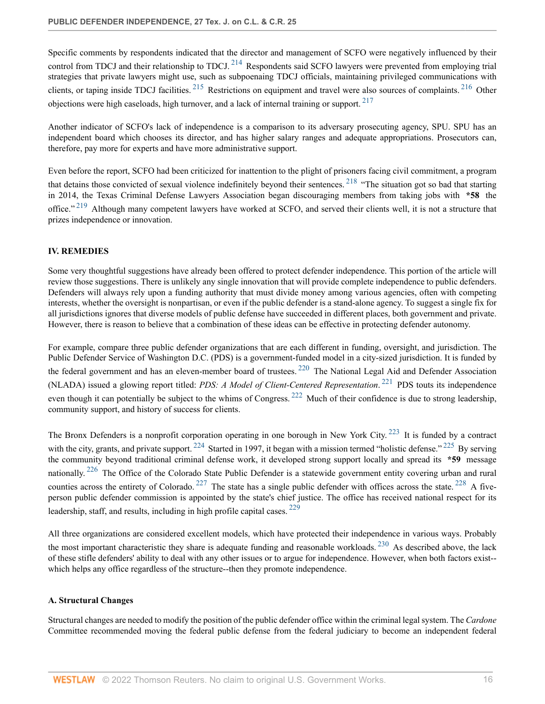<span id="page-15-4"></span><span id="page-15-3"></span><span id="page-15-2"></span>Specific comments by respondents indicated that the director and management of SCFO were negatively influenced by their control from TDCJ and their relationship to TDCJ.  $^{214}$  $^{214}$  $^{214}$  Respondents said SCFO lawyers were prevented from employing trial strategies that private lawyers might use, such as subpoenaing TDCJ officials, maintaining privileged communications with clients, or taping inside TDCJ facilities.  $^{215}$  $^{215}$  $^{215}$  Restrictions on equipment and travel were also sources of complaints.  $^{216}$  $^{216}$  $^{216}$  Other objections were high caseloads, high turnover, and a lack of internal training or support. [217](#page-34-6)

<span id="page-15-5"></span>Another indicator of SCFO's lack of independence is a comparison to its adversary prosecuting agency, SPU. SPU has an independent board which chooses its director, and has higher salary ranges and adequate appropriations. Prosecutors can, therefore, pay more for experts and have more administrative support.

<span id="page-15-7"></span><span id="page-15-6"></span>Even before the report, SCFO had been criticized for inattention to the plight of prisoners facing civil commitment, a program that detains those convicted of sexual violence indefinitely beyond their sentences.<sup>[218](#page-34-7)</sup> "The situation got so bad that starting in 2014, the Texas Criminal Defense Lawyers Association began discouraging members from taking jobs with **\*58** the office."<sup>[219](#page-34-8)</sup> Although many competent lawyers have worked at SCFO, and served their clients well, it is not a structure that prizes independence or innovation.

# <span id="page-15-0"></span>**IV. REMEDIES**

Some very thoughtful suggestions have already been offered to protect defender independence. This portion of the article will review those suggestions. There is unlikely any single innovation that will provide complete independence to public defenders. Defenders will always rely upon a funding authority that must divide money among various agencies, often with competing interests, whether the oversight is nonpartisan, or even if the public defender is a stand-alone agency. To suggest a single fix for all jurisdictions ignores that diverse models of public defense have succeeded in different places, both government and private. However, there is reason to believe that a combination of these ideas can be effective in protecting defender autonomy.

<span id="page-15-9"></span><span id="page-15-8"></span>For example, compare three public defender organizations that are each different in funding, oversight, and jurisdiction. The Public Defender Service of Washington D.C. (PDS) is a government-funded model in a city-sized jurisdiction. It is funded by the federal government and has an eleven-member board of trustees.<sup>[220](#page-34-9)</sup> The National Legal Aid and Defender Association (NLADA) issued a glowing report titled: *PDS: A Model of Client-Centered Representation*. [221](#page-34-10) PDS touts its independence even though it can potentially be subject to the whims of Congress. <sup>[222](#page-34-11)</sup> Much of their confidence is due to strong leadership, community support, and history of success for clients.

<span id="page-15-15"></span><span id="page-15-14"></span><span id="page-15-13"></span><span id="page-15-12"></span><span id="page-15-11"></span><span id="page-15-10"></span>The Bronx Defenders is a nonprofit corporation operating in one borough in New York City.<sup>[223](#page-34-12)</sup> It is funded by a contract with the city, grants, and private support. <sup>[224](#page-34-13)</sup> Started in 1997, it began with a mission termed "holistic defense." <sup>[225](#page-34-14)</sup> By serving the community beyond traditional criminal defense work, it developed strong support locally and spread its **\*59** message nationally. <sup>[226](#page-34-15)</sup> The Office of the Colorado State Public Defender is a statewide government entity covering urban and rural counties across the entirety of Colorado. <sup>[227](#page-34-16)</sup> The state has a single public defender with offices across the state. <sup>[228](#page-34-17)</sup> A fiveperson public defender commission is appointed by the state's chief justice. The office has received national respect for its leadership, staff, and results, including in high profile capital cases.  $229$ 

<span id="page-15-18"></span><span id="page-15-17"></span><span id="page-15-16"></span>All three organizations are considered excellent models, which have protected their independence in various ways. Probably the most important characteristic they share is adequate funding and reasonable workloads. <sup>[230](#page-34-19)</sup> As described above, the lack of these stifle defenders' ability to deal with any other issues or to argue for independence. However, when both factors exist- which helps any office regardless of the structure--then they promote independence.

#### <span id="page-15-1"></span>**A. Structural Changes**

Structural changes are needed to modify the position of the public defender office within the criminal legal system. The *Cardone* Committee recommended moving the federal public defense from the federal judiciary to become an independent federal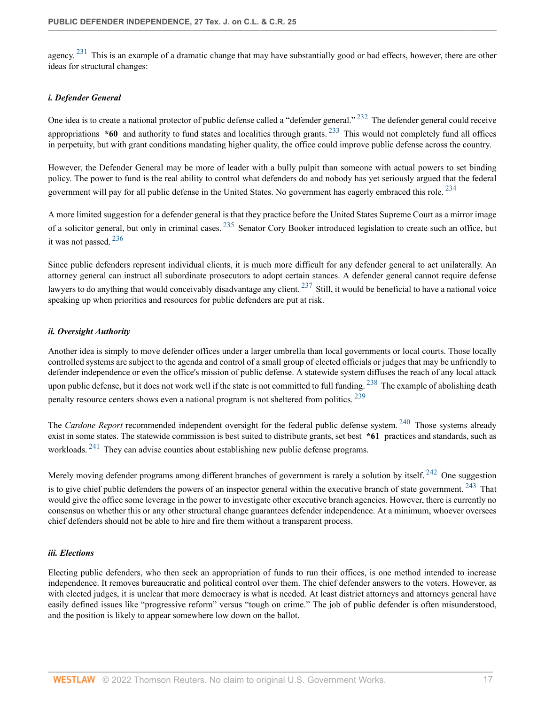<span id="page-16-3"></span>agency.  $231$  This is an example of a dramatic change that may have substantially good or bad effects, however, there are other ideas for structural changes:

#### <span id="page-16-4"></span><span id="page-16-0"></span>*i. Defender General*

<span id="page-16-5"></span>One idea is to create a national protector of public defense called a "defender general." <sup>[232](#page-34-21)</sup> The defender general could receive appropriations **\*60** and authority to fund states and localities through grants. [233](#page-35-0) This would not completely fund all offices in perpetuity, but with grant conditions mandating higher quality, the office could improve public defense across the country.

<span id="page-16-6"></span>However, the Defender General may be more of leader with a bully pulpit than someone with actual powers to set binding policy. The power to fund is the real ability to control what defenders do and nobody has yet seriously argued that the federal government will pay for all public defense in the United States. No government has eagerly embraced this role.<sup>[234](#page-35-1)</sup>

<span id="page-16-8"></span><span id="page-16-7"></span>A more limited suggestion for a defender general is that they practice before the United States Supreme Court as a mirror image of a solicitor general, but only in criminal cases.  $235$  Senator Cory Booker introduced legislation to create such an office, but it was not passed. [236](#page-35-3)

<span id="page-16-9"></span>Since public defenders represent individual clients, it is much more difficult for any defender general to act unilaterally. An attorney general can instruct all subordinate prosecutors to adopt certain stances. A defender general cannot require defense lawyers to do anything that would conceivably disadvantage any client.  $^{237}$  $^{237}$  $^{237}$  Still, it would be beneficial to have a national voice speaking up when priorities and resources for public defenders are put at risk.

#### <span id="page-16-1"></span>*ii. Oversight Authority*

<span id="page-16-10"></span>Another idea is simply to move defender offices under a larger umbrella than local governments or local courts. Those locally controlled systems are subject to the agenda and control of a small group of elected officials or judges that may be unfriendly to defender independence or even the office's mission of public defense. A statewide system diffuses the reach of any local attack upon public defense, but it does not work well if the state is not committed to full funding. <sup>[238](#page-35-5)</sup> The example of abolishing death penalty resource centers shows even a national program is not sheltered from politics. [239](#page-35-6)

<span id="page-16-13"></span><span id="page-16-12"></span><span id="page-16-11"></span>The *Cardone Report* recommended independent oversight for the federal public defense system.<sup>[240](#page-35-7)</sup> Those systems already exist in some states. The statewide commission is best suited to distribute grants, set best **\*61** practices and standards, such as workloads. <sup>[241](#page-35-8)</sup> They can advise counties about establishing new public defense programs.

<span id="page-16-15"></span><span id="page-16-14"></span>Merely moving defender programs among different branches of government is rarely a solution by itself.<sup>[242](#page-35-9)</sup> One suggestion is to give chief public defenders the powers of an inspector general within the executive branch of state government. <sup>[243](#page-35-10)</sup> That would give the office some leverage in the power to investigate other executive branch agencies. However, there is currently no consensus on whether this or any other structural change guarantees defender independence. At a minimum, whoever oversees chief defenders should not be able to hire and fire them without a transparent process.

#### <span id="page-16-2"></span>*iii. Elections*

Electing public defenders, who then seek an appropriation of funds to run their offices, is one method intended to increase independence. It removes bureaucratic and political control over them. The chief defender answers to the voters. However, as with elected judges, it is unclear that more democracy is what is needed. At least district attorneys and attorneys general have easily defined issues like "progressive reform" versus "tough on crime." The job of public defender is often misunderstood, and the position is likely to appear somewhere low down on the ballot.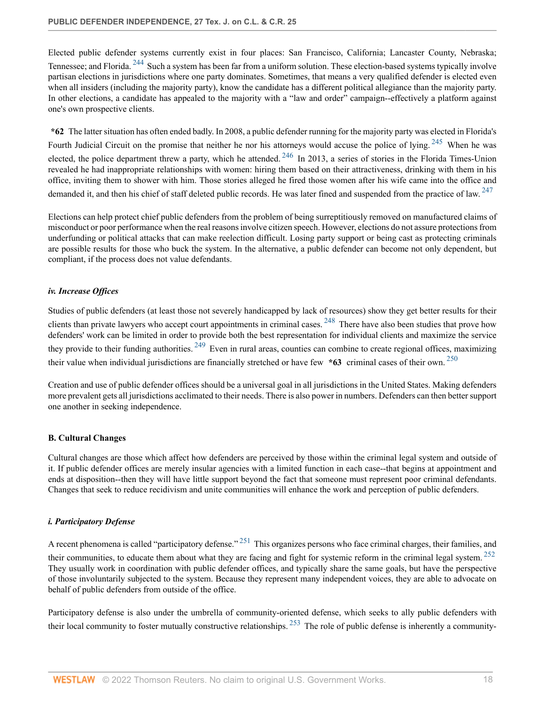<span id="page-17-3"></span>Elected public defender systems currently exist in four places: San Francisco, California; Lancaster County, Nebraska; Tennessee; and Florida. <sup>[244](#page-35-11)</sup> Such a system has been far from a uniform solution. These election-based systems typically involve partisan elections in jurisdictions where one party dominates. Sometimes, that means a very qualified defender is elected even when all insiders (including the majority party), know the candidate has a different political allegiance than the majority party. In other elections, a candidate has appealed to the majority with a "law and order" campaign--effectively a platform against one's own prospective clients.

<span id="page-17-5"></span><span id="page-17-4"></span>**\*62** The latter situation has often ended badly. In 2008, a public defender running for the majority party was elected in Florida's Fourth Judicial Circuit on the promise that neither he nor his attorneys would accuse the police of lying. <sup>[245](#page-35-12)</sup> When he was elected, the police department threw a party, which he attended.  $246$  In 2013, a series of stories in the Florida Times-Union revealed he had inappropriate relationships with women: hiring them based on their attractiveness, drinking with them in his office, inviting them to shower with him. Those stories alleged he fired those women after his wife came into the office and demanded it, and then his chief of staff deleted public records. He was later fined and suspended from the practice of law. <sup>[247](#page-35-14)</sup>

<span id="page-17-6"></span>Elections can help protect chief public defenders from the problem of being surreptitiously removed on manufactured claims of misconduct or poor performance when the real reasons involve citizen speech. However, elections do not assure protections from underfunding or political attacks that can make reelection difficult. Losing party support or being cast as protecting criminals are possible results for those who buck the system. In the alternative, a public defender can become not only dependent, but compliant, if the process does not value defendants.

### <span id="page-17-0"></span>*iv. Increase Offices*

<span id="page-17-8"></span><span id="page-17-7"></span>Studies of public defenders (at least those not severely handicapped by lack of resources) show they get better results for their clients than private lawyers who accept court appointments in criminal cases.  $^{248}$  $^{248}$  $^{248}$  There have also been studies that prove how defenders' work can be limited in order to provide both the best representation for individual clients and maximize the service they provide to their funding authorities.  $249$  Even in rural areas, counties can combine to create regional offices, maximizing their value when individual jurisdictions are financially stretched or have few  $*63$  criminal cases of their own. <sup>[250](#page-35-17)</sup>

<span id="page-17-9"></span>Creation and use of public defender offices should be a universal goal in all jurisdictions in the United States. Making defenders more prevalent gets all jurisdictions acclimated to their needs. There is also power in numbers. Defenders can then better support one another in seeking independence.

#### <span id="page-17-1"></span>**B. Cultural Changes**

Cultural changes are those which affect how defenders are perceived by those within the criminal legal system and outside of it. If public defender offices are merely insular agencies with a limited function in each case--that begins at appointment and ends at disposition--then they will have little support beyond the fact that someone must represent poor criminal defendants. Changes that seek to reduce recidivism and unite communities will enhance the work and perception of public defenders.

#### <span id="page-17-2"></span>*i. Participatory Defense*

<span id="page-17-11"></span><span id="page-17-10"></span>A recent phenomena is called "participatory defense." [251](#page-35-18) This organizes persons who face criminal charges, their families, and their communities, to educate them about what they are facing and fight for systemic reform in the criminal legal system.  $252$ They usually work in coordination with public defender offices, and typically share the same goals, but have the perspective of those involuntarily subjected to the system. Because they represent many independent voices, they are able to advocate on behalf of public defenders from outside of the office.

<span id="page-17-12"></span>Participatory defense is also under the umbrella of community-oriented defense, which seeks to ally public defenders with their local community to foster mutually constructive relationships.  $^{253}$  $^{253}$  $^{253}$  The role of public defense is inherently a community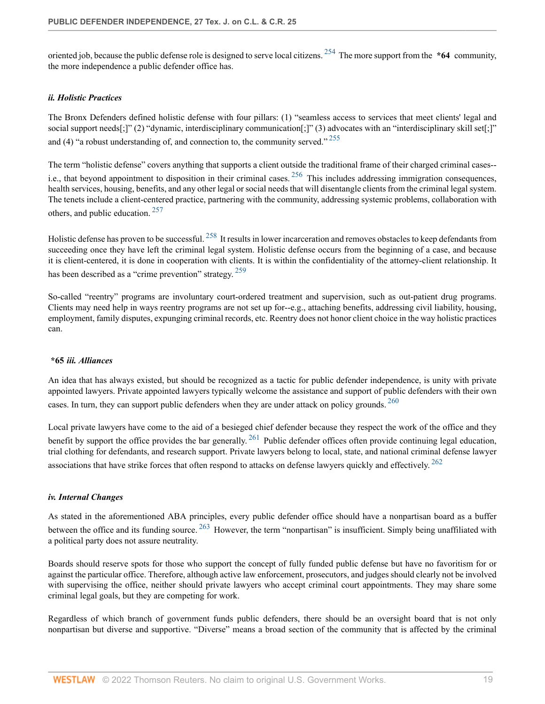<span id="page-18-3"></span>oriented job, because the public defense role is designed to serve local citizens. [254](#page-36-2) The more support from the **\*64** community, the more independence a public defender office has.

#### <span id="page-18-0"></span>*ii. Holistic Practices*

<span id="page-18-4"></span>The Bronx Defenders defined holistic defense with four pillars: (1) "seamless access to services that meet clients' legal and social support needs[;]" (2) "dynamic, interdisciplinary communication[;]" (3) advocates with an "interdisciplinary skill set[;]" and (4) "a robust understanding of, and connection to, the community served."  $^{255}$  $^{255}$  $^{255}$ 

<span id="page-18-5"></span>The term "holistic defense" covers anything that supports a client outside the traditional frame of their charged criminal cases- i.e., that beyond appointment to disposition in their criminal cases.  $256$  This includes addressing immigration consequences, health services, housing, benefits, and any other legal or social needs that will disentangle clients from the criminal legal system. The tenets include a client-centered practice, partnering with the community, addressing systemic problems, collaboration with others, and public education. [257](#page-36-5)

<span id="page-18-7"></span><span id="page-18-6"></span>Holistic defense has proven to be successful. [258](#page-36-6) It results in lower incarceration and removes obstacles to keep defendants from succeeding once they have left the criminal legal system. Holistic defense occurs from the beginning of a case, and because it is client-centered, it is done in cooperation with clients. It is within the confidentiality of the attorney-client relationship. It has been described as a "crime prevention" strategy. [259](#page-36-7)

<span id="page-18-8"></span>So-called "reentry" programs are involuntary court-ordered treatment and supervision, such as out-patient drug programs. Clients may need help in ways reentry programs are not set up for--e.g., attaching benefits, addressing civil liability, housing, employment, family disputes, expunging criminal records, etc. Reentry does not honor client choice in the way holistic practices can.

# <span id="page-18-9"></span><span id="page-18-1"></span>**\*65** *iii. Alliances*

An idea that has always existed, but should be recognized as a tactic for public defender independence, is unity with private appointed lawyers. Private appointed lawyers typically welcome the assistance and support of public defenders with their own cases. In turn, they can support public defenders when they are under attack on policy grounds. <sup>[260](#page-36-8)</sup>

<span id="page-18-11"></span><span id="page-18-10"></span>Local private lawyers have come to the aid of a besieged chief defender because they respect the work of the office and they benefit by support the office provides the bar generally. <sup>[261](#page-36-9)</sup> Public defender offices often provide continuing legal education, trial clothing for defendants, and research support. Private lawyers belong to local, state, and national criminal defense lawyer associations that have strike forces that often respond to attacks on defense lawyers quickly and effectively. <sup>[262](#page-36-10)</sup>

#### <span id="page-18-2"></span>*iv. Internal Changes*

<span id="page-18-12"></span>As stated in the aforementioned ABA principles, every public defender office should have a nonpartisan board as a buffer between the office and its funding source. <sup>[263](#page-36-11)</sup> However, the term "nonpartisan" is insufficient. Simply being unaffiliated with a political party does not assure neutrality.

Boards should reserve spots for those who support the concept of fully funded public defense but have no favoritism for or against the particular office. Therefore, although active law enforcement, prosecutors, and judges should clearly not be involved with supervising the office, neither should private lawyers who accept criminal court appointments. They may share some criminal legal goals, but they are competing for work.

Regardless of which branch of government funds public defenders, there should be an oversight board that is not only nonpartisan but diverse and supportive. "Diverse" means a broad section of the community that is affected by the criminal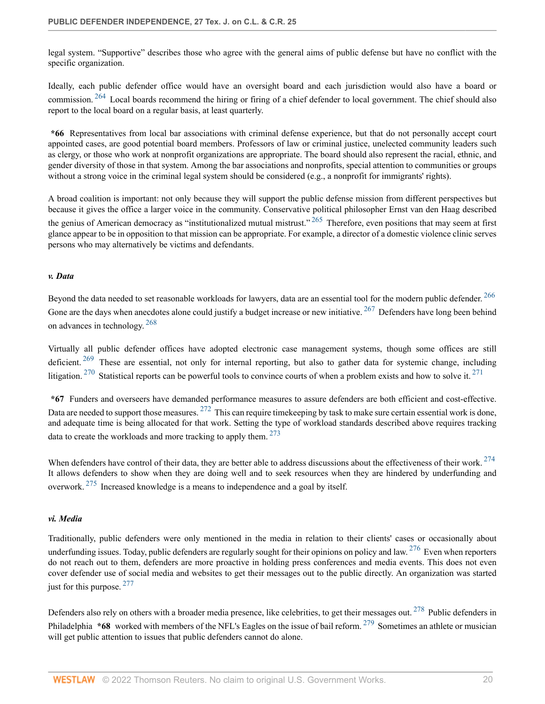legal system. "Supportive" describes those who agree with the general aims of public defense but have no conflict with the specific organization.

<span id="page-19-2"></span>Ideally, each public defender office would have an oversight board and each jurisdiction would also have a board or commission. <sup>[264](#page-36-12)</sup> Local boards recommend the hiring or firing of a chief defender to local government. The chief should also report to the local board on a regular basis, at least quarterly.

**\*66** Representatives from local bar associations with criminal defense experience, but that do not personally accept court appointed cases, are good potential board members. Professors of law or criminal justice, unelected community leaders such as clergy, or those who work at nonprofit organizations are appropriate. The board should also represent the racial, ethnic, and gender diversity of those in that system. Among the bar associations and nonprofits, special attention to communities or groups without a strong voice in the criminal legal system should be considered (e.g., a nonprofit for immigrants' rights).

<span id="page-19-3"></span>A broad coalition is important: not only because they will support the public defense mission from different perspectives but because it gives the office a larger voice in the community. Conservative political philosopher Ernst van den Haag described the genius of American democracy as "institutionalized mutual mistrust."  $265$  Therefore, even positions that may seem at first glance appear to be in opposition to that mission can be appropriate. For example, a director of a domestic violence clinic serves persons who may alternatively be victims and defendants.

#### <span id="page-19-0"></span>*v. Data*

<span id="page-19-6"></span><span id="page-19-5"></span><span id="page-19-4"></span>Beyond the data needed to set reasonable workloads for lawyers, data are an essential tool for the modern public defender. <sup>[266](#page-36-14)</sup> Gone are the days when anecdotes alone could justify a budget increase or new initiative. <sup>[267](#page-36-15)</sup> Defenders have long been behind on advances in technology. [268](#page-36-16)

<span id="page-19-8"></span><span id="page-19-7"></span>Virtually all public defender offices have adopted electronic case management systems, though some offices are still deficient. <sup>[269](#page-36-17)</sup> These are essential, not only for internal reporting, but also to gather data for systemic change, including litigation. <sup>[270](#page-36-18)</sup> Statistical reports can be powerful tools to convince courts of when a problem exists and how to solve it. <sup>[271](#page-36-19)</sup>

<span id="page-19-10"></span><span id="page-19-9"></span>**\*67** Funders and overseers have demanded performance measures to assure defenders are both efficient and cost-effective. Data are needed to support those measures. <sup>[272](#page-36-20)</sup> This can require timekeeping by task to make sure certain essential work is done, and adequate time is being allocated for that work. Setting the type of workload standards described above requires tracking data to create the workloads and more tracking to apply them. <sup>[273](#page-37-0)</sup>

<span id="page-19-13"></span><span id="page-19-12"></span><span id="page-19-11"></span>When defenders have control of their data, they are better able to address discussions about the effectiveness of their work. <sup>[274](#page-37-1)</sup> It allows defenders to show when they are doing well and to seek resources when they are hindered by underfunding and overwork. [275](#page-37-2) Increased knowledge is a means to independence and a goal by itself.

#### <span id="page-19-1"></span>*vi. Media*

<span id="page-19-14"></span>Traditionally, public defenders were only mentioned in the media in relation to their clients' cases or occasionally about underfunding issues. Today, public defenders are regularly sought for their opinions on policy and law.  $276$  Even when reporters do not reach out to them, defenders are more proactive in holding press conferences and media events. This does not even cover defender use of social media and websites to get their messages out to the public directly. An organization was started just for this purpose.  $277$ 

<span id="page-19-17"></span><span id="page-19-16"></span><span id="page-19-15"></span>Defenders also rely on others with a broader media presence, like celebrities, to get their messages out. <sup>[278](#page-37-5)</sup> Public defenders in Philadelphia **\*68** worked with members of the NFL's Eagles on the issue of bail reform. <sup>[279](#page-37-6)</sup> Sometimes an athlete or musician will get public attention to issues that public defenders cannot do alone.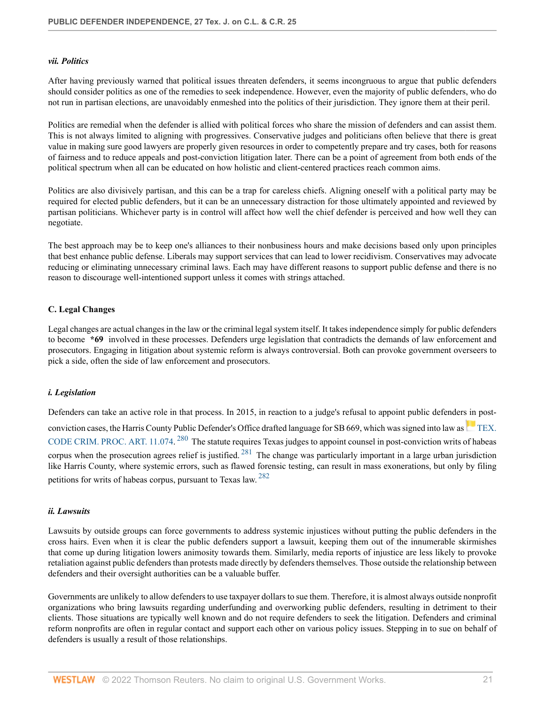#### <span id="page-20-0"></span>*vii. Politics*

After having previously warned that political issues threaten defenders, it seems incongruous to argue that public defenders should consider politics as one of the remedies to seek independence. However, even the majority of public defenders, who do not run in partisan elections, are unavoidably enmeshed into the politics of their jurisdiction. They ignore them at their peril.

Politics are remedial when the defender is allied with political forces who share the mission of defenders and can assist them. This is not always limited to aligning with progressives. Conservative judges and politicians often believe that there is great value in making sure good lawyers are properly given resources in order to competently prepare and try cases, both for reasons of fairness and to reduce appeals and post-conviction litigation later. There can be a point of agreement from both ends of the political spectrum when all can be educated on how holistic and client-centered practices reach common aims.

Politics are also divisively partisan, and this can be a trap for careless chiefs. Aligning oneself with a political party may be required for elected public defenders, but it can be an unnecessary distraction for those ultimately appointed and reviewed by partisan politicians. Whichever party is in control will affect how well the chief defender is perceived and how well they can negotiate.

The best approach may be to keep one's alliances to their nonbusiness hours and make decisions based only upon principles that best enhance public defense. Liberals may support services that can lead to lower recidivism. Conservatives may advocate reducing or eliminating unnecessary criminal laws. Each may have different reasons to support public defense and there is no reason to discourage well-intentioned support unless it comes with strings attached.

#### <span id="page-20-1"></span>**C. Legal Changes**

Legal changes are actual changes in the law or the criminal legal system itself. It takes independence simply for public defenders to become **\*69** involved in these processes. Defenders urge legislation that contradicts the demands of law enforcement and prosecutors. Engaging in litigation about systemic reform is always controversial. Both can provoke government overseers to pick a side, often the side of law enforcement and prosecutors.

#### <span id="page-20-2"></span>*i. Legislation*

<span id="page-20-5"></span><span id="page-20-4"></span>Defenders can take an active role in that process. In 2015, in reaction to a judge's refusal to appoint public defenders in post-convictioncases, the Harris County Public Defender's Office drafted language for SB 669, which was signed into law as [TEX.](http://www.westlaw.com/Link/Document/FullText?findType=L&pubNum=1000172&cite=TXCMART11.074&originatingDoc=I9bcecfaa9c4911ec9f24ec7b211d8087&refType=LQ&originationContext=document&vr=3.0&rs=cblt1.0&transitionType=DocumentItem&contextData=(sc.Search)) [CODE CRIM. PROC. ART. 11.074.](http://www.westlaw.com/Link/Document/FullText?findType=L&pubNum=1000172&cite=TXCMART11.074&originatingDoc=I9bcecfaa9c4911ec9f24ec7b211d8087&refType=LQ&originationContext=document&vr=3.0&rs=cblt1.0&transitionType=DocumentItem&contextData=(sc.Search))<sup>[280](#page-37-7)</sup> The statute requires Texas judges to appoint counsel in post-conviction writs of habeas corpus when the prosecution agrees relief is justified.  $^{281}$  $^{281}$  $^{281}$  The change was particularly important in a large urban jurisdiction like Harris County, where systemic errors, such as flawed forensic testing, can result in mass exonerations, but only by filing petitions for writs of habeas corpus, pursuant to Texas law. [282](#page-37-9)

#### <span id="page-20-6"></span><span id="page-20-3"></span>*ii. Lawsuits*

Lawsuits by outside groups can force governments to address systemic injustices without putting the public defenders in the cross hairs. Even when it is clear the public defenders support a lawsuit, keeping them out of the innumerable skirmishes that come up during litigation lowers animosity towards them. Similarly, media reports of injustice are less likely to provoke retaliation against public defenders than protests made directly by defenders themselves. Those outside the relationship between defenders and their oversight authorities can be a valuable buffer.

Governments are unlikely to allow defenders to use taxpayer dollars to sue them. Therefore, it is almost always outside nonprofit organizations who bring lawsuits regarding underfunding and overworking public defenders, resulting in detriment to their clients. Those situations are typically well known and do not require defenders to seek the litigation. Defenders and criminal reform nonprofits are often in regular contact and support each other on various policy issues. Stepping in to sue on behalf of defenders is usually a result of those relationships.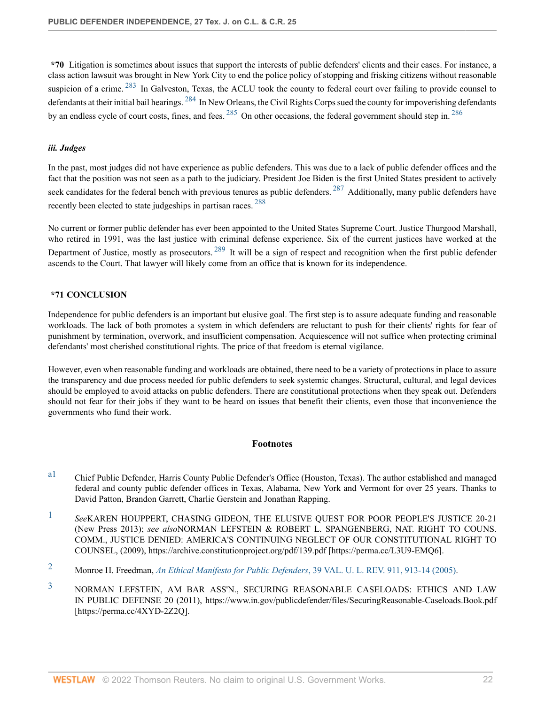<span id="page-21-7"></span><span id="page-21-6"></span>**\*70** Litigation is sometimes about issues that support the interests of public defenders' clients and their cases. For instance, a class action lawsuit was brought in New York City to end the police policy of stopping and frisking citizens without reasonable suspicion of a crime. <sup>[283](#page-37-10)</sup> In Galveston, Texas, the ACLU took the county to federal court over failing to provide counsel to defendants at their initial bail hearings. <sup>[284](#page-37-11)</sup> In New Orleans, the Civil Rights Corps sued the county for impoverishing defendants by an endless cycle of court costs, fines, and fees. <sup>[285](#page-37-12)</sup> On other occasions, the federal government should step in. <sup>[286](#page-37-13)</sup>

## <span id="page-21-8"></span><span id="page-21-1"></span>*iii. Judges*

In the past, most judges did not have experience as public defenders. This was due to a lack of public defender offices and the fact that the position was not seen as a path to the judiciary. President Joe Biden is the first United States president to actively seek candidates for the federal bench with previous tenures as public defenders. <sup>[287](#page-37-14)</sup> Additionally, many public defenders have recently been elected to state judgeships in partisan races. [288](#page-38-0)

<span id="page-21-12"></span><span id="page-21-11"></span>No current or former public defender has ever been appointed to the United States Supreme Court. Justice Thurgood Marshall, who retired in 1991, was the last justice with criminal defense experience. Six of the current justices have worked at the Department of Justice, mostly as prosecutors.<sup>[289](#page-38-1)</sup> It will be a sign of respect and recognition when the first public defender ascends to the Court. That lawyer will likely come from an office that is known for its independence.

### <span id="page-21-2"></span>**\*71 CONCLUSION**

Independence for public defenders is an important but elusive goal. The first step is to assure adequate funding and reasonable workloads. The lack of both promotes a system in which defenders are reluctant to push for their clients' rights for fear of punishment by termination, overwork, and insufficient compensation. Acquiescence will not suffice when protecting criminal defendants' most cherished constitutional rights. The price of that freedom is eternal vigilance.

However, even when reasonable funding and workloads are obtained, there need to be a variety of protections in place to assure the transparency and due process needed for public defenders to seek systemic changes. Structural, cultural, and legal devices should be employed to avoid attacks on public defenders. There are constitutional protections when they speak out. Defenders should not fear for their jobs if they want to be heard on issues that benefit their clients, even those that inconvenience the governments who fund their work.

#### <span id="page-21-10"></span><span id="page-21-9"></span>**Footnotes**

- <span id="page-21-0"></span>[a1](#page-0-0) Chief Public Defender, Harris County Public Defender's Office (Houston, Texas). The author established and managed federal and county public defender offices in Texas, Alabama, New York and Vermont for over 25 years. Thanks to David Patton, Brandon Garrett, Charlie Gerstein and Jonathan Rapping.
- <span id="page-21-3"></span>[1](#page-1-2) *See*KAREN HOUPPERT, CHASING GIDEON, THE ELUSIVE QUEST FOR POOR PEOPLE'S JUSTICE 20-21 (New Press 2013); *see also*NORMAN LEFSTEIN & ROBERT L. SPANGENBERG, NAT. RIGHT TO COUNS. COMM., JUSTICE DENIED: AMERICA'S CONTINUING NEGLECT OF OUR CONSTITUTIONAL RIGHT TO COUNSEL, (2009), https://archive.constitutionproject.org/pdf/139.pdf [https://perma.cc/L3U9-EMQ6].
- <span id="page-21-4"></span>[2](#page-1-3) Monroe H. Freedman, *[An Ethical Manifesto for Public Defenders](http://www.westlaw.com/Link/Document/FullText?findType=Y&serNum=0305191994&pubNum=0002989&originatingDoc=I9bcecfaa9c4911ec9f24ec7b211d8087&refType=LR&fi=co_pp_sp_2989_913&originationContext=document&vr=3.0&rs=cblt1.0&transitionType=DocumentItem&contextData=(sc.Search)#co_pp_sp_2989_913)*, 39 VAL. U. L. REV. 911, 913-14 (2005).
- <span id="page-21-5"></span>[3](#page-1-4) NORMAN LEFSTEIN, AM BAR ASS'N., SECURING REASONABLE CASELOADS: ETHICS AND LAW IN PUBLIC DEFENSE 20 (2011), https://www.in.gov/publicdefender/files/SecuringReasonable-Caseloads.Book.pdf [https://perma.cc/4XYD-2Z2Q].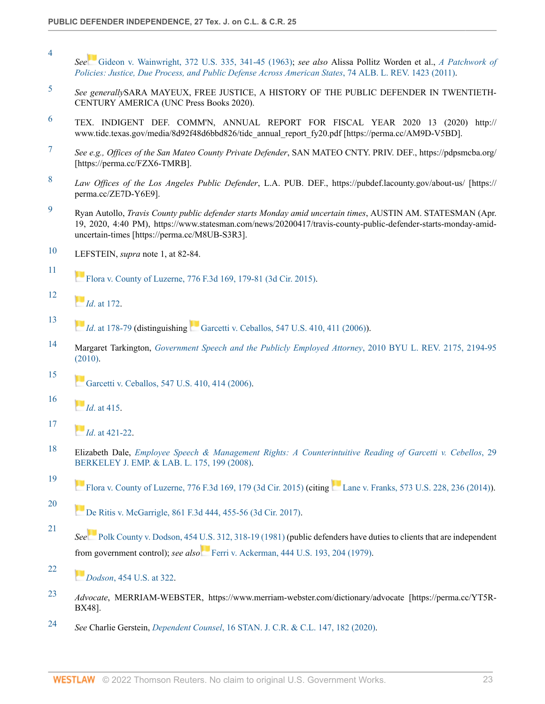- <span id="page-22-0"></span>[4](#page-1-5) *See* [Gideon v. Wainwright, 372 U.S. 335, 341-45 \(1963\)](http://www.westlaw.com/Link/Document/FullText?findType=Y&serNum=1963125313&pubNum=0000780&originatingDoc=I9bcecfaa9c4911ec9f24ec7b211d8087&refType=RP&fi=co_pp_sp_780_341&originationContext=document&vr=3.0&rs=cblt1.0&transitionType=DocumentItem&contextData=(sc.Search)#co_pp_sp_780_341); *see also* Alissa Pollitz Worden et al., *[A Patchwork of](http://www.westlaw.com/Link/Document/FullText?findType=Y&serNum=0366214590&pubNum=0003105&originatingDoc=I9bcecfaa9c4911ec9f24ec7b211d8087&refType=LR&originationContext=document&vr=3.0&rs=cblt1.0&transitionType=DocumentItem&contextData=(sc.Search)) [Policies: Justice, Due Process, and Public Defense Across American States](http://www.westlaw.com/Link/Document/FullText?findType=Y&serNum=0366214590&pubNum=0003105&originatingDoc=I9bcecfaa9c4911ec9f24ec7b211d8087&refType=LR&originationContext=document&vr=3.0&rs=cblt1.0&transitionType=DocumentItem&contextData=(sc.Search))*, 74 ALB. L. REV. 1423 (2011).
- <span id="page-22-1"></span>[5](#page-1-6) *See generally*SARA MAYEUX, FREE JUSTICE, A HISTORY OF THE PUBLIC DEFENDER IN TWENTIETH-CENTURY AMERICA (UNC Press Books 2020).
- <span id="page-22-2"></span> $6$  TEX. INDIGENT DEF. COMM'N, ANNUAL REPORT FOR FISCAL YEAR 2020 13 (2020) http:// www.tidc.texas.gov/media/8d92f48d6bbd826/tidc\_annual\_report\_fy20.pdf [https://perma.cc/AM9D-V5BD].
- <span id="page-22-3"></span>[7](#page-1-8) *See e.g., Offices of the San Mateo County Private Defender*, SAN MATEO CNTY. PRIV. DEF., https://pdpsmcba.org/ [https://perma.cc/FZX6-TMRB].
- <span id="page-22-4"></span>[8](#page-1-9) *Law Offices of the Los Angeles Public Defender*, L.A. PUB. DEF., https://pubdef.lacounty.gov/about-us/ [https:// perma.cc/ZE7D-Y6E9].
- <span id="page-22-5"></span>[9](#page-1-10) Ryan Autollo, *Travis County public defender starts Monday amid uncertain times*, AUSTIN AM. STATESMAN (Apr. 19, 2020, 4:40 PM), https://www.statesman.com/news/20200417/travis-county-public-defender-starts-monday-amiduncertain-times [https://perma.cc/M8UB-S3R3].
- <span id="page-22-6"></span>[10](#page-2-0) LEFSTEIN, *supra* note 1, at 82-84.
- <span id="page-22-7"></span>[11](#page-2-1) [Flora v. County of Luzerne, 776 F.3d 169, 179-81 \(3d Cir. 2015\).](http://www.westlaw.com/Link/Document/FullText?findType=Y&serNum=2035268470&pubNum=0000506&originatingDoc=I9bcecfaa9c4911ec9f24ec7b211d8087&refType=RP&fi=co_pp_sp_506_179&originationContext=document&vr=3.0&rs=cblt1.0&transitionType=DocumentItem&contextData=(sc.Search)#co_pp_sp_506_179)
- <span id="page-22-8"></span>[12](#page-2-2) *[I](https://1.next.westlaw.com/Link/RelatedInformation/Flag?documentGuid=I159abe199cf911e4b4bafa136b480ad2&transitionType=InlineKeyCiteFlags&originationContext=docHeaderFlag&Rank=0&ppcid=id0a2fc8910fa4581bfdf149172d797b5&contextData=(sc.Search) )d*[. at 172.](http://www.westlaw.com/Link/Document/FullText?findType=Y&serNum=2035268470&pubNum=0000506&originatingDoc=I9bcecfaa9c4911ec9f24ec7b211d8087&refType=RP&fi=co_pp_sp_506_172&originationContext=document&vr=3.0&rs=cblt1.0&transitionType=DocumentItem&contextData=(sc.Search)#co_pp_sp_506_172)
- <span id="page-22-9"></span>[13](#page-2-3) *[I](https://1.next.westlaw.com/Link/RelatedInformation/Flag?documentGuid=I159abe199cf911e4b4bafa136b480ad2&transitionType=InlineKeyCiteFlags&originationContext=docHeaderFlag&Rank=0&ppcid=id0a2fc8910fa4581bfdf149172d797b5&contextData=(sc.Search) )d.*at 178-79 (distinguishing [Garcetti v. Ceballos, 547 U.S. 410, 411 \(2006\)](http://www.westlaw.com/Link/Document/FullText?findType=Y&serNum=2009252264&pubNum=0000780&originatingDoc=I9bcecfaa9c4911ec9f24ec7b211d8087&refType=RP&fi=co_pp_sp_780_411&originationContext=document&vr=3.0&rs=cblt1.0&transitionType=DocumentItem&contextData=(sc.Search)#co_pp_sp_780_411)).
- <span id="page-22-10"></span>[14](#page-2-4) Margaret Tarkington, *[Government Speech and the Publicly Employed Attorney](http://www.westlaw.com/Link/Document/FullText?findType=Y&serNum=0362571175&pubNum=0001100&originatingDoc=I9bcecfaa9c4911ec9f24ec7b211d8087&refType=LR&fi=co_pp_sp_1100_2194&originationContext=document&vr=3.0&rs=cblt1.0&transitionType=DocumentItem&contextData=(sc.Search)#co_pp_sp_1100_2194)*, 2010 BYU L. REV. 2175, 2194-95 [\(2010\).](http://www.westlaw.com/Link/Document/FullText?findType=Y&serNum=0362571175&pubNum=0001100&originatingDoc=I9bcecfaa9c4911ec9f24ec7b211d8087&refType=LR&fi=co_pp_sp_1100_2194&originationContext=document&vr=3.0&rs=cblt1.0&transitionType=DocumentItem&contextData=(sc.Search)#co_pp_sp_1100_2194)
	- [Garcetti v. Ceballos, 547 U.S. 410, 414 \(2006\).](http://www.westlaw.com/Link/Document/FullText?findType=Y&serNum=2009252264&pubNum=0000780&originatingDoc=I9bcecfaa9c4911ec9f24ec7b211d8087&refType=RP&fi=co_pp_sp_780_414&originationContext=document&vr=3.0&rs=cblt1.0&transitionType=DocumentItem&contextData=(sc.Search)#co_pp_sp_780_414)
- <span id="page-22-12"></span>[16](#page-2-6) *[I](https://1.next.westlaw.com/Link/RelatedInformation/Flag?documentGuid=I9c9379a3ed7811daa223cd6b838f54f9&transitionType=InlineKeyCiteFlags&originationContext=docHeaderFlag&Rank=0&ppcid=id0a2fc8910fa4581bfdf149172d797b5&contextData=(sc.Search) )d*[. at 415.](http://www.westlaw.com/Link/Document/FullText?findType=Y&serNum=2009252264&pubNum=0000780&originatingDoc=I9bcecfaa9c4911ec9f24ec7b211d8087&refType=RP&fi=co_pp_sp_780_415&originationContext=document&vr=3.0&rs=cblt1.0&transitionType=DocumentItem&contextData=(sc.Search)#co_pp_sp_780_415)

<span id="page-22-11"></span>[15](#page-2-5)

<span id="page-22-13"></span>[17](#page-2-7)

<span id="page-22-17"></span>[21](#page-2-11)

<span id="page-22-18"></span>[22](#page-2-12)

- *[I](https://1.next.westlaw.com/Link/RelatedInformation/Flag?documentGuid=I9c9379a3ed7811daa223cd6b838f54f9&transitionType=InlineKeyCiteFlags&originationContext=docHeaderFlag&Rank=0&ppcid=id0a2fc8910fa4581bfdf149172d797b5&contextData=(sc.Search) )d*[. at 421-22](http://www.westlaw.com/Link/Document/FullText?findType=Y&serNum=2009252264&pubNum=0000780&originatingDoc=I9bcecfaa9c4911ec9f24ec7b211d8087&refType=RP&fi=co_pp_sp_780_421&originationContext=document&vr=3.0&rs=cblt1.0&transitionType=DocumentItem&contextData=(sc.Search)#co_pp_sp_780_421).
- <span id="page-22-14"></span>[18](#page-2-8) Elizabeth Dale, *[Employee Speech & Management Rights: A Counterintuitive Reading of Garcetti v. Cebellos](http://www.westlaw.com/Link/Document/FullText?findType=Y&serNum=0339067609&pubNum=0102067&originatingDoc=I9bcecfaa9c4911ec9f24ec7b211d8087&refType=LR&fi=co_pp_sp_102067_199&originationContext=document&vr=3.0&rs=cblt1.0&transitionType=DocumentItem&contextData=(sc.Search)#co_pp_sp_102067_199)*, 29 [BERKELEY J. EMP. & LAB. L. 175, 199 \(2008\).](http://www.westlaw.com/Link/Document/FullText?findType=Y&serNum=0339067609&pubNum=0102067&originatingDoc=I9bcecfaa9c4911ec9f24ec7b211d8087&refType=LR&fi=co_pp_sp_102067_199&originationContext=document&vr=3.0&rs=cblt1.0&transitionType=DocumentItem&contextData=(sc.Search)#co_pp_sp_102067_199)
- <span id="page-22-15"></span>[19](#page-2-9) [Flora v. County of Luzerne, 776 F.3d 169, 179 \(3d Cir. 2015\)](http://www.westlaw.com/Link/Document/FullText?findType=Y&serNum=2035268470&pubNum=0000506&originatingDoc=I9bcecfaa9c4911ec9f24ec7b211d8087&refType=RP&fi=co_pp_sp_506_179&originationContext=document&vr=3.0&rs=cblt1.0&transitionType=DocumentItem&contextData=(sc.Search)#co_pp_sp_506_179)(citing [Lane v. Franks, 573 U.S. 228, 236 \(2014\)](http://www.westlaw.com/Link/Document/FullText?findType=Y&serNum=2033619400&pubNum=0000780&originatingDoc=I9bcecfaa9c4911ec9f24ec7b211d8087&refType=RP&fi=co_pp_sp_780_236&originationContext=document&vr=3.0&rs=cblt1.0&transitionType=DocumentItem&contextData=(sc.Search)#co_pp_sp_780_236)).
- <span id="page-22-16"></span>[20](#page-2-10) [De Ritis v. McGarrigle, 861 F.3d 444, 455-56 \(3d Cir. 2017\).](http://www.westlaw.com/Link/Document/FullText?findType=Y&serNum=2041974982&pubNum=0000506&originatingDoc=I9bcecfaa9c4911ec9f24ec7b211d8087&refType=RP&fi=co_pp_sp_506_455&originationContext=document&vr=3.0&rs=cblt1.0&transitionType=DocumentItem&contextData=(sc.Search)#co_pp_sp_506_455)
- *See* [Polk County v. Dodson, 454 U.S. 312, 318-19 \(1981\)](http://www.westlaw.com/Link/Document/FullText?findType=Y&serNum=1981152298&pubNum=0000780&originatingDoc=I9bcecfaa9c4911ec9f24ec7b211d8087&refType=RP&fi=co_pp_sp_780_318&originationContext=document&vr=3.0&rs=cblt1.0&transitionType=DocumentItem&contextData=(sc.Search)#co_pp_sp_780_318) (public defenders have duties to clients that are independent from government control); *see also* [Ferri v. Ackerman, 444 U.S. 193, 204 \(1979\).](http://www.westlaw.com/Link/Document/FullText?findType=Y&serNum=1979135198&pubNum=0000780&originatingDoc=I9bcecfaa9c4911ec9f24ec7b211d8087&refType=RP&fi=co_pp_sp_780_204&originationContext=document&vr=3.0&rs=cblt1.0&transitionType=DocumentItem&contextData=(sc.Search)#co_pp_sp_780_204)
	- *[D](https://1.next.westlaw.com/Link/RelatedInformation/Flag?documentGuid=I178f324e9c1f11d993e6d35cc61aab4a&transitionType=InlineKeyCiteFlags&originationContext=docHeaderFlag&Rank=0&ppcid=id0a2fc8910fa4581bfdf149172d797b5&contextData=(sc.Search) )odson*[, 454 U.S. at 322](http://www.westlaw.com/Link/Document/FullText?findType=Y&serNum=1981152298&pubNum=0000780&originatingDoc=I9bcecfaa9c4911ec9f24ec7b211d8087&refType=RP&fi=co_pp_sp_780_322&originationContext=document&vr=3.0&rs=cblt1.0&transitionType=DocumentItem&contextData=(sc.Search)#co_pp_sp_780_322).
- <span id="page-22-19"></span>[23](#page-2-13) *Advocate*, MERRIAM-WEBSTER, https://www.merriam-webster.com/dictionary/advocate [https://perma.cc/YT5R-BX48].
- <span id="page-22-20"></span>[24](#page-2-14) *See* Charlie Gerstein, *Dependent Counsel*[, 16 STAN. J. C.R. & C.L. 147, 182 \(2020\).](http://www.westlaw.com/Link/Document/FullText?findType=Y&serNum=0497891214&pubNum=0186778&originatingDoc=I9bcecfaa9c4911ec9f24ec7b211d8087&refType=LR&fi=co_pp_sp_186778_182&originationContext=document&vr=3.0&rs=cblt1.0&transitionType=DocumentItem&contextData=(sc.Search)#co_pp_sp_186778_182)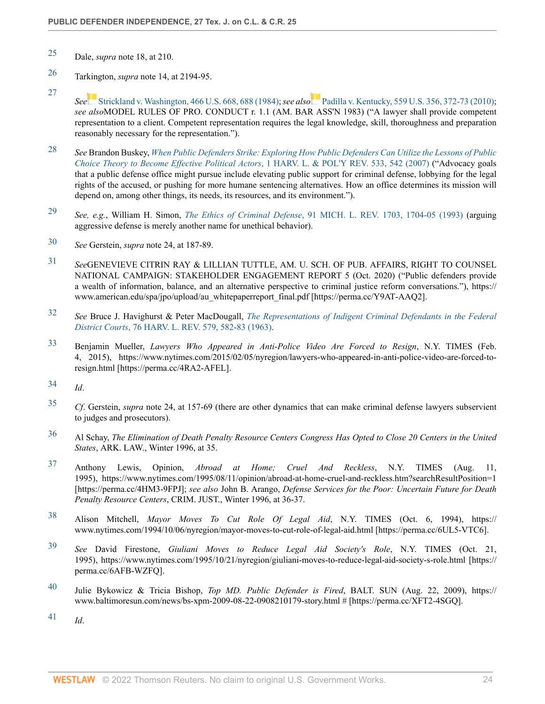- <span id="page-23-0"></span>[25](#page-2-15) Dale, *supra* note 18, at 210.
- <span id="page-23-1"></span>[26](#page-2-16) Tarkington, *supra* note 14, at 2194-95.
- <span id="page-23-2"></span>[27](#page-3-0) *See* [Strickland v. Washington, 466 U.S. 668, 688 \(1984\)](http://www.westlaw.com/Link/Document/FullText?findType=Y&serNum=1984123336&pubNum=0000780&originatingDoc=I9bcecfaa9c4911ec9f24ec7b211d8087&refType=RP&fi=co_pp_sp_780_688&originationContext=document&vr=3.0&rs=cblt1.0&transitionType=DocumentItem&contextData=(sc.Search)#co_pp_sp_780_688); *see also* [Padilla v. Kentucky, 559 U.S. 356, 372-73 \(2010\)](http://www.westlaw.com/Link/Document/FullText?findType=Y&serNum=2021655200&pubNum=0000780&originatingDoc=I9bcecfaa9c4911ec9f24ec7b211d8087&refType=RP&fi=co_pp_sp_780_372&originationContext=document&vr=3.0&rs=cblt1.0&transitionType=DocumentItem&contextData=(sc.Search)#co_pp_sp_780_372); *see also*MODEL RULES OF PRO. CONDUCT r. 1.1 (AM. BAR ASS'N 1983) ("A lawyer shall provide competent representation to a client. Competent representation requires the legal knowledge, skill, thoroughness and preparation reasonably necessary for the representation.").
- <span id="page-23-3"></span>[28](#page-3-1) *See* Brandon Buskey, *[When Public Defenders Strike: Exploring How Public Defenders Can Utilize the Lessons of Public](http://www.westlaw.com/Link/Document/FullText?findType=Y&serNum=0335878233&pubNum=0203226&originatingDoc=I9bcecfaa9c4911ec9f24ec7b211d8087&refType=LR&fi=co_pp_sp_203226_542&originationContext=document&vr=3.0&rs=cblt1.0&transitionType=DocumentItem&contextData=(sc.Search)#co_pp_sp_203226_542) [Choice Theory to Become Effective Political Actors](http://www.westlaw.com/Link/Document/FullText?findType=Y&serNum=0335878233&pubNum=0203226&originatingDoc=I9bcecfaa9c4911ec9f24ec7b211d8087&refType=LR&fi=co_pp_sp_203226_542&originationContext=document&vr=3.0&rs=cblt1.0&transitionType=DocumentItem&contextData=(sc.Search)#co_pp_sp_203226_542)*, 1 HARV. L. & POL'Y REV. 533, 542 (2007) ("Advocacy goals that a public defense office might pursue include elevating public support for criminal defense, lobbying for the legal rights of the accused, or pushing for more humane sentencing alternatives. How an office determines its mission will depend on, among other things, its needs, its resources, and its environment.").
- <span id="page-23-4"></span>[29](#page-3-2) *See, e.g.*, William H. Simon, *The Ethics of Criminal Defense*[, 91 MICH. L. REV. 1703, 1704-05 \(1993\)](http://www.westlaw.com/Link/Document/FullText?findType=Y&serNum=0103038724&pubNum=0001192&originatingDoc=I9bcecfaa9c4911ec9f24ec7b211d8087&refType=LR&fi=co_pp_sp_1192_1704&originationContext=document&vr=3.0&rs=cblt1.0&transitionType=DocumentItem&contextData=(sc.Search)#co_pp_sp_1192_1704) (arguing aggressive defense is merely another name for unethical behavior).
- <span id="page-23-5"></span>[30](#page-3-3) *See* Gerstein, *supra* note 24, at 187-89.
- <span id="page-23-6"></span>[31](#page-3-4) *See*GENEVIEVE CITRIN RAY & LILLIAN TUTTLE, AM. U. SCH. OF PUB. AFFAIRS, RIGHT TO COUNSEL NATIONAL CAMPAIGN: STAKEHOLDER ENGAGEMENT REPORT 5 (Oct. 2020) ("Public defenders provide a wealth of information, balance, and an alternative perspective to criminal justice reform conversations."), https:// www.american.edu/spa/jpo/upload/au\_whitepaperreport\_final.pdf [https://perma.cc/Y9AT-AAQ2].
- <span id="page-23-7"></span>[32](#page-3-5) *See* Bruce J. Havighurst & Peter MacDougall, *[The Representations of Indigent Criminal Defendants in the Federal](http://www.westlaw.com/Link/Document/FullText?findType=Y&serNum=0110388029&pubNum=0003084&originatingDoc=I9bcecfaa9c4911ec9f24ec7b211d8087&refType=LR&fi=co_pp_sp_3084_582&originationContext=document&vr=3.0&rs=cblt1.0&transitionType=DocumentItem&contextData=(sc.Search)#co_pp_sp_3084_582) District Courts*[, 76 HARV. L. REV. 579, 582-83 \(1963\)](http://www.westlaw.com/Link/Document/FullText?findType=Y&serNum=0110388029&pubNum=0003084&originatingDoc=I9bcecfaa9c4911ec9f24ec7b211d8087&refType=LR&fi=co_pp_sp_3084_582&originationContext=document&vr=3.0&rs=cblt1.0&transitionType=DocumentItem&contextData=(sc.Search)#co_pp_sp_3084_582).
- <span id="page-23-8"></span>[33](#page-3-6) Benjamin Mueller, *Lawyers Who Appeared in Anti-Police Video Are Forced to Resign*, N.Y. TIMES (Feb. 4, 2015), https://www.nytimes.com/2015/02/05/nyregion/lawyers-who-appeared-in-anti-police-video-are-forced-toresign.html [https://perma.cc/4RA2-AFEL].
- <span id="page-23-9"></span>[34](#page-3-7) *Id*.
- <span id="page-23-10"></span>[35](#page-3-8) *Cf*. Gerstein, *supra* note 24, at 157-69 (there are other dynamics that can make criminal defense lawyers subservient to judges and prosecutors).
- <span id="page-23-11"></span>[36](#page-3-9) Al Schay, *The Elimination of Death Penalty Resource Centers Congress Has Opted to Close 20 Centers in the United States*, ARK. LAW., Winter 1996, at 35.
- <span id="page-23-12"></span>[37](#page-3-10) Anthony Lewis, Opinion, *Abroad at Home; Cruel And Reckless*, N.Y. TIMES (Aug. 11, 1995), https://www.nytimes.com/1995/08/11/opinion/abroad-at-home-cruel-and-reckless.htm?searchResultPosition=1 [https://perma.cc/4HM3-9FPJ]; *see also* John B. Arango, *Defense Services for the Poor: Uncertain Future for Death Penalty Resource Centers*, CRIM. JUST., Winter 1996, at 36-37.
- <span id="page-23-13"></span>[38](#page-4-0) Alison Mitchell, *Mayor Moves To Cut Role Of Legal Aid*, N.Y. TIMES (Oct. 6, 1994), https:// www.nytimes.com/1994/10/06/nyregion/mayor-moves-to-cut-role-of-legal-aid.html [https://perma.cc/6UL5-VTC6].
- <span id="page-23-14"></span>[39](#page-4-1) *See* David Firestone, *Giuliani Moves to Reduce Legal Aid Society's Role*, N.Y. TIMES (Oct. 21, 1995), https://www.nytimes.com/1995/10/21/nyregion/giuliani-moves-to-reduce-legal-aid-society-s-role.html [https:// perma.cc/6AFB-WZFQ].
- <span id="page-23-15"></span>[40](#page-4-2) Julie Bykowicz & Tricia Bishop, *Top MD. Public Defender is Fired*, BALT. SUN (Aug. 22, 2009), https:// www.baltimoresun.com/news/bs-xpm-2009-08-22-0908210179-story.html # [https://perma.cc/XFT2-4SGQ].
- <span id="page-23-16"></span>[41](#page-4-3) *Id*.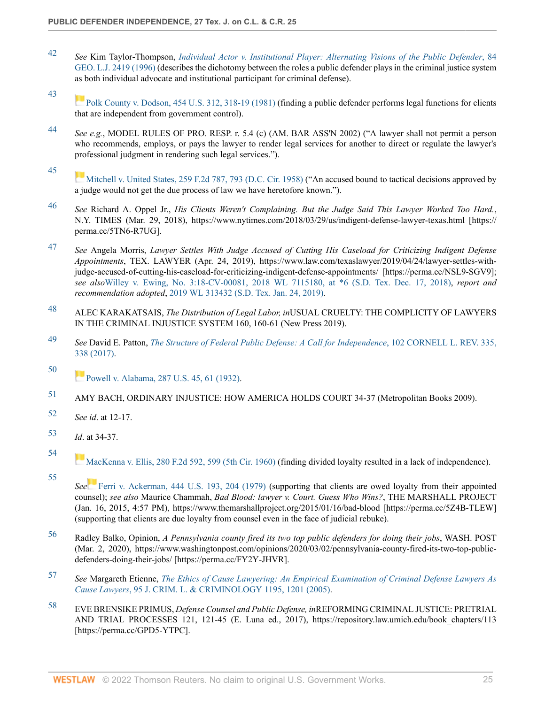- <span id="page-24-0"></span>[42](#page-4-4) *See* Kim Taylor-Thompson, *[Individual Actor v. Institutional Player: Alternating Visions of the Public Defender](http://www.westlaw.com/Link/Document/FullText?findType=Y&serNum=0107094201&pubNum=0001146&originatingDoc=I9bcecfaa9c4911ec9f24ec7b211d8087&refType=LR&originationContext=document&vr=3.0&rs=cblt1.0&transitionType=DocumentItem&contextData=(sc.Search))*, 84 [GEO. L.J. 2419 \(1996\)](http://www.westlaw.com/Link/Document/FullText?findType=Y&serNum=0107094201&pubNum=0001146&originatingDoc=I9bcecfaa9c4911ec9f24ec7b211d8087&refType=LR&originationContext=document&vr=3.0&rs=cblt1.0&transitionType=DocumentItem&contextData=(sc.Search)) (describes the dichotomy between the roles a public defender plays in the criminal justice system as both individual advocate and institutional participant for criminal defense).
- <span id="page-24-1"></span>[43](#page-4-5) [Polk County v. Dodson, 454 U.S. 312, 318-19 \(1981\)](http://www.westlaw.com/Link/Document/FullText?findType=Y&serNum=1981152298&pubNum=0000780&originatingDoc=I9bcecfaa9c4911ec9f24ec7b211d8087&refType=RP&fi=co_pp_sp_780_318&originationContext=document&vr=3.0&rs=cblt1.0&transitionType=DocumentItem&contextData=(sc.Search)#co_pp_sp_780_318) (finding a public defender performs legal functions for clients that are independent from government control).
- <span id="page-24-2"></span>[44](#page-4-6) *See e.g.*, MODEL RULES OF PRO. RESP. r. 5.4 (c) (AM. BAR ASS'N 2002) ("A lawyer shall not permit a person who recommends, employs, or pays the lawyer to render legal services for another to direct or regulate the lawyer's professional judgment in rendering such legal services.").
- <span id="page-24-3"></span>[45](#page-4-7) [Mitchell v. United States, 259 F.2d 787, 793 \(D.C. Cir. 1958\)](http://www.westlaw.com/Link/Document/FullText?findType=Y&serNum=1958103180&pubNum=0000350&originatingDoc=I9bcecfaa9c4911ec9f24ec7b211d8087&refType=RP&fi=co_pp_sp_350_793&originationContext=document&vr=3.0&rs=cblt1.0&transitionType=DocumentItem&contextData=(sc.Search)#co_pp_sp_350_793) ("An accused bound to tactical decisions approved by a judge would not get the due process of law we have heretofore known.").
- <span id="page-24-4"></span>[46](#page-4-8) *See* Richard A. Oppel Jr., *His Clients Weren't Complaining. But the Judge Said This Lawyer Worked Too Hard.*, N.Y. TIMES (Mar. 29, 2018), https://www.nytimes.com/2018/03/29/us/indigent-defense-lawyer-texas.html [https:// perma.cc/5TN6-R7UG].
- <span id="page-24-5"></span>[47](#page-4-9) *See* Angela Morris, *Lawyer Settles With Judge Accused of Cutting His Caseload for Criticizing Indigent Defense Appointments*, TEX. LAWYER (Apr. 24, 2019), https://www.law.com/texaslawyer/2019/04/24/lawyer-settles-withjudge-accused-of-cutting-his-caseload-for-criticizing-indigent-defense-appointments/ [https://perma.cc/NSL9-SGV9]; *see also*[Willey v. Ewing, No. 3:18-CV-00081, 2018 WL 7115180, at \\*6 \(S.D. Tex. Dec. 17, 2018\),](http://www.westlaw.com/Link/Document/FullText?findType=Y&serNum=2047400284&pubNum=0000999&originatingDoc=I9bcecfaa9c4911ec9f24ec7b211d8087&refType=RP&originationContext=document&vr=3.0&rs=cblt1.0&transitionType=DocumentItem&contextData=(sc.Search)) *report and recommendation adopted*, [2019 WL 313432 \(S.D. Tex. Jan. 24, 2019\).](http://www.westlaw.com/Link/Document/FullText?findType=Y&serNum=2047398476&pubNum=0000999&originatingDoc=I9bcecfaa9c4911ec9f24ec7b211d8087&refType=RP&originationContext=document&vr=3.0&rs=cblt1.0&transitionType=DocumentItem&contextData=(sc.Search))
- <span id="page-24-6"></span>[48](#page-4-10) ALEC KARAKATSAIS, *The Distribution of Legal Labor, in*USUAL CRUELTY: THE COMPLICITY OF LAWYERS IN THE CRIMINAL INJUSTICE SYSTEM 160, 160-61 (New Press 2019).
- <span id="page-24-7"></span>[49](#page-4-11) *See* David E. Patton, *[The Structure of Federal Public Defense: A Call for Independence](http://www.westlaw.com/Link/Document/FullText?findType=Y&serNum=0455195562&pubNum=0001111&originatingDoc=I9bcecfaa9c4911ec9f24ec7b211d8087&refType=LR&fi=co_pp_sp_1111_338&originationContext=document&vr=3.0&rs=cblt1.0&transitionType=DocumentItem&contextData=(sc.Search)#co_pp_sp_1111_338)*, 102 CORNELL L. REV. 335, [338 \(2017\)](http://www.westlaw.com/Link/Document/FullText?findType=Y&serNum=0455195562&pubNum=0001111&originatingDoc=I9bcecfaa9c4911ec9f24ec7b211d8087&refType=LR&fi=co_pp_sp_1111_338&originationContext=document&vr=3.0&rs=cblt1.0&transitionType=DocumentItem&contextData=(sc.Search)#co_pp_sp_1111_338).
- <span id="page-24-8"></span>[50](#page-4-12) **[Powell v. Alabama, 287 U.S. 45, 61 \(1932\)](http://www.westlaw.com/Link/Document/FullText?findType=Y&serNum=1932123464&pubNum=0000780&originatingDoc=I9bcecfaa9c4911ec9f24ec7b211d8087&refType=RP&fi=co_pp_sp_780_61&originationContext=document&vr=3.0&rs=cblt1.0&transitionType=DocumentItem&contextData=(sc.Search)#co_pp_sp_780_61).**
- <span id="page-24-9"></span>[51](#page-4-13) AMY BACH, ORDINARY INJUSTICE: HOW AMERICA HOLDS COURT 34-37 (Metropolitan Books 2009).
- <span id="page-24-10"></span>[52](#page-4-14) *See id*. at 12-17.
- <span id="page-24-11"></span>[53](#page-4-15) *Id*. at 34-37.

<span id="page-24-12"></span>[54](#page-4-16)

<span id="page-24-13"></span>[55](#page-4-17)

- [MacKenna v. Ellis, 280 F.2d 592, 599 \(5th Cir. 1960\)](http://www.westlaw.com/Link/Document/FullText?findType=Y&serNum=1960102609&pubNum=0000350&originatingDoc=I9bcecfaa9c4911ec9f24ec7b211d8087&refType=RP&fi=co_pp_sp_350_599&originationContext=document&vr=3.0&rs=cblt1.0&transitionType=DocumentItem&contextData=(sc.Search)#co_pp_sp_350_599) (finding divided loyalty resulted in a lack of independence).
- *See* [Ferri v. Ackerman, 444 U.S. 193, 204 \(1979\)](http://www.westlaw.com/Link/Document/FullText?findType=Y&serNum=1979135198&pubNum=0000780&originatingDoc=I9bcecfaa9c4911ec9f24ec7b211d8087&refType=RP&fi=co_pp_sp_780_204&originationContext=document&vr=3.0&rs=cblt1.0&transitionType=DocumentItem&contextData=(sc.Search)#co_pp_sp_780_204) (supporting that clients are owed loyalty from their appointed counsel); *see also* Maurice Chammah, *Bad Blood: lawyer v. Court. Guess Who Wins?*, THE MARSHALL PROJECT (Jan. 16, 2015, 4:57 PM), https://www.themarshallproject.org/2015/01/16/bad-blood [https://perma.cc/5Z4B-TLEW] (supporting that clients are due loyalty from counsel even in the face of judicial rebuke).
- <span id="page-24-14"></span>[56](#page-5-0) Radley Balko, Opinion, *A Pennsylvania county fired its two top public defenders for doing their jobs*, WASH. POST (Mar. 2, 2020), https://www.washingtonpost.com/opinions/2020/03/02/pennsylvania-county-fired-its-two-top-publicdefenders-doing-their-jobs/ [https://perma.cc/FY2Y-JHVR].
- <span id="page-24-15"></span>[57](#page-5-1) *See* Margareth Etienne, *[The Ethics of Cause Lawyering: An Empirical Examination of Criminal Defense Lawyers As](http://www.westlaw.com/Link/Document/FullText?findType=Y&serNum=0306262949&pubNum=0001173&originatingDoc=I9bcecfaa9c4911ec9f24ec7b211d8087&refType=LR&fi=co_pp_sp_1173_1201&originationContext=document&vr=3.0&rs=cblt1.0&transitionType=DocumentItem&contextData=(sc.Search)#co_pp_sp_1173_1201) Cause Lawyers*[, 95 J. CRIM. L. & CRIMINOLOGY 1195, 1201 \(2005\)](http://www.westlaw.com/Link/Document/FullText?findType=Y&serNum=0306262949&pubNum=0001173&originatingDoc=I9bcecfaa9c4911ec9f24ec7b211d8087&refType=LR&fi=co_pp_sp_1173_1201&originationContext=document&vr=3.0&rs=cblt1.0&transitionType=DocumentItem&contextData=(sc.Search)#co_pp_sp_1173_1201).
- <span id="page-24-16"></span>[58](#page-5-2) EVE BRENSIKE PRIMUS, *Defense Counsel and Public Defense, in*REFORMING CRIMINAL JUSTICE: PRETRIAL AND TRIAL PROCESSES 121, 121-45 (E. Luna ed., 2017), https://repository.law.umich.edu/book\_chapters/113 [https://perma.cc/GPD5-YTPC].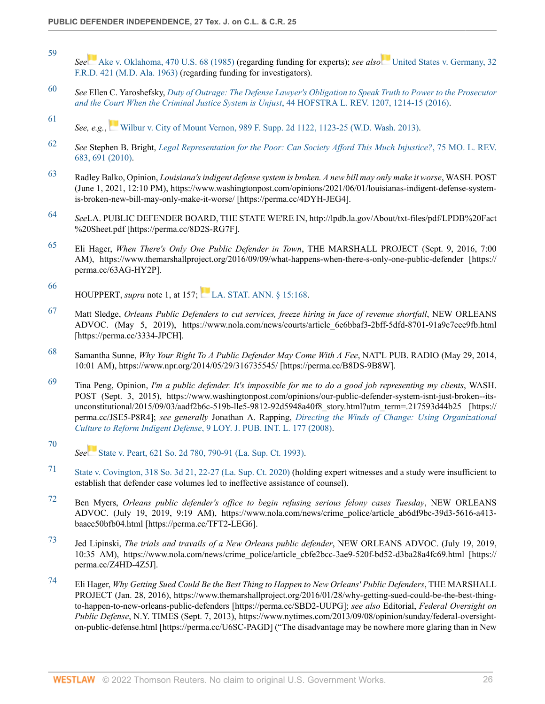- <span id="page-25-0"></span>[59](#page-5-3) *See* [Ake v. Oklahoma, 470 U.S. 68 \(1985\)](http://www.westlaw.com/Link/Document/FullText?findType=Y&serNum=1985110070&pubNum=0000780&originatingDoc=I9bcecfaa9c4911ec9f24ec7b211d8087&refType=RP&originationContext=document&vr=3.0&rs=cblt1.0&transitionType=DocumentItem&contextData=(sc.Search)) (regarding funding for experts); *see also* [United States v. Germany, 32](http://www.westlaw.com/Link/Document/FullText?findType=Y&serNum=1963110736&pubNum=0000344&originatingDoc=I9bcecfaa9c4911ec9f24ec7b211d8087&refType=RP&originationContext=document&vr=3.0&rs=cblt1.0&transitionType=DocumentItem&contextData=(sc.Search)) [F.R.D. 421 \(M.D. Ala. 1963\)](http://www.westlaw.com/Link/Document/FullText?findType=Y&serNum=1963110736&pubNum=0000344&originatingDoc=I9bcecfaa9c4911ec9f24ec7b211d8087&refType=RP&originationContext=document&vr=3.0&rs=cblt1.0&transitionType=DocumentItem&contextData=(sc.Search)) (regarding funding for investigators).
- <span id="page-25-1"></span>[60](#page-5-4) *See* Ellen C. Yaroshefsky, *[Duty of Outrage: The Defense Lawyer's Obligation to Speak Truth to Power to the Prosecutor](http://www.westlaw.com/Link/Document/FullText?findType=Y&serNum=0451414834&pubNum=0001160&originatingDoc=I9bcecfaa9c4911ec9f24ec7b211d8087&refType=LR&fi=co_pp_sp_1160_1214&originationContext=document&vr=3.0&rs=cblt1.0&transitionType=DocumentItem&contextData=(sc.Search)#co_pp_sp_1160_1214) [and the Court When the Criminal Justice System is Unjust](http://www.westlaw.com/Link/Document/FullText?findType=Y&serNum=0451414834&pubNum=0001160&originatingDoc=I9bcecfaa9c4911ec9f24ec7b211d8087&refType=LR&fi=co_pp_sp_1160_1214&originationContext=document&vr=3.0&rs=cblt1.0&transitionType=DocumentItem&contextData=(sc.Search)#co_pp_sp_1160_1214)*, 44 HOFSTRA L. REV. 1207, 1214-15 (2016).
- <span id="page-25-2"></span>[61](#page-5-5) *See, e.g.*,[Wilbur v. City of Mount Vernon, 989 F. Supp. 2d 1122, 1123-25 \(W.D. Wash. 2013\).](http://www.westlaw.com/Link/Document/FullText?findType=Y&serNum=2032198222&pubNum=0004637&originatingDoc=I9bcecfaa9c4911ec9f24ec7b211d8087&refType=RP&fi=co_pp_sp_4637_1123&originationContext=document&vr=3.0&rs=cblt1.0&transitionType=DocumentItem&contextData=(sc.Search)#co_pp_sp_4637_1123)
- <span id="page-25-3"></span>[62](#page-5-6) *See* Stephen B. Bright, *[Legal Representation for the Poor: Can Society Afford This Much Injustice?](http://www.westlaw.com/Link/Document/FullText?findType=Y&serNum=0356827692&pubNum=0001196&originatingDoc=I9bcecfaa9c4911ec9f24ec7b211d8087&refType=LR&fi=co_pp_sp_1196_691&originationContext=document&vr=3.0&rs=cblt1.0&transitionType=DocumentItem&contextData=(sc.Search)#co_pp_sp_1196_691)*, 75 MO. L. REV. [683, 691 \(2010\)](http://www.westlaw.com/Link/Document/FullText?findType=Y&serNum=0356827692&pubNum=0001196&originatingDoc=I9bcecfaa9c4911ec9f24ec7b211d8087&refType=LR&fi=co_pp_sp_1196_691&originationContext=document&vr=3.0&rs=cblt1.0&transitionType=DocumentItem&contextData=(sc.Search)#co_pp_sp_1196_691).
- <span id="page-25-4"></span>[63](#page-5-7) Radley Balko, Opinion, *Louisiana's indigent defense system is broken. A new bill may only make it worse*, WASH. POST (June 1, 2021, 12:10 PM), https://www.washingtonpost.com/opinions/2021/06/01/louisianas-indigent-defense-systemis-broken-new-bill-may-only-make-it-worse/ [https://perma.cc/4DYH-JEG4].
- <span id="page-25-5"></span>[64](#page-5-8) *See*LA. PUBLIC DEFENDER BOARD, THE STATE WE'RE IN, http://lpdb.la.gov/About/txt-files/pdf/LPDB%20Fact %20Sheet.pdf [https://perma.cc/8D2S-RG7F].
- <span id="page-25-6"></span>[65](#page-5-9) Eli Hager, *When There's Only One Public Defender in Town*, THE MARSHALL PROJECT (Sept. 9, 2016, 7:00 AM), https://www.themarshallproject.org/2016/09/09/what-happens-when-there-s-only-one-public-defender [https:// perma.cc/63AG-HY2P].
- <span id="page-25-7"></span>[66](#page-5-10) HOUPPERT, *supra* note 1, at 157; [LA. STAT. ANN. § 15:168](http://www.westlaw.com/Link/Document/FullText?findType=L&pubNum=1000011&cite=LARS15%3a168&originatingDoc=I9bcecfaa9c4911ec9f24ec7b211d8087&refType=LQ&originationContext=document&vr=3.0&rs=cblt1.0&transitionType=DocumentItem&contextData=(sc.Search)).
- <span id="page-25-8"></span>[67](#page-5-11) Matt Sledge, *Orleans Public Defenders to cut services, freeze hiring in face of revenue shortfall*, NEW ORLEANS ADVOC. (May 5, 2019), https://www.nola.com/news/courts/article\_6e6bbaf3-2bff-5dfd-8701-91a9c7cee9fb.html [https://perma.cc/3334-JPCH].
- <span id="page-25-9"></span>[68](#page-5-12) Samantha Sunne, *Why Your Right To A Public Defender May Come With A Fee*, NAT'L PUB. RADIO (May 29, 2014, 10:01 AM), https://www.npr.org/2014/05/29/316735545/ [https://perma.cc/B8DS-9B8W].
- <span id="page-25-10"></span>[69](#page-5-13) Tina Peng, Opinion, *I'm a public defender. It's impossible for me to do a good job representing my clients*, WASH. POST (Sept. 3, 2015), https://www.washingtonpost.com/opinions/our-public-defender-system-isnt-just-broken--itsunconstitutional/2015/09/03/aadf2b6c-519b-lle5-9812-92d5948a40f8\_story.html?utm\_term=.217593d44b25 [https:// perma.cc/JSE5-P8R4]; *see generally* Jonathan A. Rapping, *[Directing the Winds of Change: Using Organizational](http://www.westlaw.com/Link/Document/FullText?findType=Y&serNum=0342356098&pubNum=0137656&originatingDoc=I9bcecfaa9c4911ec9f24ec7b211d8087&refType=LR&originationContext=document&vr=3.0&rs=cblt1.0&transitionType=DocumentItem&contextData=(sc.Search)) Culture to Reform Indigent Defense*[, 9 LOY. J. PUB. INT. L. 177 \(2008\)](http://www.westlaw.com/Link/Document/FullText?findType=Y&serNum=0342356098&pubNum=0137656&originatingDoc=I9bcecfaa9c4911ec9f24ec7b211d8087&refType=LR&originationContext=document&vr=3.0&rs=cblt1.0&transitionType=DocumentItem&contextData=(sc.Search)).
- <span id="page-25-11"></span>[70](#page-5-14) *See* [State v. Peart, 621 So. 2d 780, 790-91 \(La. Sup. Ct. 1993\).](http://www.westlaw.com/Link/Document/FullText?findType=Y&serNum=1993138882&pubNum=0000735&originatingDoc=I9bcecfaa9c4911ec9f24ec7b211d8087&refType=RP&fi=co_pp_sp_735_790&originationContext=document&vr=3.0&rs=cblt1.0&transitionType=DocumentItem&contextData=(sc.Search)#co_pp_sp_735_790)
- <span id="page-25-12"></span>[71](#page-5-15) [State v. Covington, 318 So. 3d 21, 22-27 \(La. Sup. Ct. 2020\)](http://www.westlaw.com/Link/Document/FullText?findType=Y&serNum=2052556771&pubNum=0003926&originatingDoc=I9bcecfaa9c4911ec9f24ec7b211d8087&refType=RP&fi=co_pp_sp_3926_22&originationContext=document&vr=3.0&rs=cblt1.0&transitionType=DocumentItem&contextData=(sc.Search)#co_pp_sp_3926_22) (holding expert witnesses and a study were insufficient to establish that defender case volumes led to ineffective assistance of counsel).
- <span id="page-25-13"></span>[72](#page-5-16) Ben Myers, *Orleans public defender's office to begin refusing serious felony cases Tuesday*, NEW ORLEANS ADVOC. (July 19, 2019, 9:19 AM), https://www.nola.com/news/crime\_police/article\_ab6df9bc-39d3-5616-a413 baaee50bfb04.html [https://perma.cc/TFT2-LEG6].
- <span id="page-25-14"></span>[73](#page-5-17) Jed Lipinski, *The trials and travails of a New Orleans public defender*, NEW ORLEANS ADVOC. (July 19, 2019, 10:35 AM), https://www.nola.com/news/crime\_police/article\_cbfe2bcc-3ae9-520f-bd52-d3ba28a4fc69.html [https:// perma.cc/Z4HD-4Z5J].
- <span id="page-25-15"></span>[74](#page-5-18) Eli Hager, *Why Getting Sued Could Be the Best Thing to Happen to New Orleans' Public Defenders*, THE MARSHALL PROJECT (Jan. 28, 2016), https://www.themarshallproject.org/2016/01/28/why-getting-sued-could-be-the-best-thingto-happen-to-new-orleans-public-defenders [https://perma.cc/SBD2-UUPG]; *see also* Editorial, *Federal Oversight on Public Defense*, N.Y. TIMES (Sept. 7, 2013), https://www.nytimes.com/2013/09/08/opinion/sunday/federal-oversighton-public-defense.html [https://perma.cc/U6SC-PAGD] ("The disadvantage may be nowhere more glaring than in New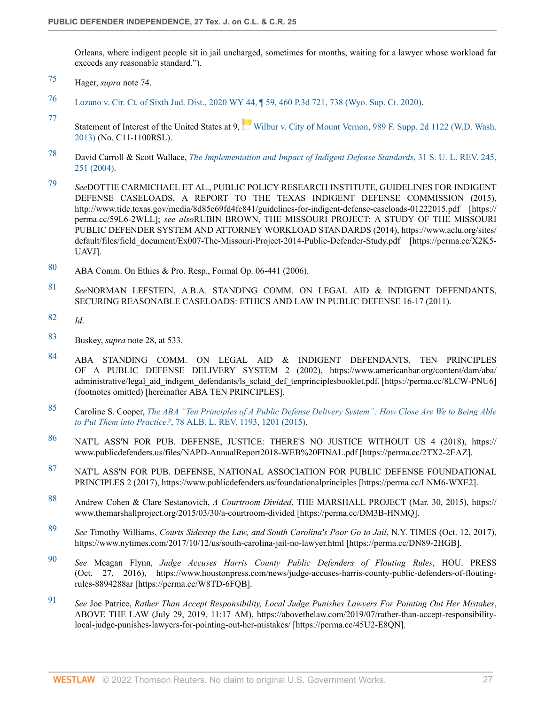Orleans, where indigent people sit in jail uncharged, sometimes for months, waiting for a lawyer whose workload far exceeds any reasonable standard.").

- <span id="page-26-0"></span>[75](#page-5-19) Hager, *supra* note 74.
- <span id="page-26-1"></span>[76](#page-5-20) [Lozano v. Cir. Ct. of Sixth Jud. Dist., 2020 WY 44, ¶ 59, 460 P.3d 721, 738 \(Wyo. Sup. Ct. 2020\).](http://www.westlaw.com/Link/Document/FullText?findType=Y&serNum=2050679540&pubNum=0004645&originatingDoc=I9bcecfaa9c4911ec9f24ec7b211d8087&refType=RP&fi=co_pp_sp_4645_738&originationContext=document&vr=3.0&rs=cblt1.0&transitionType=DocumentItem&contextData=(sc.Search)#co_pp_sp_4645_738)
- <span id="page-26-2"></span>[77](#page-6-0) Statement of Interest of the United States at 9, [Wilbur v. City of Mount Vernon, 989 F. Supp. 2d 1122 \(W.D. Wash.](http://www.westlaw.com/Link/Document/FullText?findType=Y&serNum=2032198222&pubNum=0004637&originatingDoc=I9bcecfaa9c4911ec9f24ec7b211d8087&refType=RP&originationContext=document&vr=3.0&rs=cblt1.0&transitionType=DocumentItem&contextData=(sc.Search)) [2013\)](http://www.westlaw.com/Link/Document/FullText?findType=Y&serNum=2032198222&pubNum=0004637&originatingDoc=I9bcecfaa9c4911ec9f24ec7b211d8087&refType=RP&originationContext=document&vr=3.0&rs=cblt1.0&transitionType=DocumentItem&contextData=(sc.Search)) (No. C11-1100RSL).
- <span id="page-26-3"></span>[78](#page-6-1) David Carroll & Scott Wallace, *[The Implementation and Impact of Indigent Defense Standards](http://www.westlaw.com/Link/Document/FullText?findType=Y&serNum=0304523297&pubNum=0100404&originatingDoc=I9bcecfaa9c4911ec9f24ec7b211d8087&refType=LR&fi=co_pp_sp_100404_251&originationContext=document&vr=3.0&rs=cblt1.0&transitionType=DocumentItem&contextData=(sc.Search)#co_pp_sp_100404_251)*, 31 S. U. L. REV. 245, [251 \(2004\)](http://www.westlaw.com/Link/Document/FullText?findType=Y&serNum=0304523297&pubNum=0100404&originatingDoc=I9bcecfaa9c4911ec9f24ec7b211d8087&refType=LR&fi=co_pp_sp_100404_251&originationContext=document&vr=3.0&rs=cblt1.0&transitionType=DocumentItem&contextData=(sc.Search)#co_pp_sp_100404_251).
- <span id="page-26-4"></span>[79](#page-6-2) *See*DOTTIE CARMICHAEL ET AL., PUBLIC POLICY RESEARCH INSTITUTE, GUIDELINES FOR INDIGENT DEFENSE CASELOADS, A REPORT TO THE TEXAS INDIGENT DEFENSE COMMISSION (2015), http://www.tidc.texas.gov/media/8d85e69fd4fc841/guidelines-for-indigent-defense-caseloads-01222015.pdf [https:// perma.cc/59L6-2WLL]; *see also*RUBIN BROWN, THE MISSOURI PROJECT: A STUDY OF THE MISSOURI PUBLIC DEFENDER SYSTEM AND ATTORNEY WORKLOAD STANDARDS (2014), https://www.aclu.org/sites/ default/files/field\_document/Ex007-The-Missouri-Project-2014-Public-Defender-Study.pdf [https://perma.cc/X2K5-UAVJ].
- <span id="page-26-5"></span>[80](#page-6-3) ABA Comm. On Ethics & Pro. Resp., Formal Op. 06-441 (2006).
- <span id="page-26-6"></span>[81](#page-6-4) *See*NORMAN LEFSTEIN, A.B.A. STANDING COMM. ON LEGAL AID & INDIGENT DEFENDANTS, SECURING REASONABLE CASELOADS: ETHICS AND LAW IN PUBLIC DEFENSE 16-17 (2011).
- <span id="page-26-7"></span>[82](#page-6-5) *Id*.
- <span id="page-26-8"></span>[83](#page-6-6) Buskey, *supra* note 28, at 533.
- <span id="page-26-9"></span>[84](#page-6-7) ABA STANDING COMM. ON LEGAL AID & INDIGENT DEFENDANTS, TEN PRINCIPLES OF A PUBLIC DEFENSE DELIVERY SYSTEM 2 (2002), https://www.americanbar.org/content/dam/aba/ administrative/legal\_aid\_indigent\_defendants/ls\_sclaid\_def\_tenprinciplesbooklet.pdf. [https://perma.cc/8LCW-PNU6] (footnotes omitted) [hereinafter ABA TEN PRINCIPLES].
- <span id="page-26-10"></span>[85](#page-6-8) Caroline S. Cooper, *[The ABA "Ten Principles of A Public Defense Delivery System": How Close Are We to Being Able](http://www.westlaw.com/Link/Document/FullText?findType=Y&serNum=0432135999&pubNum=0003105&originatingDoc=I9bcecfaa9c4911ec9f24ec7b211d8087&refType=LR&fi=co_pp_sp_3105_1201&originationContext=document&vr=3.0&rs=cblt1.0&transitionType=DocumentItem&contextData=(sc.Search)#co_pp_sp_3105_1201) to Put Them into Practice?*[, 78 ALB. L. REV. 1193, 1201 \(2015\)](http://www.westlaw.com/Link/Document/FullText?findType=Y&serNum=0432135999&pubNum=0003105&originatingDoc=I9bcecfaa9c4911ec9f24ec7b211d8087&refType=LR&fi=co_pp_sp_3105_1201&originationContext=document&vr=3.0&rs=cblt1.0&transitionType=DocumentItem&contextData=(sc.Search)#co_pp_sp_3105_1201).
- <span id="page-26-11"></span>[86](#page-6-9) NAT'L ASS'N FOR PUB. DEFENSE, JUSTICE: THERE'S NO JUSTICE WITHOUT US 4 (2018), https:// www.publicdefenders.us/files/NAPD-AnnualReport2018-WEB%20FINAL.pdf [https://perma.cc/2TX2-2EAZ].
- <span id="page-26-12"></span>[87](#page-6-10) NAT'L ASS'N FOR PUB. DEFENSE, NATIONAL ASSOCIATION FOR PUBLIC DEFENSE FOUNDATIONAL PRINCIPLES 2 (2017), https://www.publicdefenders.us/foundationalprinciples [https://perma.cc/LNM6-WXE2].
- <span id="page-26-13"></span>[88](#page-7-0) Andrew Cohen & Clare Sestanovich, *A Courtroom Divided*, THE MARSHALL PROJECT (Mar. 30, 2015), https:// www.themarshallproject.org/2015/03/30/a-courtroom-divided [https://perma.cc/DM3B-HNMQ].
- <span id="page-26-14"></span>[89](#page-7-1) *See* Timothy Williams, *Courts Sidestep the Law, and South Carolina's Poor Go to Jail*, N.Y. TIMES (Oct. 12, 2017), https://www.nytimes.com/2017/10/12/us/south-carolina-jail-no-lawyer.html [https://perma.cc/DN89-2HGB].
- <span id="page-26-15"></span>[90](#page-7-2) *See* Meagan Flynn, *Judge Accuses Harris County Public Defenders of Flouting Rules*, HOU. PRESS (Oct. 27, 2016), https://www.houstonpress.com/news/judge-accuses-harris-county-public-defenders-of-floutingrules-8894288ar [https://perma.cc/W8TD-6FQB].
- <span id="page-26-16"></span>[91](#page-7-3) *See* Joe Patrice, *Rather Than Accept Responsibility, Local Judge Punishes Lawyers For Pointing Out Her Mistakes*, ABOVE THE LAW (July 29, 2019, 11:17 AM), https://abovethelaw.com/2019/07/rather-than-accept-responsibilitylocal-judge-punishes-lawyers-for-pointing-out-her-mistakes/ [https://perma.cc/45U2-E8QN].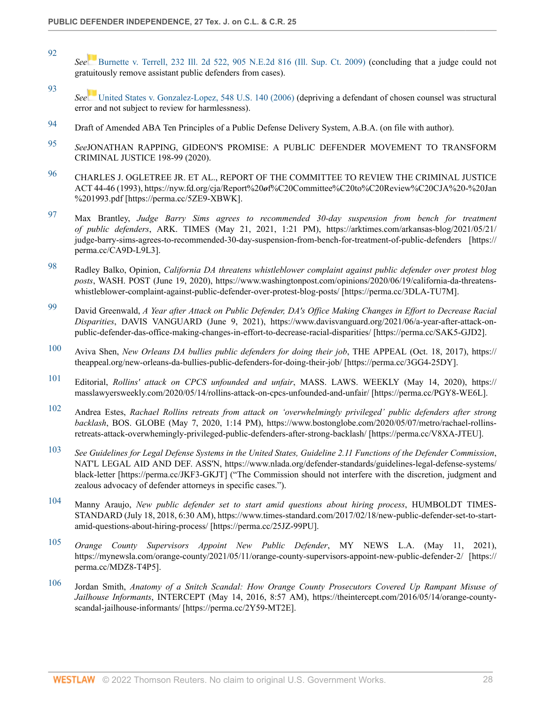<span id="page-27-0"></span>[92](#page-7-4)

- *See* [Burnette v. Terrell, 232 Ill. 2d 522, 905 N.E.2d 816 \(Ill. Sup. Ct. 2009\)](http://www.westlaw.com/Link/Document/FullText?findType=Y&serNum=2018394714&pubNum=0000578&originatingDoc=I9bcecfaa9c4911ec9f24ec7b211d8087&refType=RP&originationContext=document&vr=3.0&rs=cblt1.0&transitionType=DocumentItem&contextData=(sc.Search)) (concluding that a judge could not gratuitously remove assistant public defenders from cases).
- <span id="page-27-1"></span>[93](#page-7-5) *See* [United States v. Gonzalez-Lopez, 548 U.S. 140 \(2006\)](http://www.westlaw.com/Link/Document/FullText?findType=Y&serNum=2009431170&pubNum=0000780&originatingDoc=I9bcecfaa9c4911ec9f24ec7b211d8087&refType=RP&originationContext=document&vr=3.0&rs=cblt1.0&transitionType=DocumentItem&contextData=(sc.Search)) (depriving a defendant of chosen counsel was structural error and not subject to review for harmlessness).
- <span id="page-27-2"></span>[94](#page-7-6) Draft of Amended ABA Ten Principles of a Public Defense Delivery System, A.B.A. (on file with author).
- <span id="page-27-3"></span>[95](#page-7-7) *See*JONATHAN RAPPING, GIDEON'S PROMISE: A PUBLIC DEFENDER MOVEMENT TO TRANSFORM CRIMINAL JUSTICE 198-99 (2020).
- <span id="page-27-4"></span>[96](#page-7-8) CHARLES J. OGLETREE JR. ET AL., REPORT OF THE COMMITTEE TO REVIEW THE CRIMINAL JUSTICE ACT 44-46 (1993), https://nyw.fd.org/cja/Report%20*o*f%C20Committee%C20to%C20Review%C20CJA%20-%20Jan %201993.pdf [https://perma.cc/5ZE9-XBWK].
- <span id="page-27-5"></span>[97](#page-7-9) Max Brantley, *Judge Barry Sims agrees to recommended 30-day suspension from bench for treatment of public defenders*, ARK. TIMES (May 21, 2021, 1:21 PM), https://arktimes.com/arkansas-blog/2021/05/21/ judge-barry-sims-agrees-to-recommended-30-day-suspension-from-bench-for-treatment-of-public-defenders [https:// perma.cc/CA9D-L9L3].
- <span id="page-27-6"></span>[98](#page-7-10) Radley Balko, Opinion, *California DA threatens whistleblower complaint against public defender over protest blog posts*, WASH. POST (June 19, 2020), https://www.washingtonpost.com/opinions/2020/06/19/california-da-threatenswhistleblower-complaint-against-public-defender-over-protest-blog-posts/ [https://perma.cc/3DLA-TU7M].
- <span id="page-27-7"></span>[99](#page-7-11) David Greenwald, *A Year after Attack on Public Defender, DA's Office Making Changes in Effort to Decrease Racial Disparities*, DAVIS VANGUARD (June 9, 2021), https://www.davisvanguard.org/2021/06/a-year-after-attack-onpublic-defender-das-office-making-changes-in-effort-to-decrease-racial-disparities/ [https://perma.cc/SAK5-GJD2].
- <span id="page-27-8"></span>[100](#page-8-2) Aviva Shen, *New Orleans DA bullies public defenders for doing their job*, THE APPEAL (Oct. 18, 2017), https:// theappeal.org/new-orleans-da-bullies-public-defenders-for-doing-their-job/ [https://perma.cc/3GG4-25DY].
- <span id="page-27-9"></span>[101](#page-8-3) Editorial, *Rollins' attack on CPCS unfounded and unfair*, MASS. LAWS. WEEKLY (May 14, 2020), https:// masslawyersweekly.com/2020/05/14/rollins-attack-on-cpcs-unfounded-and-unfair/ [https://perma.cc/PGY8-WE6L].
- <span id="page-27-10"></span>[102](#page-8-4) Andrea Estes, *Rachael Rollins retreats from attack on 'overwhelmingly privileged' public defenders after strong backlash*, BOS. GLOBE (May 7, 2020, 1:14 PM), https://www.bostonglobe.com/2020/05/07/metro/rachael-rollinsretreats-attack-overwhemingly-privileged-public-defenders-after-strong-backlash/ [https://perma.cc/V8XA-JTEU].
- <span id="page-27-11"></span>[103](#page-8-5) *See Guidelines for Legal Defense Systems in the United States, Guideline 2.11 Functions of the Defender Commission*, NAT'L LEGAL AID AND DEF. ASS'N, https://www.nlada.org/defender-standards/guidelines-legal-defense-systems/ black-letter [https://perma.cc/JKF3-GKJT] ("The Commission should not interfere with the discretion, judgment and zealous advocacy of defender attorneys in specific cases.").
- <span id="page-27-12"></span>[104](#page-8-6) Manny Araujo, *New public defender set to start amid questions about hiring process*, HUMBOLDT TIMES-STANDARD (July 18, 2018, 6:30 AM), https://www.times-standard.com/2017/02/18/new-public-defender-set-to-startamid-questions-about-hiring-process/ [https://perma.cc/25JZ-99PU].
- <span id="page-27-13"></span>[105](#page-8-7) *Orange County Supervisors Appoint New Public Defender*, MY NEWS L.A. (May 11, 2021), https://mynewsla.com/orange-county/2021/05/11/orange-county-supervisors-appoint-new-public-defender-2/ [https:// perma.cc/MDZ8-T4P5].
- <span id="page-27-14"></span>[106](#page-8-8) Jordan Smith, *Anatomy of a Snitch Scandal: How Orange County Prosecutors Covered Up Rampant Misuse of Jailhouse Informants*, INTERCEPT (May 14, 2016, 8:57 AM), https://theintercept.com/2016/05/14/orange-countyscandal-jailhouse-informants/ [https://perma.cc/2Y59-MT2E].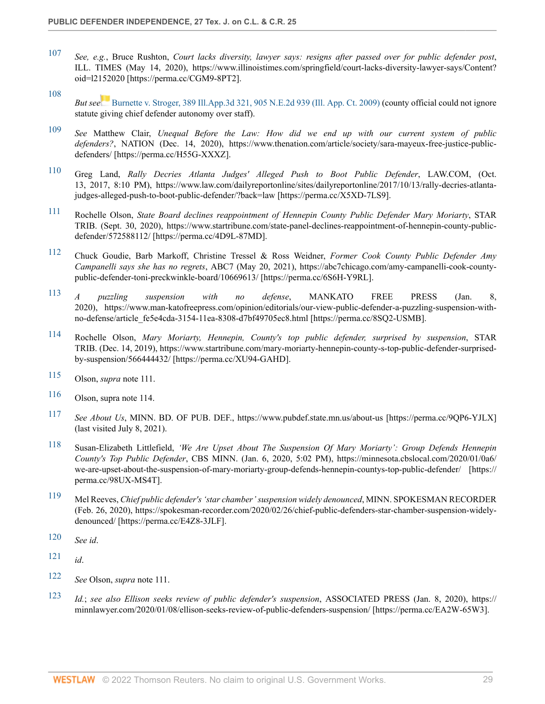- <span id="page-28-0"></span>[107](#page-8-9) *See, e.g.*, Bruce Rushton, *Court lacks diversity, lawyer says: resigns after passed over for public defender post*, ILL. TIMES (May 14, 2020), https://www.illinoistimes.com/springfield/court-lacks-diversity-lawyer-says/Content? oid=l2152020 [https://perma.cc/CGM9-8PT2].
- <span id="page-28-1"></span>[108](#page-8-10) *But see* [Burnette v. Stroger, 389 Ill.App.3d 321, 905 N.E.2d 939 \(Ill. App. Ct. 2009\)](http://www.westlaw.com/Link/Document/FullText?findType=Y&serNum=2018521470&pubNum=0000578&originatingDoc=I9bcecfaa9c4911ec9f24ec7b211d8087&refType=RP&originationContext=document&vr=3.0&rs=cblt1.0&transitionType=DocumentItem&contextData=(sc.Search)) (county official could not ignore statute giving chief defender autonomy over staff).
- <span id="page-28-2"></span>[109](#page-8-11) *See* Matthew Clair, *Unequal Before the Law: How did we end up with our current system of public defenders?*, NATION (Dec. 14, 2020), https://www.thenation.com/article/society/sara-mayeux-free-justice-publicdefenders/ [https://perma.cc/H55G-XXXZ].
- <span id="page-28-3"></span>[110](#page-8-12) Greg Land, *Rally Decries Atlanta Judges' Alleged Push to Boot Public Defender*, LAW.COM, (Oct. 13, 2017, 8:10 PM), https://www.law.com/dailyreportonline/sites/dailyreportonline/2017/10/13/rally-decries-atlantajudges-alleged-push-to-boot-public-defender/?back=law [https://perma.cc/X5XD-7LS9].
- <span id="page-28-4"></span>[111](#page-8-13) Rochelle Olson, *State Board declines reappointment of Hennepin County Public Defender Mary Moriarty*, STAR TRIB. (Sept. 30, 2020), https://www.startribune.com/state-panel-declines-reappointment-of-hennepin-county-publicdefender/572588112/ [https://perma.cc/4D9L-87MD].
- <span id="page-28-5"></span>[112](#page-8-14) Chuck Goudie, Barb Markoff, Christine Tressel & Ross Weidner, *Former Cook County Public Defender Amy Campanelli says she has no regrets*, ABC7 (May 20, 2021), https://abc7chicago.com/amy-campanelli-cook-countypublic-defender-toni-preckwinkle-board/10669613/ [https://perma.cc/6S6H-Y9RL].
- <span id="page-28-6"></span>[113](#page-9-0) *A puzzling suspension with no defense*, MANKATO FREE PRESS (Jan. 8, 2020), https://www.man-katofreepress.com/opinion/editorials/our-view-public-defender-a-puzzling-suspension-withno-defense/article\_fe5e4cda-3154-11ea-8308-d7bf49705ec8.html [https://perma.cc/8SQ2-USMB].
- <span id="page-28-7"></span>[114](#page-9-1) Rochelle Olson, *Mary Moriarty, Hennepin, County's top public defender, surprised by suspension*, STAR TRIB. (Dec. 14, 2019), https://www.startribune.com/mary-moriarty-hennepin-county-s-top-public-defender-surprisedby-suspension/566444432/ [https://perma.cc/XU94-GAHD].
- <span id="page-28-8"></span>[115](#page-9-2) Olson, *supra* note 111.
- <span id="page-28-9"></span>[116](#page-9-3) Olson, supra note 114.
- <span id="page-28-10"></span>[117](#page-9-4) *See About Us*, MINN. BD. OF PUB. DEF., https://www.pubdef.state.mn.us/about-us [https://perma.cc/9QP6-YJLX] (last visited July 8, 2021).
- <span id="page-28-11"></span>[118](#page-9-5) Susan-Elizabeth Littlefield, *'We Are Upset About The Suspension Of Mary Moriarty': Group Defends Hennepin County's Top Public Defender*, CBS MINN. (Jan. 6, 2020, 5:02 PM), https://minnesota.cbslocal.com/2020/01/0a6/ we-are-upset-about-the-suspension-of-mary-moriarty-group-defends-hennepin-countys-top-public-defender/ [https:// perma.cc/98UX-MS4T].
- <span id="page-28-12"></span>[119](#page-9-6) Mel Reeves, *Chief public defender's 'star chamber' suspension widely denounced*, MINN. SPOKESMAN RECORDER (Feb. 26, 2020), https://spokesman-recorder.com/2020/02/26/chief-public-defenders-star-chamber-suspension-widelydenounced/ [https://perma.cc/E4Z8-3JLF].
- <span id="page-28-13"></span>[120](#page-9-7) *See id*.
- <span id="page-28-14"></span>[121](#page-9-8) *id*.
- <span id="page-28-15"></span>[122](#page-9-9) *See* Olson, *supra* note 111.
- <span id="page-28-16"></span>[123](#page-9-10) *Id.*; *see also Ellison seeks review of public defender's suspension*, ASSOCIATED PRESS (Jan. 8, 2020), https:// minnlawyer.com/2020/01/08/ellison-seeks-review-of-public-defenders-suspension/ [https://perma.cc/EA2W-65W3].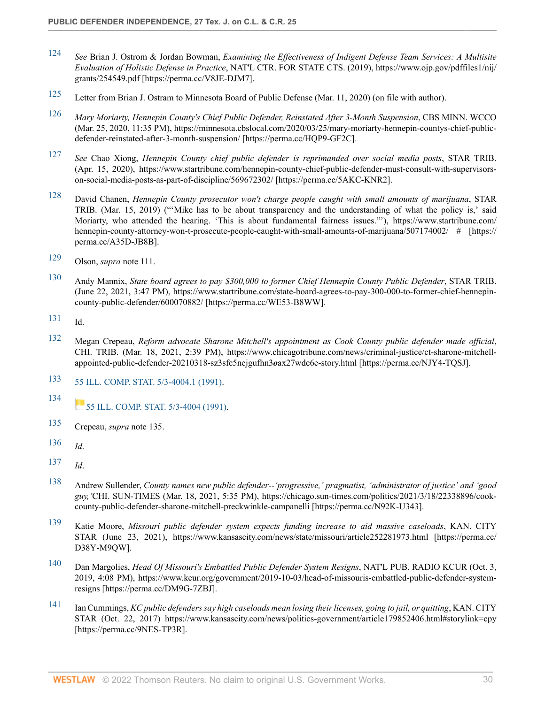- <span id="page-29-0"></span>[124](#page-9-11) *See* Brian J. Ostrom & Jordan Bowman, *Examining the Effectiveness of Indigent Defense Team Services: A Multisite Evaluation of Holistic Defense in Practice*, NAT'L CTR. FOR STATE CTS. (2019), https://www.ojp.gov/pdffiles1/nij/ grants/254549.pdf [https://perma.cc/V8JE-DJM7].
- <span id="page-29-1"></span>[125](#page-9-12) Letter from Brian J. Ostram to Minnesota Board of Public Defense (Mar. 11, 2020) (on file with author).
- <span id="page-29-2"></span>[126](#page-9-13) *Mary Moriarty, Hennepin County's Chief Public Defender, Reinstated After 3-Month Suspension*, CBS MINN. WCCO (Mar. 25, 2020, 11:35 PM), https://minnesota.cbslocal.com/2020/03/25/mary-moriarty-hennepin-countys-chief-publicdefender-reinstated-after-3-month-suspension/ [https://perma.cc/HQP9-GF2C].
- <span id="page-29-3"></span>[127](#page-9-14) *See* Chao Xiong, *Hennepin County chief public defender is reprimanded over social media posts*, STAR TRIB. (Apr. 15, 2020), https://www.startribune.com/hennepin-county-chief-public-defender-must-consult-with-supervisorson-social-media-posts-as-part-of-discipline/569672302/ [https://perma.cc/5AKC-KNR2].
- <span id="page-29-4"></span>[128](#page-9-15) David Chanen, *Hennepin County prosecutor won't charge people caught with small amounts of marijuana*, STAR TRIB. (Mar. 15, 2019) ("'Mike has to be about transparency and the understanding of what the policy is,' said Moriarty, who attended the hearing. 'This is about fundamental fairness issues."'), https://www.startribune.com/ hennepin-county-attorney-won-t-prosecute-people-caught-with-small-amounts-of-marijuana/507174002/ # [https:// perma.cc/A35D-JB8B].
- <span id="page-29-5"></span>[129](#page-9-16) Olson, *supra* note 111.
- <span id="page-29-6"></span>[130](#page-10-2) Andy Mannix, *State board agrees to pay \$300,000 to former Chief Hennepin County Public Defender*, STAR TRIB. (June 22, 2021, 3:47 PM), https://www.startribune.com/state-board-agrees-to-pay-300-000-to-former-chief-hennepincounty-public-defender/600070882/ [https://perma.cc/WE53-B8WW].
- <span id="page-29-7"></span>[131](#page-10-3) Id.
- <span id="page-29-8"></span>[132](#page-10-4) Megan Crepeau, *Reform advocate Sharone Mitchell's appointment as Cook County public defender made official*, CHI. TRIB. (Mar. 18, 2021, 2:39 PM), https://www.chicagotribune.com/news/criminal-justice/ct-sharone-mitchellappointed-public-defender-20210318-sz3sfc5nejgufhn3*o*ax27wde6e-story.html [https://perma.cc/NJY4-TQSJ].
- <span id="page-29-9"></span>[133](#page-10-5) [55 ILL. COMP. STAT. 5/3-4004.1 \(1991\)](http://www.westlaw.com/Link/Document/FullText?findType=L&pubNum=1000008&cite=ILSTC55S5%2f3-4004.1&originatingDoc=I9bcecfaa9c4911ec9f24ec7b211d8087&refType=LQ&originationContext=document&vr=3.0&rs=cblt1.0&transitionType=DocumentItem&contextData=(sc.Search)).
- <span id="page-29-10"></span>[134](#page-10-6) [55 ILL. COMP. STAT. 5/3-4004 \(1991\).](http://www.westlaw.com/Link/Document/FullText?findType=L&pubNum=1000008&cite=ILSTC55S5%2f3-4004&originatingDoc=I9bcecfaa9c4911ec9f24ec7b211d8087&refType=LQ&originationContext=document&vr=3.0&rs=cblt1.0&transitionType=DocumentItem&contextData=(sc.Search))
- <span id="page-29-11"></span>[135](#page-10-7) Crepeau, *supra* note 135.
- <span id="page-29-12"></span>[136](#page-10-8) *Id*.
- <span id="page-29-13"></span>[137](#page-10-9) *Id*.
- <span id="page-29-14"></span>[138](#page-10-10) Andrew Sullender, *County names new public defender--'progressive,' pragmatist, 'administrator of justice' and 'good guy,'*CHI. SUN-TIMES (Mar. 18, 2021, 5:35 PM), https://chicago.sun-times.com/politics/2021/3/18/22338896/cookcounty-public-defender-sharone-mitchell-preckwinkle-campanelli [https://perma.cc/N92K-U343].
- <span id="page-29-15"></span>[139](#page-10-11) Katie Moore, *Missouri public defender system expects funding increase to aid massive caseloads*, KAN. CITY STAR (June 23, 2021), https://www.kansascity.com/news/state/missouri/article252281973.html [https://perma.cc/ D38Y-M9QW].
- <span id="page-29-16"></span>[140](#page-10-12) Dan Margolies, *Head Of Missouri's Embattled Public Defender System Resigns*, NAT'L PUB. RADIO KCUR (Oct. 3, 2019, 4:08 PM), https://www.kcur.org/government/2019-10-03/head-of-missouris-embattled-public-defender-systemresigns [https://perma.cc/DM9G-7ZBJ].
- <span id="page-29-17"></span>[141](#page-10-13) Ian Cummings, *KC public defenders say high caseloads mean losing their licenses, going to jail, or quitting*, KAN. CITY STAR (Oct. 22, 2017) https://www.kansascity.com/news/politics-government/article179852406.html#storylink=cpy [https://perma.cc/9NES-TP3R].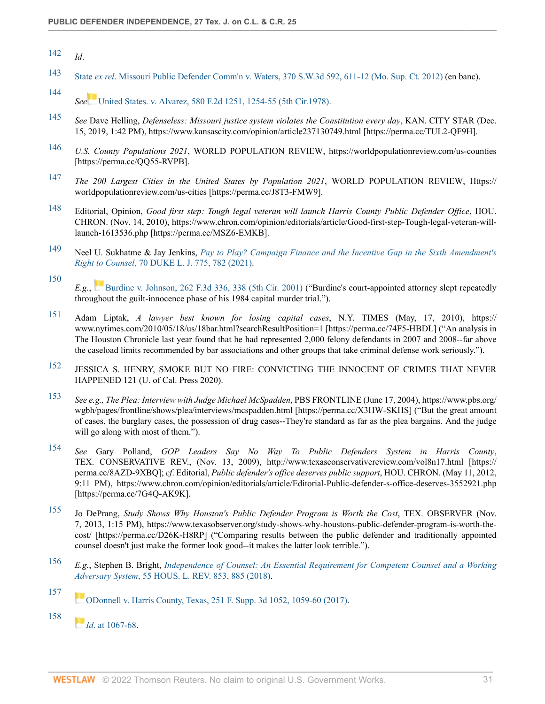- <span id="page-30-0"></span>[142](#page-11-1) *Id*.
- <span id="page-30-1"></span>[143](#page-11-2) State *ex rel*[. Missouri Public Defender Comm'n v. Waters, 370 S.W.3d 592, 611-12 \(Mo. Sup. Ct. 2012\)](http://www.westlaw.com/Link/Document/FullText?findType=Y&serNum=2028320714&pubNum=0004644&originatingDoc=I9bcecfaa9c4911ec9f24ec7b211d8087&refType=RP&fi=co_pp_sp_4644_611&originationContext=document&vr=3.0&rs=cblt1.0&transitionType=DocumentItem&contextData=(sc.Search)#co_pp_sp_4644_611) (en banc).
- <span id="page-30-2"></span>[144](#page-11-3) *See* [United States. v. Alvarez, 580 F.2d 1251, 1254-55 \(5th Cir.1978\).](http://www.westlaw.com/Link/Document/FullText?findType=Y&serNum=1978119718&pubNum=0000350&originatingDoc=I9bcecfaa9c4911ec9f24ec7b211d8087&refType=RP&fi=co_pp_sp_350_1254&originationContext=document&vr=3.0&rs=cblt1.0&transitionType=DocumentItem&contextData=(sc.Search)#co_pp_sp_350_1254)
- <span id="page-30-3"></span>[145](#page-11-4) *See* Dave Helling, *Defenseless: Missouri justice system violates the Constitution every day*, KAN. CITY STAR (Dec. 15, 2019, 1:42 PM), https://www.kansascity.com/opinion/article237130749.html [https://perma.cc/TUL2-QF9H].
- <span id="page-30-4"></span>[146](#page-11-5) *U.S. County Populations 2021*, WORLD POPULATION REVIEW, https://worldpopulationreview.com/us-counties [https://perma.cc/QQ55-RVPB].
- <span id="page-30-5"></span>[147](#page-11-6) *The 200 Largest Cities in the United States by Population 2021*, WORLD POPULATION REVIEW, Https:// worldpopulationreview.com/us-cities [https://perma.cc/J8T3-FMW9].
- <span id="page-30-6"></span>[148](#page-11-7) Editorial, Opinion, *Good first step: Tough legal veteran will launch Harris County Public Defender Office*, HOU. CHRON. (Nov. 14, 2010), https://www.chron.com/opinion/editorials/article/Good-first-step-Tough-legal-veteran-willlaunch-1613536.php [https://perma.cc/MSZ6-EMKB].
- <span id="page-30-7"></span>[149](#page-11-8) Neel U. Sukhatme & Jay Jenkins, *[Pay to Play? Campaign Finance and the Incentive Gap in the Sixth Amendment's](http://www.westlaw.com/Link/Document/FullText?findType=Y&serNum=0503795096&pubNum=0001133&originatingDoc=I9bcecfaa9c4911ec9f24ec7b211d8087&refType=LR&fi=co_pp_sp_1133_782&originationContext=document&vr=3.0&rs=cblt1.0&transitionType=DocumentItem&contextData=(sc.Search)#co_pp_sp_1133_782) Right to Counsel*[, 70 DUKE L. J. 775, 782 \(2021\)](http://www.westlaw.com/Link/Document/FullText?findType=Y&serNum=0503795096&pubNum=0001133&originatingDoc=I9bcecfaa9c4911ec9f24ec7b211d8087&refType=LR&fi=co_pp_sp_1133_782&originationContext=document&vr=3.0&rs=cblt1.0&transitionType=DocumentItem&contextData=(sc.Search)#co_pp_sp_1133_782).
- <span id="page-30-8"></span>[150](#page-11-9) *E.g.*, [Burdine v. Johnson, 262 F.3d 336, 338 \(5th Cir. 2001\)](http://www.westlaw.com/Link/Document/FullText?findType=Y&serNum=2001698962&pubNum=0000506&originatingDoc=I9bcecfaa9c4911ec9f24ec7b211d8087&refType=RP&fi=co_pp_sp_506_338&originationContext=document&vr=3.0&rs=cblt1.0&transitionType=DocumentItem&contextData=(sc.Search)#co_pp_sp_506_338) ("Burdine's court-appointed attorney slept repeatedly throughout the guilt-innocence phase of his 1984 capital murder trial.").
- <span id="page-30-9"></span>[151](#page-11-10) Adam Liptak, *A lawyer best known for losing capital cases*, N.Y. TIMES (May, 17, 2010), https:// www.nytimes.com/2010/05/18/us/18bar.html?searchResultPosition=1 [https://perma.cc/74F5-HBDL] ("An analysis in The Houston Chronicle last year found that he had represented 2,000 felony defendants in 2007 and 2008--far above the caseload limits recommended by bar associations and other groups that take criminal defense work seriously.").
- <span id="page-30-10"></span>[152](#page-11-11) JESSICA S. HENRY, SMOKE BUT NO FIRE: CONVICTING THE INNOCENT OF CRIMES THAT NEVER HAPPENED 121 (U. of Cal. Press 2020).
- <span id="page-30-11"></span>[153](#page-11-12) *See e.g., The Plea: Interview with Judge Michael McSpadden*, PBS FRONTLINE (June 17, 2004), https://www.pbs.org/ wgbh/pages/frontline/shows/plea/interviews/mcspadden.html [https://perma.cc/X3HW-SKHS] ("But the great amount of cases, the burglary cases, the possession of drug cases--They're standard as far as the plea bargains. And the judge will go along with most of them.").
- <span id="page-30-12"></span>[154](#page-11-13) *See* Gary Polland, *GOP Leaders Say No Way To Public Defenders System in Harris County*, TEX. CONSERVATIVE REV., (Nov. 13, 2009), http://www.texasconservativereview.com/vol8n17.html [https:// perma.cc/8AZD-9XBQ]; *cf*. Editorial, *Public defender's office deserves public support*, HOU. CHRON. (May 11, 2012, 9:11 PM), https://www.chron.com/opinion/editorials/article/Editorial-Public-defender-s-office-deserves-3552921.php [https://perma.cc/7G4Q-AK9K].
- <span id="page-30-13"></span>[155](#page-11-14) Jo DePrang, *Study Shows Why Houston's Public Defender Program is Worth the Cost*, TEX. OBSERVER (Nov. 7, 2013, 1:15 PM), https://www.texasobserver.org/study-shows-why-houstons-public-defender-program-is-worth-thecost/ [https://perma.cc/D26K-H8RP] ("Comparing results between the public defender and traditionally appointed counsel doesn't just make the former look good--it makes the latter look terrible.").
- <span id="page-30-14"></span>[156](#page-11-15) *E.g.*, Stephen B. Bright, *[Independence of Counsel: An Essential Requirement for Competent Counsel and a Working](http://www.westlaw.com/Link/Document/FullText?findType=Y&serNum=0469710585&pubNum=0001161&originatingDoc=I9bcecfaa9c4911ec9f24ec7b211d8087&refType=LR&fi=co_pp_sp_1161_885&originationContext=document&vr=3.0&rs=cblt1.0&transitionType=DocumentItem&contextData=(sc.Search)#co_pp_sp_1161_885) Adversary System*[, 55 HOUS. L. REV. 853, 885 \(2018\).](http://www.westlaw.com/Link/Document/FullText?findType=Y&serNum=0469710585&pubNum=0001161&originatingDoc=I9bcecfaa9c4911ec9f24ec7b211d8087&refType=LR&fi=co_pp_sp_1161_885&originationContext=document&vr=3.0&rs=cblt1.0&transitionType=DocumentItem&contextData=(sc.Search)#co_pp_sp_1161_885)

*[I](https://1.next.westlaw.com/Link/RelatedInformation/Flag?documentGuid=I4c4dbf002ea311e79de0d9b9354e8e59&transitionType=InlineKeyCiteFlags&originationContext=docHeaderFlag&Rank=0&ppcid=id0a2fc8910fa4581bfdf149172d797b5&contextData=(sc.Search) )d*[. at 1067-68](http://www.westlaw.com/Link/Document/FullText?findType=Y&serNum=2041579140&pubNum=0007903&originatingDoc=I9bcecfaa9c4911ec9f24ec7b211d8087&refType=RP&fi=co_pp_sp_7903_1067&originationContext=document&vr=3.0&rs=cblt1.0&transitionType=DocumentItem&contextData=(sc.Search)#co_pp_sp_7903_1067).

<span id="page-30-16"></span>[158](#page-11-17)

<span id="page-30-15"></span>[<sup>157</sup>](#page-11-16) [ODonnell v. Harris County, Texas, 251 F. Supp. 3d 1052, 1059-60 \(2017\)](http://www.westlaw.com/Link/Document/FullText?findType=Y&serNum=2041579140&pubNum=0007903&originatingDoc=I9bcecfaa9c4911ec9f24ec7b211d8087&refType=RP&fi=co_pp_sp_7903_1059&originationContext=document&vr=3.0&rs=cblt1.0&transitionType=DocumentItem&contextData=(sc.Search)#co_pp_sp_7903_1059).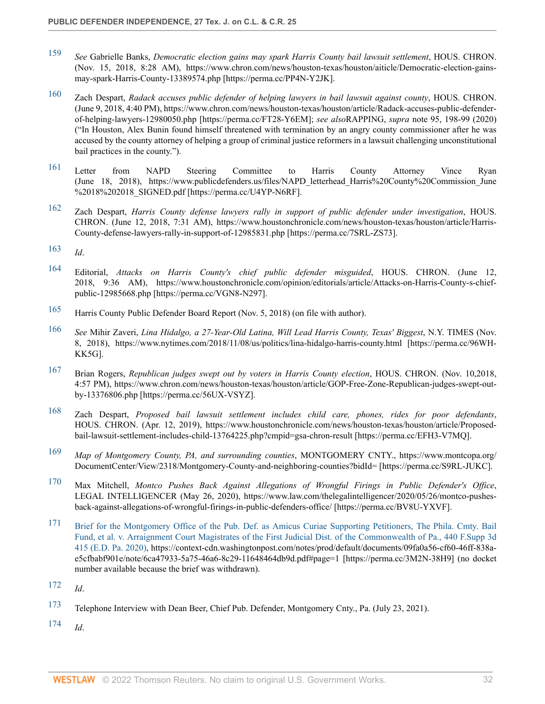- <span id="page-31-0"></span>[159](#page-11-18) *See* Gabrielle Banks, *Democratic election gains may spark Harris County bail lawsuit settlement*, HOUS. CHRON. (Nov. 15, 2018, 8:28 AM), https://www.chron.com/news/houston-texas/houston/aiticle/Democratic-election-gainsmay-spark-Harris-County-13389574.php [https://perma.cc/PP4N-Y2JK].
- <span id="page-31-1"></span>[160](#page-11-19) Zach Despart, *Radack accuses public defender of helping lawyers in bail lawsuit against county*, HOUS. CHRON. (June 9, 2018, 4:40 PM), https://www.chron.com/news/houston-texas/houston/article/Radack-accuses-public-defenderof-helping-lawyers-12980050.php [https://perma.cc/FT28-Y6EM]; *see also*RAPPING, *supra* note 95, 198-99 (2020) ("In Houston, Alex Bunin found himself threatened with termination by an angry county commissioner after he was accused by the county attorney of helping a group of criminal justice reformers in a lawsuit challenging unconstitutional bail practices in the county.").
- <span id="page-31-2"></span>[161](#page-11-20) Letter from NAPD Steering Committee to Harris County Attorney Vince Ryan (June 18, 2018), https://www.publicdefenders.us/files/NAPD\_letterhead\_Harris%20County%20Commission\_June %2018%202018\_SIGNED.pdf [https://perma.cc/U4YP-N6RF].
- <span id="page-31-3"></span>[162](#page-11-21) Zach Despart, *Harris County defense lawyers rally in support of public defender under investigation*, HOUS. CHRON. (June 12, 2018, 7:31 AM), https://www.houstonchronicle.com/news/houston-texas/houston/article/Harris-County-defense-lawyers-rally-in-support-of-12985831.php [https://perma.cc/7SRL-ZS73].
- <span id="page-31-4"></span>[163](#page-12-1) *Id*.
- <span id="page-31-5"></span>[164](#page-12-2) Editorial, *Attacks on Harris County's chief public defender misguided*, HOUS. CHRON. (June 12, 2018, 9:36 AM), https://www.houstonchronicle.com/opinion/editorials/article/Attacks-on-Harris-County-s-chiefpublic-12985668.php [https://perma.cc/VGN8-N297].
- <span id="page-31-6"></span>[165](#page-12-3) Harris County Public Defender Board Report (Nov. 5, 2018) (on file with author).
- <span id="page-31-7"></span>[166](#page-12-4) *See* Mihir Zaveri, *Lina Hidalgo, a 27-Year-Old Latina, Will Lead Harris County, Texas' Biggest*, N.Y. TIMES (Nov. 8, 2018), https://www.nytimes.com/2018/11/08/us/politics/lina-hidalgo-harris-county.html [https://perma.cc/96WH-KK5G].
- <span id="page-31-8"></span>[167](#page-12-5) Brian Rogers, *Republican judges swept out by voters in Harris County election*, HOUS. CHRON. (Nov. 10,2018, 4:57 PM), https://www.chron.com/news/houston-texas/houston/article/GOP-Free-Zone-Republican-judges-swept-outby-13376806.php [https://perma.cc/56UX-VSYZ].
- <span id="page-31-9"></span>[168](#page-12-6) Zach Despart, *Proposed bail lawsuit settlement includes child care, phones, rides for poor defendants*, HOUS. CHRON. (Apr. 12, 2019), https://www.houstonchronicle.com/news/houston-texas/houston/article/Proposedbail-lawsuit-settlement-includes-child-13764225.php?cmpid=gsa-chron-result [https://perma.cc/EFH3-V7MQ].
- <span id="page-31-10"></span>[169](#page-12-7) *Map of Montgomery County, PA, and surrounding counties*, MONTGOMERY CNTY., https://www.montcopa.org/ DocumentCenter/View/2318/Montgomery-County-and-neighboring-counties?bidId= [https://perma.cc/S9RL-JUKC].
- <span id="page-31-11"></span>[170](#page-12-8) Max Mitchell, *Montco Pushes Back Against Allegations of Wrongful Firings in Public Defender's Office*, LEGAL INTELLIGENCER (May 26, 2020), https://www.law.com/thelegalintelligencer/2020/05/26/montco-pushesback-against-allegations-of-wrongful-firings-in-public-defenders-office/ [https://perma.cc/BV8U-YXVF].
- <span id="page-31-12"></span>[171](#page-12-9) [Brief for the Montgomery Office of the Pub. Def. as Amicus Curiae Supporting Petitioners, The Phila. Cmty. Bail](http://www.westlaw.com/Link/Document/FullText?findType=Y&serNum=2050437904&pubNum=0007903&originatingDoc=I9bcecfaa9c4911ec9f24ec7b211d8087&refType=RP&originationContext=document&vr=3.0&rs=cblt1.0&transitionType=DocumentItem&contextData=(sc.Search)) [Fund, et al. v. Arraignment Court Magistrates of the First Judicial Dist. of the Commonwealth of Pa., 440 F.Supp 3d](http://www.westlaw.com/Link/Document/FullText?findType=Y&serNum=2050437904&pubNum=0007903&originatingDoc=I9bcecfaa9c4911ec9f24ec7b211d8087&refType=RP&originationContext=document&vr=3.0&rs=cblt1.0&transitionType=DocumentItem&contextData=(sc.Search)) [415 \(E.D. Pa. 2020\),](http://www.westlaw.com/Link/Document/FullText?findType=Y&serNum=2050437904&pubNum=0007903&originatingDoc=I9bcecfaa9c4911ec9f24ec7b211d8087&refType=RP&originationContext=document&vr=3.0&rs=cblt1.0&transitionType=DocumentItem&contextData=(sc.Search)) https://context-cdn.washingtonpost.com/notes/prod/default/documents/09fa0a56-cf60-46ff-838ae5cfbabf901e/note/6ca47933-5a75-46a6-8c29-11648464db9d.pdf#page=1 [https://perma.cc/3M2N-38H9] (no docket number available because the brief was withdrawn).
- <span id="page-31-13"></span>[172](#page-12-10) *Id*.
- <span id="page-31-14"></span>[173](#page-12-11) Telephone Interview with Dean Beer, Chief Pub. Defender, Montgomery Cnty., Pa. (July 23, 2021).

<span id="page-31-15"></span>[174](#page-12-12) *Id*.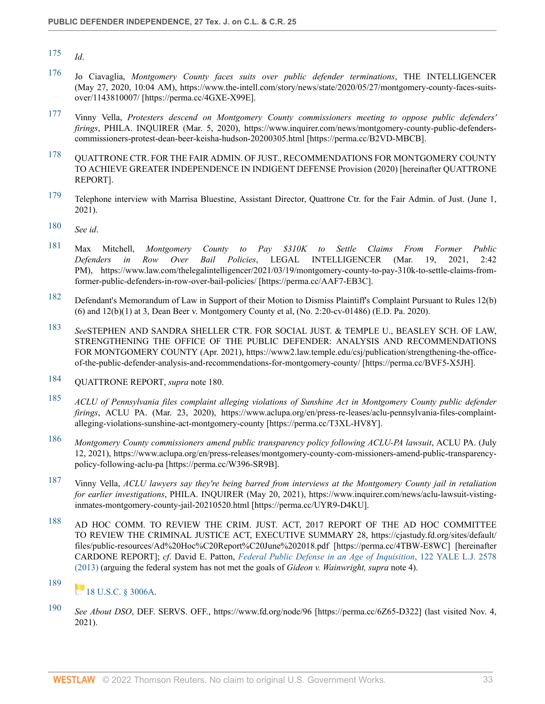- <span id="page-32-1"></span>[176](#page-12-14) Jo Ciavaglia, *Montgomery County faces suits over public defender terminations*, THE INTELLIGENCER (May 27, 2020, 10:04 AM), https://www.the-intell.com/story/news/state/2020/05/27/montgomery-county-faces-suitsover/1143810007/ [https://perma.cc/4GXE-X99E].
- <span id="page-32-2"></span>[177](#page-12-15) Vinny Vella, *Protesters descend on Montgomery County commissioners meeting to oppose public defenders' firings*, PHILA. INQUIRER (Mar. 5, 2020), https://www.inquirer.com/news/montgomery-county-public-defenderscommissioners-protest-dean-beer-keisha-hudson-20200305.html [https://perma.cc/B2VD-MBCB].
- <span id="page-32-3"></span>[178](#page-12-16) QUATTRONE CTR. FOR THE FAIR ADMIN. OF JUST., RECOMMENDATIONS FOR MONTGOMERY COUNTY TO ACHIEVE GREATER INDEPENDENCE IN INDIGENT DEFENSE Provision (2020) [hereinafter QUATTRONE REPORT].
- <span id="page-32-4"></span>[179](#page-12-17) Telephone interview with Marrisa Bluestine, Assistant Director, Quattrone Ctr. for the Fair Admin. of Just. (June 1, 2021).
- <span id="page-32-5"></span>[180](#page-12-18) *See id*.
- <span id="page-32-6"></span>[181](#page-13-2) Max Mitchell, *Montgomery County to Pay \$310K to Settle Claims From Former Public Defenders in Row Over Bail Policies*, LEGAL INTELLIGENCER (Mar. 19, 2021, 2:42 PM), https://www.law.com/thelegalintelligencer/2021/03/19/montgomery-county-to-pay-310k-to-settle-claims-fromformer-public-defenders-in-row-over-bail-policies/ [https://perma.cc/AAF7-EB3C].
- <span id="page-32-7"></span>[182](#page-13-3) Defendant's Memorandum of Law in Support of their Motion to Dismiss Plaintiff's Complaint Pursuant to Rules 12(b) (6) and 12(b)(1) at 3, Dean Beer v. Montgomery County et al, (No. 2:20-cv-01486) (E.D. Pa. 2020).
- <span id="page-32-8"></span>[183](#page-13-4) *See*STEPHEN AND SANDRA SHELLER CTR. FOR SOCIAL JUST. & TEMPLE U., BEASLEY SCH. OF LAW, STRENGTHENING THE OFFICE OF THE PUBLIC DEFENDER: ANALYSIS AND RECOMMENDATIONS FOR MONTGOMERY COUNTY (Apr. 2021), https://www2.law.temple.edu/csj/publication/strengthening-the-officeof-the-public-defender-analysis-and-recommendations-for-montgomery-county/ [https://perma.cc/BVF5-X5JH].
- <span id="page-32-9"></span>[184](#page-13-5) QUATTRONE REPORT, *supra* note 180.
- <span id="page-32-10"></span>[185](#page-13-6) *ACLU of Pennsylvania files complaint alleging violations of Sunshine Act in Montgomery County public defender firings*, ACLU PA. (Mar. 23, 2020), https://www.aclupa.org/en/press-re-leases/aclu-pennsylvania-files-complaintalleging-violations-sunshine-act-montgomery-county [https://perma.cc/T3XL-HV8Y].
- <span id="page-32-11"></span>[186](#page-13-7) *Montgomery County commissioners amend public transparency policy following ACLU-PA lawsuit*, ACLU PA. (July 12, 2021), https://www.aclupa.org/en/press-releases/montgomery-county-com-missioners-amend-public-transparencypolicy-following-aclu-pa [https://perma.cc/W396-SR9B].
- <span id="page-32-12"></span>[187](#page-13-8) Vinny Vella, *ACLU lawyers say they're being barred from interviews at the Montgomery County jail in retaliation for earlier investigations*, PHILA. INQUIRER (May 20, 2021), https://www.inquirer.com/news/aclu-lawsuit-vistinginmates-montgomery-county-jail-20210520.html [https://perma.cc/UYR9-D4KU].
- <span id="page-32-13"></span>[188](#page-13-9) AD HOC COMM. TO REVIEW THE CRIM. JUST. ACT, 2017 REPORT OF THE AD HOC COMMITTEE TO REVIEW THE CRIMINAL JUSTICE ACT, EXECUTIVE SUMMARY 28, https://cjastudy.fd.org/sites/default/ files/public-resources/Ad%20Hoc%C20Report%C20June%202018.pdf [https://perma.cc/4TBW-E8WC] [hereinafter CARDONE REPORT]; *cf*. David E. Patton, *[Federal Public Defense in an Age of Inquisition](http://www.westlaw.com/Link/Document/FullText?findType=Y&serNum=0391126682&pubNum=0001292&originatingDoc=I9bcecfaa9c4911ec9f24ec7b211d8087&refType=LR&originationContext=document&vr=3.0&rs=cblt1.0&transitionType=DocumentItem&contextData=(sc.Search))*, 122 YALE L.J. 2578 [\(2013\)](http://www.westlaw.com/Link/Document/FullText?findType=Y&serNum=0391126682&pubNum=0001292&originatingDoc=I9bcecfaa9c4911ec9f24ec7b211d8087&refType=LR&originationContext=document&vr=3.0&rs=cblt1.0&transitionType=DocumentItem&contextData=(sc.Search)) (arguing the federal system has not met the goals of *Gideon v. Wainwright, supra* note 4).

#### <span id="page-32-14"></span>[189](#page-13-10) [18 U.S.C. § 3006A](http://www.westlaw.com/Link/Document/FullText?findType=L&pubNum=1000546&cite=18USCAS3006A&originatingDoc=I9bcecfaa9c4911ec9f24ec7b211d8087&refType=LQ&originationContext=document&vr=3.0&rs=cblt1.0&transitionType=DocumentItem&contextData=(sc.Search)).

<span id="page-32-15"></span>[190](#page-13-11) *See About DSO*, DEF. SERVS. OFF., https://www.fd.org/node/96 [https://perma.cc/6Z65-D322] (last visited Nov. 4, 2021).

<span id="page-32-0"></span>[<sup>175</sup>](#page-12-13) *Id*.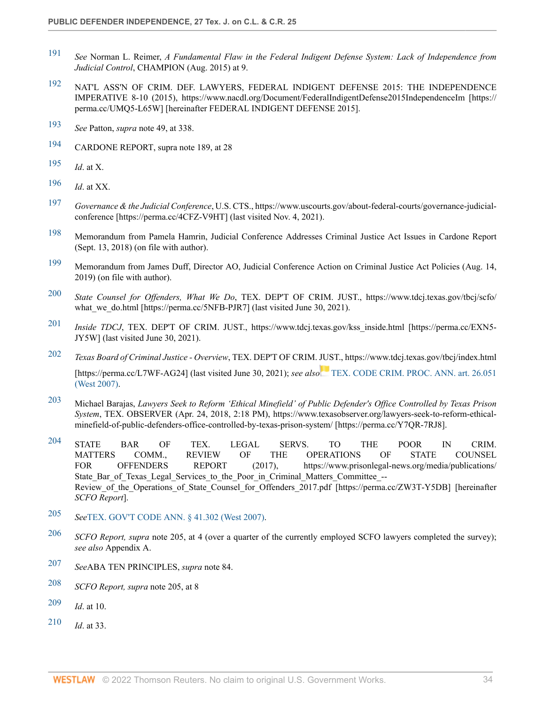- <span id="page-33-0"></span>[191](#page-13-12) *See* Norman L. Reimer, *A Fundamental Flaw in the Federal Indigent Defense System: Lack of Independence from Judicial Control*, CHAMPION (Aug. 2015) at 9.
- <span id="page-33-1"></span>[192](#page-13-13) NAT'L ASS'N OF CRIM. DEF. LAWYERS, FEDERAL INDIGENT DEFENSE 2015: THE INDEPENDENCE IMPERATIVE 8-10 (2015), https://www.nacdl.org/Document/FederalIndigentDefense2015IndependenceIm [https:// perma.cc/UMQ5-L65W] [hereinafter FEDERAL INDIGENT DEFENSE 2015].
- <span id="page-33-2"></span>[193](#page-13-14) *See* Patton, *supra* note 49, at 338.
- <span id="page-33-3"></span>[194](#page-13-15) CARDONE REPORT, supra note 189, at 28
- <span id="page-33-4"></span>[195](#page-13-16) *Id*. at X.
- <span id="page-33-5"></span>[196](#page-14-1) *Id*. at XX.
- <span id="page-33-6"></span>[197](#page-14-2) *Governance & the Judicial Conference*, U.S. CTS., https://www.uscourts.gov/about-federal-courts/governance-judicialconference [https://perma.cc/4CFZ-V9HT] (last visited Nov. 4, 2021).
- <span id="page-33-7"></span>[198](#page-14-3) Memorandum from Pamela Hamrin, Judicial Conference Addresses Criminal Justice Act Issues in Cardone Report (Sept. 13, 2018) (on file with author).
- <span id="page-33-8"></span>[199](#page-14-4) Memorandum from James Duff, Director AO, Judicial Conference Action on Criminal Justice Act Policies (Aug. 14, 2019) (on file with author).
- <span id="page-33-9"></span>[200](#page-14-5) *State Counsel for Offenders, What We Do*, TEX. DEP'T OF CRIM. JUST., https://www.tdcj.texas.gov/tbcj/scfo/ what we do.html [https://perma.cc/5NFB-PJR7] (last visited June 30, 2021).
- <span id="page-33-10"></span>[201](#page-14-6) *Inside TDCJ*, TEX. DEP'T OF CRIM. JUST., https://www.tdcj.texas.gov/kss\_inside.html [https://perma.cc/EXN5- JY5W] (last visited June 30, 2021).
- <span id="page-33-11"></span>[202](#page-14-7) *Texas Board of Criminal Justice - Overview*, TEX. DEP'T OF CRIM. [JUS](https://1.next.westlaw.com/Link/RelatedInformation/Flag?documentGuid=N89C39D203B9011DC9C2FC0BFE82D04E5&transitionType=InlineKeyCiteFlags&originationContext=docHeaderFlag&Rank=0&ppcid=id0a2fc8910fa4581bfdf149172d797b5&contextData=(sc.Search) )T., https://www.tdcj.texas.gov/tbcj/index.html [https://perma.cc/L7WF-AG24] (last visited June 30, 2021); *see also* [TEX. CODE CRIM. PROC. ANN. art. 26.051](http://www.westlaw.com/Link/Document/FullText?findType=L&pubNum=1000172&cite=TXCMART26.051&originatingDoc=I9bcecfaa9c4911ec9f24ec7b211d8087&refType=LQ&originationContext=document&vr=3.0&rs=cblt1.0&transitionType=DocumentItem&contextData=(sc.Search)) [\(West 2007\).](http://www.westlaw.com/Link/Document/FullText?findType=L&pubNum=1000172&cite=TXCMART26.051&originatingDoc=I9bcecfaa9c4911ec9f24ec7b211d8087&refType=LQ&originationContext=document&vr=3.0&rs=cblt1.0&transitionType=DocumentItem&contextData=(sc.Search))
- <span id="page-33-12"></span>[203](#page-14-8) Michael Barajas, *Lawyers Seek to Reform 'Ethical Minefield' of Public Defender's Office Controlled by Texas Prison System*, TEX. OBSERVER (Apr. 24, 2018, 2:18 PM), https://www.texasobserver.org/lawyers-seek-to-reform-ethicalminefield-of-public-defenders-office-controlled-by-texas-prison-system/ [https://perma.cc/Y7QR-7RJ8].
- <span id="page-33-13"></span> $^{204}$  $^{204}$  $^{204}$  STATE BAR OF TEX. LEGAL SERVS. TO THE POOR IN CRIM. MATTERS COMM., REVIEW OF THE OPERATIONS OF STATE COUNSEL FOR OFFENDERS REPORT (2017), https://www.prisonlegal-news.org/media/publications/ State Bar of Texas Legal Services to the Poor in Criminal Matters Committee --Review of the Operations of State Counsel for Offenders 2017.pdf [https://perma.cc/ZW3T-Y5DB] [hereinafter *SCFO Report*].
- <span id="page-33-14"></span>[205](#page-14-10) *See*[TEX. GOV'T CODE ANN. § 41.302 \(West 2007\)](http://www.westlaw.com/Link/Document/FullText?findType=L&pubNum=1000176&cite=TXGTS41.302&originatingDoc=I9bcecfaa9c4911ec9f24ec7b211d8087&refType=LQ&originationContext=document&vr=3.0&rs=cblt1.0&transitionType=DocumentItem&contextData=(sc.Search)).
- <span id="page-33-15"></span>[206](#page-14-11) *SCFO Report, supra* note 205, at 4 (over a quarter of the currently employed SCFO lawyers completed the survey); *see also* Appendix A.
- <span id="page-33-16"></span>[207](#page-14-12) *See*ABA TEN PRINCIPLES, *supra* note 84.
- <span id="page-33-17"></span>[208](#page-14-13) *SCFO Report, supra* note 205, at 8
- <span id="page-33-18"></span>[209](#page-14-14) *Id*. at 10.
- <span id="page-33-19"></span>[210](#page-14-15) *Id*. at 33.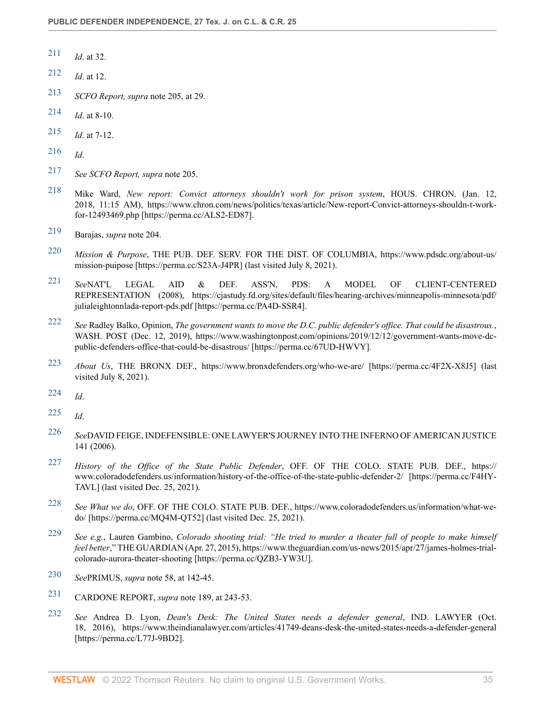- <span id="page-34-0"></span>[211](#page-14-16) *Id*. at 32.
- <span id="page-34-1"></span>[212](#page-14-17) *Id*. at 12.
- <span id="page-34-2"></span>[213](#page-14-18) *SCFO Report, supra* note 205, at 29.
- <span id="page-34-3"></span>[214](#page-15-2) *Id*. at 8-10.
- <span id="page-34-4"></span>[215](#page-15-3) *Id*. at 7-12.
- <span id="page-34-5"></span>[216](#page-15-4) *Id*.
- <span id="page-34-6"></span>[217](#page-15-5) *See SCFO Report, supra* note 205.
- <span id="page-34-7"></span>[218](#page-15-6) Mike Ward, *New report: Convict attorneys shouldn't work for prison system*, HOUS. CHRON. (Jan. 12, 2018, 11:15 AM), https://www.chron.com/news/politics/texas/article/New-report-Convict-attorneys-shouldn-t-workfor-12493469.php [https://perma.cc/ALS2-ED87].
- <span id="page-34-8"></span>[219](#page-15-7) Barajas, *supra* note 204.
- <span id="page-34-9"></span>[220](#page-15-8) *Mission & Purpose*, THE PUB. DEF. SERV. FOR THE DIST. OF COLUMBIA, https://www.pdsdc.org/about-us/ mission-puipose [https://perma.cc/S23A-J4PR] (last visited July 8, 2021).
- <span id="page-34-10"></span>[221](#page-15-9) *See*NAT'L LEGAL AID & DEF. ASS'N, PDS: A MODEL OF CLIENT-CENTERED REPRESENTATION (2008), https://cjastudy.fd.org/sites/default/files/hearing-archives/minneapolis-minnesota/pdf/ julialeightonnlada-report-pds.pdf [https://perma.cc/PA4D-SSR4].
- <span id="page-34-11"></span>[222](#page-15-10) *See* Radley Balko, Opinion, *The government wants to move the D.C. public defender's office. That could be disastrous.*, WASH. POST (Dec. 12, 2019), https://www.washingtonpost.com/opinions/2019/12/12/government-wants-move-dcpublic-defenders-office-that-could-be-disastrous/ [https://perma.cc/67UD-HWVY].
- <span id="page-34-12"></span>[223](#page-15-11) *About Us*, THE BRONX DEF., https://www.bronxdefenders.org/who-we-are/ [https://perma.cc/4F2X-X8J5] (last visited July 8, 2021).
- <span id="page-34-13"></span>[224](#page-15-12) *Id*.
- <span id="page-34-14"></span>[225](#page-15-13) *Id*.
- <span id="page-34-15"></span>[226](#page-15-14) *See*DAVID FEIGE, INDEFENSIBLE: ONE LAWYER'S JOURNEY INTO THE INFERNO OF AMERICAN JUSTICE 141 (2006).
- <span id="page-34-16"></span>[227](#page-15-15) *History of the Office of the State Public Defender*, OFF. OF THE COLO. STATE PUB. DEF., https:// www.coloradodefenders.us/information/history-of-the-office-of-the-state-public-defender-2/ [https://perma.cc/F4HY-TAVL] (last visited Dec. 25, 2021).
- <span id="page-34-17"></span>[228](#page-15-16) *See What we do*, OFF. OF THE COLO. STATE PUB. DEF., https://www.coloradodefenders.us/information/what-wedo/ [https://perma.cc/MQ4M-QT52] (last visited Dec. 25, 2021).
- <span id="page-34-18"></span>[229](#page-15-17) *See e.g.*, Lauren Gambino, *Colorado shooting trial: "He tried to murder a theater full of people to make himself feel better*," THE GUARDIAN (Apr. 27, 2015), https://www.theguardian.com/us-news/2015/apr/27/james-holmes-trialcolorado-aurora-theater-shooting [https://perma.cc/QZB3-YW3U].
- <span id="page-34-19"></span>[230](#page-15-18) *See*PRIMUS, *supra* note 58, at 142-45.
- <span id="page-34-20"></span>[231](#page-16-3) CARDONE REPORT, *supra* note 189, at 243-53.
- <span id="page-34-21"></span>[232](#page-16-4) *See* Andrea D. Lyon, *Dean's Desk: The United States needs a defender general*, IND. LAWYER (Oct. 18, 2016), https://www.theindianalawyer.com/articles/41749-deans-desk-the-united-states-needs-a-defender-general [https://perma.cc/L77J-9BD2].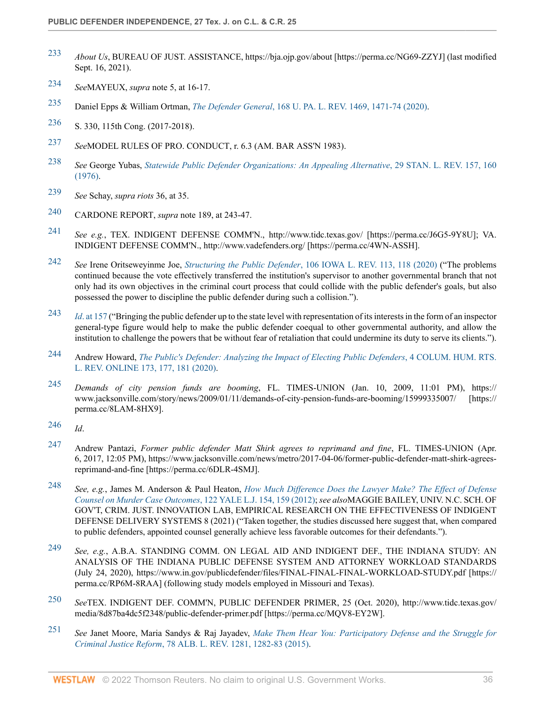- <span id="page-35-0"></span>[233](#page-16-5) *About Us*, BUREAU OF JUST. ASSISTANCE, https://bja.ojp.gov/about [https://perma.cc/NG69-ZZYJ] (last modified Sept. 16, 2021).
- <span id="page-35-1"></span>[234](#page-16-6) *See*MAYEUX, *supra* note 5, at 16-17.
- <span id="page-35-2"></span>[235](#page-16-7) Daniel Epps & William Ortman, *The Defender General*[, 168 U. PA. L. REV. 1469, 1471-74 \(2020\).](http://www.westlaw.com/Link/Document/FullText?findType=Y&serNum=0503931461&pubNum=0001268&originatingDoc=I9bcecfaa9c4911ec9f24ec7b211d8087&refType=LR&fi=co_pp_sp_1268_1471&originationContext=document&vr=3.0&rs=cblt1.0&transitionType=DocumentItem&contextData=(sc.Search)#co_pp_sp_1268_1471)
- <span id="page-35-3"></span>[236](#page-16-8) S. 330, 115th Cong. (2017-2018).
- <span id="page-35-4"></span>[237](#page-16-9) *See*MODEL RULES OF PRO. CONDUCT, r. 6.3 (AM. BAR ASS'N 1983).
- <span id="page-35-5"></span>[238](#page-16-10) *See* George Yubas, *[Statewide Public Defender Organizations: An Appealing Alternative](http://www.westlaw.com/Link/Document/FullText?findType=Y&serNum=0306383240&pubNum=0001239&originatingDoc=I9bcecfaa9c4911ec9f24ec7b211d8087&refType=LR&fi=co_pp_sp_1239_160&originationContext=document&vr=3.0&rs=cblt1.0&transitionType=DocumentItem&contextData=(sc.Search)#co_pp_sp_1239_160)*, 29 STAN. L. REV. 157, 160 [\(1976\).](http://www.westlaw.com/Link/Document/FullText?findType=Y&serNum=0306383240&pubNum=0001239&originatingDoc=I9bcecfaa9c4911ec9f24ec7b211d8087&refType=LR&fi=co_pp_sp_1239_160&originationContext=document&vr=3.0&rs=cblt1.0&transitionType=DocumentItem&contextData=(sc.Search)#co_pp_sp_1239_160)
- <span id="page-35-6"></span>[239](#page-16-11) *See* Schay, *supra riots* 36, at 35.
- <span id="page-35-7"></span>[240](#page-16-12) CARDONE REPORT, *supra* note 189, at 243-47.
- <span id="page-35-8"></span>[241](#page-16-13) *See e.g.*, TEX. INDIGENT DEFENSE COMM'N., http://www.tidc.texas.gov/ [https://perma.cc/J6G5-9Y8U]; VA. INDIGENT DEFENSE COMM'N., http://www.vadefenders.org/ [https://perma.cc/4WN-ASSH].
- <span id="page-35-9"></span>[242](#page-16-14) *See* Irene Oritseweyinme Joe, *Structuring the Public Defender*[, 106 IOWA L. REV. 113, 118 \(2020\)](http://www.westlaw.com/Link/Document/FullText?findType=Y&serNum=0503294044&pubNum=0001168&originatingDoc=I9bcecfaa9c4911ec9f24ec7b211d8087&refType=LR&fi=co_pp_sp_1168_118&originationContext=document&vr=3.0&rs=cblt1.0&transitionType=DocumentItem&contextData=(sc.Search)#co_pp_sp_1168_118) ("The problems continued because the vote effectively transferred the institution's supervisor to another governmental branch that not only had its own objectives in the criminal court process that could collide with the public defender's goals, but also possessed the power to discipline the public defender during such a collision.").
- <span id="page-35-10"></span>[243](#page-16-15) *Id*[. at 157](http://www.westlaw.com/Link/Document/FullText?findType=Y&serNum=0503294044&pubNum=0001168&originatingDoc=I9bcecfaa9c4911ec9f24ec7b211d8087&refType=LR&fi=co_pp_sp_1168_157&originationContext=document&vr=3.0&rs=cblt1.0&transitionType=DocumentItem&contextData=(sc.Search)#co_pp_sp_1168_157) ("Bringing the public defender up to the state level with representation of its interests in the form of an inspector general-type figure would help to make the public defender coequal to other governmental authority, and allow the institution to challenge the powers that be without fear of retaliation that could undermine its duty to serve its clients.").
- <span id="page-35-11"></span>[244](#page-17-3) Andrew Howard, *[The Public's Defender: Analyzing the Impact of Electing Public Defenders](http://www.westlaw.com/Link/Document/FullText?findType=Y&serNum=0493510197&pubNum=0233835&originatingDoc=I9bcecfaa9c4911ec9f24ec7b211d8087&refType=LR&fi=co_pp_sp_233835_177&originationContext=document&vr=3.0&rs=cblt1.0&transitionType=DocumentItem&contextData=(sc.Search)#co_pp_sp_233835_177)*, 4 COLUM. HUM. RTS. [L. REV. ONLINE 173, 177, 181 \(2020\).](http://www.westlaw.com/Link/Document/FullText?findType=Y&serNum=0493510197&pubNum=0233835&originatingDoc=I9bcecfaa9c4911ec9f24ec7b211d8087&refType=LR&fi=co_pp_sp_233835_177&originationContext=document&vr=3.0&rs=cblt1.0&transitionType=DocumentItem&contextData=(sc.Search)#co_pp_sp_233835_177)
- <span id="page-35-12"></span>[245](#page-17-4) *Demands of city pension funds are booming*, FL. TIMES-UNION (Jan. 10, 2009, 11:01 PM), https:// www.jacksonville.com/story/news/2009/01/11/demands-of-city-pension-funds-are-booming/15999335007/ [https:// perma.cc/8LAM-8HX9].
- <span id="page-35-13"></span>[246](#page-17-5) *Id*.
- <span id="page-35-14"></span>[247](#page-17-6) Andrew Pantazi, *Former public defender Matt Shirk agrees to reprimand and fine*, FL. TIMES-UNION (Apr. 6, 2017, 12:05 PM), https://www.jacksonville.com/news/metro/2017-04-06/former-public-defender-matt-shirk-agreesreprimand-and-fine [https://perma.cc/6DLR-4SMJ].
- <span id="page-35-15"></span>[248](#page-17-7) *See, e.g.*, James M. Anderson & Paul Heaton, *[How Much Difference Does the Lawyer Make? The Effect of Defense](http://www.westlaw.com/Link/Document/FullText?findType=Y&serNum=0377427019&pubNum=0001292&originatingDoc=I9bcecfaa9c4911ec9f24ec7b211d8087&refType=LR&fi=co_pp_sp_1292_159&originationContext=document&vr=3.0&rs=cblt1.0&transitionType=DocumentItem&contextData=(sc.Search)#co_pp_sp_1292_159) [Counsel on Murder Case Outcomes](http://www.westlaw.com/Link/Document/FullText?findType=Y&serNum=0377427019&pubNum=0001292&originatingDoc=I9bcecfaa9c4911ec9f24ec7b211d8087&refType=LR&fi=co_pp_sp_1292_159&originationContext=document&vr=3.0&rs=cblt1.0&transitionType=DocumentItem&contextData=(sc.Search)#co_pp_sp_1292_159)*, 122 YALE L.J. 154, 159 (2012); *see also*MAGGIE BAILEY, UNIV. N.C. SCH. OF GOV'T, CRIM. JUST. INNOVATION LAB, EMPIRICAL RESEARCH ON THE EFFECTIVENESS OF INDIGENT DEFENSE DELIVERY SYSTEMS 8 (2021) ("Taken together, the studies discussed here suggest that, when compared to public defenders, appointed counsel generally achieve less favorable outcomes for their defendants.").
- <span id="page-35-16"></span>[249](#page-17-8) *See, e.g.*, A.B.A. STANDING COMM. ON LEGAL AID AND INDIGENT DEF., THE INDIANA STUDY: AN ANALYSIS OF THE INDIANA PUBLIC DEFENSE SYSTEM AND ATTORNEY WORKLOAD STANDARDS (July 24, 2020), https://www.in.gov/publicdefender/files/FINAL-FINAL-FINAL-WORKLOAD-STUDY.pdf [https:// perma.cc/RP6M-8RAA] (following study models employed in Missouri and Texas).
- <span id="page-35-17"></span>[250](#page-17-9) *See*TEX. INDIGENT DEF. COMM'N, PUBLIC DEFENDER PRIMER, 25 (Oct. 2020), http://www.tidc.texas.gov/ media/8d87ba4dc5f2348/public-defender-primer.pdf [https://perma.cc/MQV8-EY2W].
- <span id="page-35-18"></span>[251](#page-17-10) *See* Janet Moore, Maria Sandys & Raj Jayadev, *[Make Them Hear You: Participatory Defense and the Struggle for](http://www.westlaw.com/Link/Document/FullText?findType=Y&serNum=0432136004&pubNum=0003105&originatingDoc=I9bcecfaa9c4911ec9f24ec7b211d8087&refType=LR&fi=co_pp_sp_3105_1282&originationContext=document&vr=3.0&rs=cblt1.0&transitionType=DocumentItem&contextData=(sc.Search)#co_pp_sp_3105_1282) Criminal Justice Reform*[, 78 ALB. L. REV. 1281, 1282-83 \(2015\).](http://www.westlaw.com/Link/Document/FullText?findType=Y&serNum=0432136004&pubNum=0003105&originatingDoc=I9bcecfaa9c4911ec9f24ec7b211d8087&refType=LR&fi=co_pp_sp_3105_1282&originationContext=document&vr=3.0&rs=cblt1.0&transitionType=DocumentItem&contextData=(sc.Search)#co_pp_sp_3105_1282)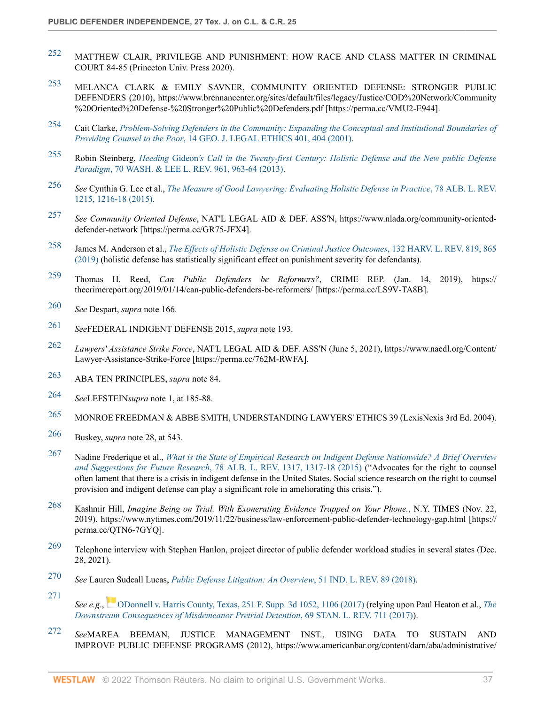- <span id="page-36-0"></span>[252](#page-17-11) MATTHEW CLAIR, PRIVILEGE AND PUNISHMENT: HOW RACE AND CLASS MATTER IN CRIMINAL COURT 84-85 (Princeton Univ. Press 2020).
- <span id="page-36-1"></span>[253](#page-17-12) MELANCA CLARK & EMILY SAVNER, COMMUNITY ORIENTED DEFENSE: STRONGER PUBLIC DEFENDERS (2010), https://www.brennancenter.org/sites/default/files/legacy/Justice/COD%20Network/Community %20Oriented%20Defense-%20Stronger%20Public%20Defenders.pdf [https://perma.cc/VMU2-E944].
- <span id="page-36-2"></span>[254](#page-18-3) Cait Clarke, *[Problem-Solving Defenders in the Community: Expanding the Conceptual and Institutional Boundaries of](http://www.westlaw.com/Link/Document/FullText?findType=Y&serNum=0296469497&pubNum=0001655&originatingDoc=I9bcecfaa9c4911ec9f24ec7b211d8087&refType=LR&fi=co_pp_sp_1655_404&originationContext=document&vr=3.0&rs=cblt1.0&transitionType=DocumentItem&contextData=(sc.Search)#co_pp_sp_1655_404) Providing Counsel to the Poor*[, 14 GEO. J. LEGAL ETHICS 401, 404 \(2001\)](http://www.westlaw.com/Link/Document/FullText?findType=Y&serNum=0296469497&pubNum=0001655&originatingDoc=I9bcecfaa9c4911ec9f24ec7b211d8087&refType=LR&fi=co_pp_sp_1655_404&originationContext=document&vr=3.0&rs=cblt1.0&transitionType=DocumentItem&contextData=(sc.Search)#co_pp_sp_1655_404).
- <span id="page-36-3"></span>[255](#page-18-4) Robin Steinberg, *Heeding* Gideon*['s Call in the Twenty-first Century: Holistic Defense and the New public Defense](http://www.westlaw.com/Link/Document/FullText?findType=Y&serNum=0389015878&pubNum=0001282&originatingDoc=I9bcecfaa9c4911ec9f24ec7b211d8087&refType=LR&fi=co_pp_sp_1282_963&originationContext=document&vr=3.0&rs=cblt1.0&transitionType=DocumentItem&contextData=(sc.Search)#co_pp_sp_1282_963) Paradigm*[, 70 WASH. & LEE L. REV. 961, 963-64 \(2013\)](http://www.westlaw.com/Link/Document/FullText?findType=Y&serNum=0389015878&pubNum=0001282&originatingDoc=I9bcecfaa9c4911ec9f24ec7b211d8087&refType=LR&fi=co_pp_sp_1282_963&originationContext=document&vr=3.0&rs=cblt1.0&transitionType=DocumentItem&contextData=(sc.Search)#co_pp_sp_1282_963).
- <span id="page-36-4"></span>[256](#page-18-5) *See* Cynthia G. Lee et al., *[The Measure of Good Lawyering: Evaluating Holistic Defense in Practice](http://www.westlaw.com/Link/Document/FullText?findType=Y&serNum=0432136000&pubNum=0003105&originatingDoc=I9bcecfaa9c4911ec9f24ec7b211d8087&refType=LR&fi=co_pp_sp_3105_1216&originationContext=document&vr=3.0&rs=cblt1.0&transitionType=DocumentItem&contextData=(sc.Search)#co_pp_sp_3105_1216)*, 78 ALB. L. REV. [1215, 1216-18 \(2015\)](http://www.westlaw.com/Link/Document/FullText?findType=Y&serNum=0432136000&pubNum=0003105&originatingDoc=I9bcecfaa9c4911ec9f24ec7b211d8087&refType=LR&fi=co_pp_sp_3105_1216&originationContext=document&vr=3.0&rs=cblt1.0&transitionType=DocumentItem&contextData=(sc.Search)#co_pp_sp_3105_1216).
- <span id="page-36-5"></span>[257](#page-18-6) *See Community Oriented Defense*, NAT'L LEGAL AID & DEF. ASS'N, https://www.nlada.org/community-orienteddefender-network [https://perma.cc/GR75-JFX4].
- <span id="page-36-6"></span>[258](#page-18-7) James M. Anderson et al., *[The Effects of Holistic Defense on Criminal Justice Outcomes](http://www.westlaw.com/Link/Document/FullText?findType=Y&serNum=0477124880&pubNum=0003084&originatingDoc=I9bcecfaa9c4911ec9f24ec7b211d8087&refType=LR&fi=co_pp_sp_3084_865&originationContext=document&vr=3.0&rs=cblt1.0&transitionType=DocumentItem&contextData=(sc.Search)#co_pp_sp_3084_865)*, 132 HARV. L. REV. 819, 865 [\(2019\)](http://www.westlaw.com/Link/Document/FullText?findType=Y&serNum=0477124880&pubNum=0003084&originatingDoc=I9bcecfaa9c4911ec9f24ec7b211d8087&refType=LR&fi=co_pp_sp_3084_865&originationContext=document&vr=3.0&rs=cblt1.0&transitionType=DocumentItem&contextData=(sc.Search)#co_pp_sp_3084_865) (holistic defense has statistically significant effect on punishment severity for defendants).
- <span id="page-36-7"></span>[259](#page-18-8) Thomas H. Reed, *Can Public Defenders be Reformers?*, CRIME REP. (Jan. 14, 2019), https:// thecrimereport.org/2019/01/14/can-public-defenders-be-reformers/ [https://perma.cc/LS9V-TA8B].
- <span id="page-36-8"></span>[260](#page-18-9) *See* Despart, *supra* note 166.
- <span id="page-36-9"></span>[261](#page-18-10) *See*FEDERAL INDIGENT DEFENSE 2015, *supra* note 193.
- <span id="page-36-10"></span>[262](#page-18-11) *Lawyers' Assistance Strike Force*, NAT'L LEGAL AID & DEF. ASS'N (June 5, 2021), https://www.nacdl.org/Content/ Lawyer-Assistance-Strike-Force [https://perma.cc/762M-RWFA].
- <span id="page-36-11"></span>[263](#page-18-12) ABA TEN PRINCIPLES, *supra* note 84.
- <span id="page-36-12"></span>[264](#page-19-2) *See*LEFSTEIN*supra* note 1, at 185-88.
- <span id="page-36-13"></span>[265](#page-19-3) MONROE FREEDMAN & ABBE SMITH, UNDERSTANDING LAWYERS' ETHICS 39 (LexisNexis 3rd Ed. 2004).
- <span id="page-36-14"></span>[266](#page-19-4) Buskey, *supra* note 28, at 543.
- <span id="page-36-15"></span>[267](#page-19-5) Nadine Frederique et al., *[What is the State of Empirical Research on Indigent Defense Nationwide? A Brief Overview](http://www.westlaw.com/Link/Document/FullText?findType=Y&serNum=0432136005&pubNum=0003105&originatingDoc=I9bcecfaa9c4911ec9f24ec7b211d8087&refType=LR&originationContext=document&vr=3.0&rs=cblt1.0&transitionType=DocumentItem&contextData=(sc.Search)) and Suggestions for Future Research*[, 78 ALB. L. REV. 1317, 1317-18 \(2015\)](http://www.westlaw.com/Link/Document/FullText?findType=Y&serNum=0432136005&pubNum=0003105&originatingDoc=I9bcecfaa9c4911ec9f24ec7b211d8087&refType=LR&originationContext=document&vr=3.0&rs=cblt1.0&transitionType=DocumentItem&contextData=(sc.Search)) ("Advocates for the right to counsel often lament that there is a crisis in indigent defense in the United States. Social science research on the right to counsel provision and indigent defense can play a significant role in ameliorating this crisis.").
- <span id="page-36-16"></span>[268](#page-19-6) Kashmir Hill, *Imagine Being on Trial. With Exonerating Evidence Trapped on Your Phone.*, N.Y. TIMES (Nov. 22, 2019), https://www.nytimes.com/2019/11/22/business/law-enforcement-public-defender-technology-gap.html [https:// perma.cc/QTN6-7GYQ].
- <span id="page-36-17"></span><sup>[269](#page-19-7)</sup> Telephone interview with Stephen Hanlon, project director of public defender workload studies in several states (Dec. 28, 2021).
- <span id="page-36-18"></span>[270](#page-19-8) *See* Lauren Sudeall Lucas, *[Public Defense Litigation: An Overview](http://www.westlaw.com/Link/Document/FullText?findType=Y&serNum=0467591310&pubNum=0002442&originatingDoc=I9bcecfaa9c4911ec9f24ec7b211d8087&refType=LR&originationContext=document&vr=3.0&rs=cblt1.0&transitionType=DocumentItem&contextData=(sc.Search))*, 51 IND. L. REV. 89 (2018).
- <span id="page-36-19"></span>[271](#page-19-9) *See e.g.*,[ODonnell v. Harris County, Texas, 251 F. Supp. 3d 1052, 1106 \(2017\)](http://www.westlaw.com/Link/Document/FullText?findType=Y&serNum=2041579140&pubNum=0007903&originatingDoc=I9bcecfaa9c4911ec9f24ec7b211d8087&refType=RP&fi=co_pp_sp_7903_1106&originationContext=document&vr=3.0&rs=cblt1.0&transitionType=DocumentItem&contextData=(sc.Search)#co_pp_sp_7903_1106) (relying upon Paul Heaton et al., *[The](http://www.westlaw.com/Link/Document/FullText?findType=Y&serNum=0456762471&pubNum=0001239&originatingDoc=I9bcecfaa9c4911ec9f24ec7b211d8087&refType=LR&originationContext=document&vr=3.0&rs=cblt1.0&transitionType=DocumentItem&contextData=(sc.Search)) [Downstream Consequences of Misdemeanor Pretrial Detention](http://www.westlaw.com/Link/Document/FullText?findType=Y&serNum=0456762471&pubNum=0001239&originatingDoc=I9bcecfaa9c4911ec9f24ec7b211d8087&refType=LR&originationContext=document&vr=3.0&rs=cblt1.0&transitionType=DocumentItem&contextData=(sc.Search))*, 69 STAN. L. REV. 711 (2017)).
- <span id="page-36-20"></span>[272](#page-19-10) *See*MAREA BEEMAN, JUSTICE MANAGEMENT INST., USING DATA TO SUSTAIN AND IMPROVE PUBLIC DEFENSE PROGRAMS (2012), https://www.americanbar.org/content/darn/aba/administrative/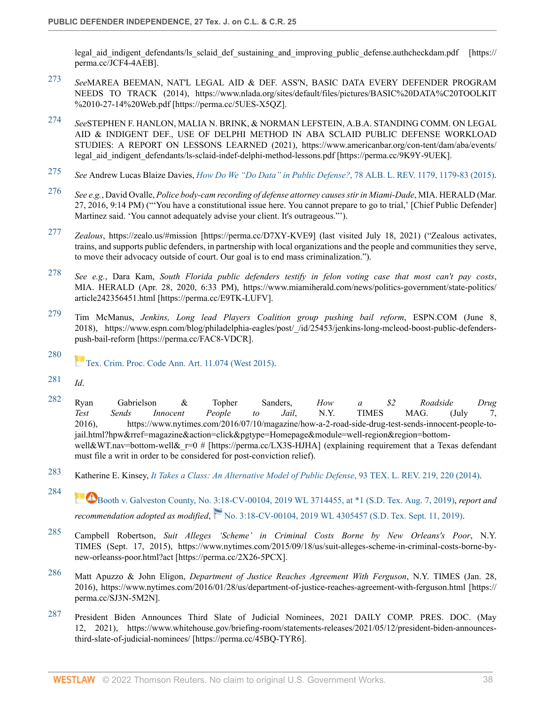legal aid indigent defendants/ls sclaid def sustaining and improving public defense.authcheckdam.pdf [https:// perma.cc/JCF4-4AEB].

- <span id="page-37-0"></span>[273](#page-19-11) *See*MAREA BEEMAN, NAT'L LEGAL AID & DEF. ASS'N, BASIC DATA EVERY DEFENDER PROGRAM NEEDS TO TRACK (2014), https://www.nlada.org/sites/default/files/pictures/BASIC%20DATA%C20TOOLKIT %2010-27-14%20Web.pdf [https://perma.cc/5UES-X5QZ].
- <span id="page-37-1"></span>[274](#page-19-12) *See*STEPHEN F. HANLON, MALIA N. BRINK, & NORMAN LEFSTEIN, A.B.A. STANDING COMM. ON LEGAL AID & INDIGENT DEF., USE OF DELPHI METHOD IN ABA SCLAID PUBLIC DEFENSE WORKLOAD STUDIES: A REPORT ON LESSONS LEARNED (2021), https://www.americanbar.org/con-tent/dam/aba/events/ legal\_aid\_indigent\_defendants/ls-sclaid-indef-delphi-method-lessons.pdf [https://perma.cc/9K9Y-9UEK].
- <span id="page-37-2"></span>[275](#page-19-13) *See* Andrew Lucas Blaize Davies, *[How Do We "Do Data" in Public Defense?](http://www.westlaw.com/Link/Document/FullText?findType=Y&serNum=0432135998&pubNum=0003105&originatingDoc=I9bcecfaa9c4911ec9f24ec7b211d8087&refType=LR&originationContext=document&vr=3.0&rs=cblt1.0&transitionType=DocumentItem&contextData=(sc.Search))*, 78 ALB. L. REV. 1179, 1179-83 (2015).
- <span id="page-37-3"></span>[276](#page-19-14) *See e.g.*, David Ovalle, *Police body-cam recording of defense attorney causes stir in Miami-Dade*, MIA. HERALD (Mar. 27, 2016, 9:14 PM) ("'You have a constitutional issue here. You cannot prepare to go to trial,' [Chief Public Defender] Martinez said. 'You cannot adequately advise your client. It's outrageous."').
- <span id="page-37-4"></span>[277](#page-19-15) *Zealous*, https://zealo.us/#mission [https://perma.cc/D7XY-KVE9] (last visited July 18, 2021) ("Zealous activates, trains, and supports public defenders, in partnership with local organizations and the people and communities they serve, to move their advocacy outside of court. Our goal is to end mass criminalization.").
- <span id="page-37-5"></span>[278](#page-19-16) *See e.g.*, Dara Kam, *South Florida public defenders testify in felon voting case that most can't pay costs*, MIA. HERALD (Apr. 28, 2020, 6:33 PM), https://www.miamiherald.com/news/politics-government/state-politics/ article242356451.html [https://perma.cc/E9TK-LUFV].
- <span id="page-37-6"></span>[279](#page-19-17) Tim McManus, *Jenkins, Long lead Players Coalition group pushing bail reform*, ESPN.COM (June 8, 2018), https://www.espn.com/blog/philadelphia-eagles/post/\_/id/25453/jenkins-long-mcleod-boost-public-defenderspush-bail-reform [https://perma.cc/FAC8-VDCR].
- <span id="page-37-7"></span>[280](#page-20-4) [Tex. Crim. Proc. Code Ann. Art. 11.074 \(West 2015\)](http://www.westlaw.com/Link/Document/FullText?findType=L&pubNum=1000172&cite=TXCMART11.074&originatingDoc=I9bcecfaa9c4911ec9f24ec7b211d8087&refType=LQ&originationContext=document&vr=3.0&rs=cblt1.0&transitionType=DocumentItem&contextData=(sc.Search)).
- <span id="page-37-8"></span>[281](#page-20-5) *Id*.

<span id="page-37-9"></span>[282](#page-20-6) Ryan Gabrielson & Topher Sanders, *How a \$2 Roadside Drug Test Sends Innocent People to Jail*, N.Y. TIMES MAG. (July 7, 2016), https://www.nytimes.com/2016/07/10/magazine/how-a-2-road-side-drug-test-sends-innocent-people-tojail.html?hpw&rref=magazine&action=click&pgtype=Homepage&module=well-region&region=bottomwell&WT.nav=bottom-well& r=0 # [https://perma.cc/LX3S-HJHA] (explaining requirement that a Texas defendant must file a writ in order to be considered for post-conviction relief).

- <span id="page-37-10"></span>[283](#page-21-6) Katherine E. Kinsey, *[It Takes a Class: An Alternative Model of Public Defense](http://www.westlaw.com/Link/Document/FullText?findType=Y&serNum=0417985762&pubNum=0001251&originatingDoc=I9bcecfaa9c4911ec9f24ec7b211d8087&refType=LR&fi=co_pp_sp_1251_220&originationContext=document&vr=3.0&rs=cblt1.0&transitionType=DocumentItem&contextData=(sc.Search)#co_pp_sp_1251_220)*, 93 TEX. L. REV. 219, 220 (2014).
- <span id="page-37-11"></span>[284](#page-21-7) [Booth v. Galveston County, No. 3:18-CV-00104, 2019 WL 3714455, at \\*1 \(S.D. Tex. Aug. 7, 2019\),](http://www.westlaw.com/Link/Document/FullText?findType=Y&serNum=2048853409&pubNum=0000999&originatingDoc=I9bcecfaa9c4911ec9f24ec7b211d8087&refType=RP&originationContext=document&vr=3.0&rs=cblt1.0&transitionType=DocumentItem&contextData=(sc.Search)) *report and recommendationadopted as modified*, [No. 3:18-CV-00104, 2019 WL 4305457 \(S.D. Tex. Sept. 11, 2019\).](http://www.westlaw.com/Link/Document/FullText?findType=Y&serNum=2049154549&pubNum=0000999&originatingDoc=I9bcecfaa9c4911ec9f24ec7b211d8087&refType=RP&originationContext=document&vr=3.0&rs=cblt1.0&transitionType=DocumentItem&contextData=(sc.Search))
- <span id="page-37-12"></span>[285](#page-21-8) Campbell Robertson, *Suit Alleges 'Scheme' in Criminal Costs Borne by New Orleans's Poor*, N.Y. TIMES (Sept. 17, 2015), https://www.nytimes.com/2015/09/18/us/suit-alleges-scheme-in-criminal-costs-borne-bynew-orleanss-poor.html?act [https://perma.cc/2X26-5PCX].
- <span id="page-37-13"></span>[286](#page-21-9) Matt Apuzzo & John Eligon, *Department of Justice Reaches Agreement With Ferguson*, N.Y. TIMES (Jan. 28, 2016), https://www.nytimes.com/2016/01/28/us/department-of-justice-reaches-agreement-with-ferguson.html [https:// perma.cc/SJ3N-5M2N].
- <span id="page-37-14"></span>[287](#page-21-10) President Biden Announces Third Slate of Judicial Nominees, 2021 DAILY COMP. PRES. DOC. (May 12, 2021), https://www.whitehouse.gov/briefing-room/statements-releases/2021/05/12/president-biden-announcesthird-slate-of-judicial-nominees/ [https://perma.cc/45BQ-TYR6].